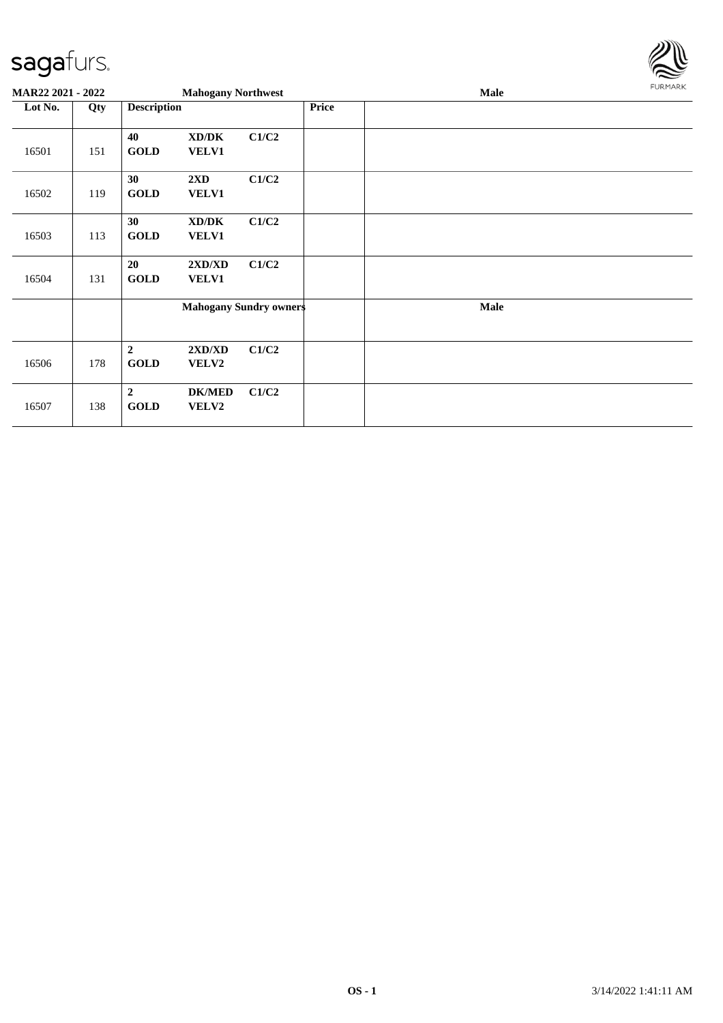

| <b>MAR22 2021 - 2022</b> |     |                                 | <b>Mahogany Northwest</b>                    |                               |       | Male | <b>FURMARK</b> |
|--------------------------|-----|---------------------------------|----------------------------------------------|-------------------------------|-------|------|----------------|
| Lot No.                  | Qty | <b>Description</b>              |                                              |                               | Price |      |                |
| 16501                    | 151 | 40<br><b>GOLD</b>               | XD/DK<br>VELV1                               | C1/C2                         |       |      |                |
| 16502                    | 119 | 30<br><b>GOLD</b>               | $2\mathbf{X}\mathbf{D}$<br>VELV1             | C1/C2                         |       |      |                |
| 16503                    | 113 | 30<br><b>GOLD</b>               | $\bold{X}\bold{D}/\bold{D}\bold{K}$<br>VELV1 | C1/C2                         |       |      |                |
| 16504                    | 131 | 20<br><b>GOLD</b>               | 2XD/XD<br>VELV1                              | C1/C2                         |       |      |                |
|                          |     |                                 |                                              | <b>Mahogany Sundry owners</b> |       | Male |                |
| 16506                    | 178 | $\boldsymbol{2}$<br><b>GOLD</b> | 2XD/XD<br>VELV2                              | C1/C2                         |       |      |                |
| 16507                    | 138 | $\overline{2}$<br><b>GOLD</b>   | <b>DK/MED</b><br>VELV2                       | C1/C2                         |       |      |                |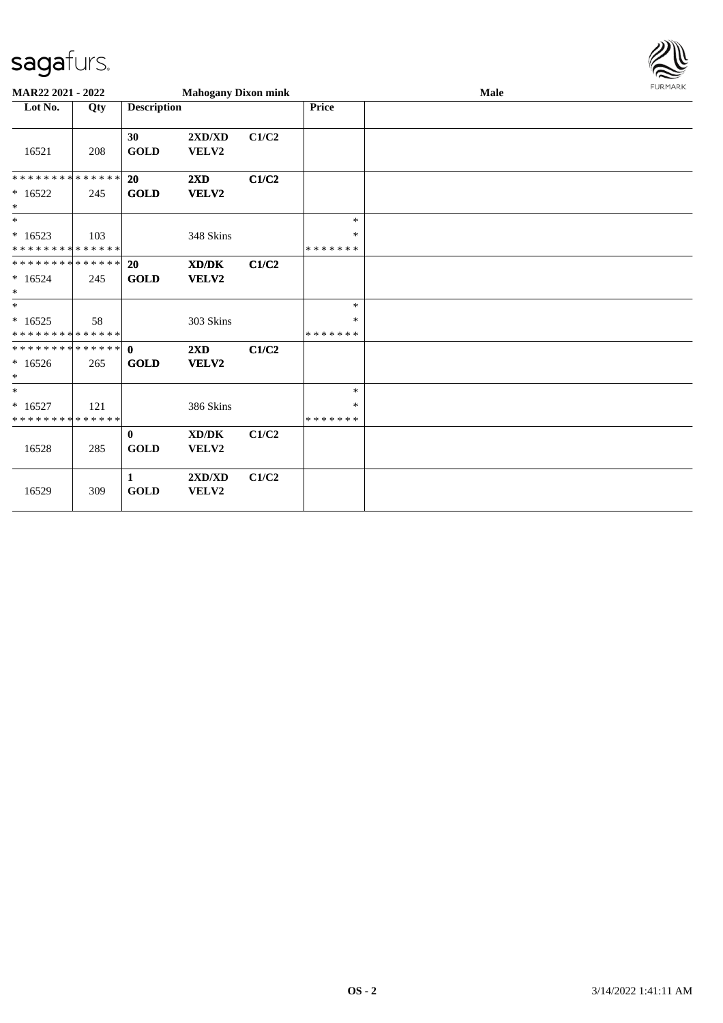

| <b>MAR22 2021 - 2022</b>                                              |     |                             | <b>Mahogany Dixon mink</b>                           |       |                              | <b>Male</b> | <b>FURMARK</b> |
|-----------------------------------------------------------------------|-----|-----------------------------|------------------------------------------------------|-------|------------------------------|-------------|----------------|
| Lot No.                                                               | Qty | <b>Description</b>          |                                                      |       | <b>Price</b>                 |             |                |
| 16521                                                                 | 208 | 30<br><b>GOLD</b>           | 2XD/XD<br>${\bf VELV2}$                              | C1/C2 |                              |             |                |
| * * * * * * * * * * * * * * *<br>$*16522$<br>$\ast$                   | 245 | 20<br><b>GOLD</b>           | 2XD<br>VELV2                                         | C1/C2 |                              |             |                |
| $*$<br>$*16523$<br>* * * * * * * * * * * * * *                        | 103 |                             | 348 Skins                                            |       | $\ast$<br>∗<br>* * * * * * * |             |                |
| * * * * * * * * * * * * * * *<br>$*16524$<br>$*$                      | 245 | <b>20</b><br><b>GOLD</b>    | $\mathbf{X}\mathbf{D}/\mathbf{D}\mathbf{K}$<br>VELV2 | C1/C2 |                              |             |                |
| $\overline{\phantom{0}}$<br>$*16525$<br>* * * * * * * * * * * * * * * | 58  |                             | 303 Skins                                            |       | $\ast$<br>∗<br>* * * * * * * |             |                |
| * * * * * * * * * * * * * * *<br>$*16526$<br>$\ast$                   | 265 | $\mathbf{0}$<br><b>GOLD</b> | 2XD<br><b>VELV2</b>                                  | C1/C2 |                              |             |                |
| $\overline{\ast}$<br>$* 16527$<br>* * * * * * * * * * * * * *         | 121 |                             | 386 Skins                                            |       | $\ast$<br>∗<br>* * * * * * * |             |                |
| 16528                                                                 | 285 | $\bf{0}$<br><b>GOLD</b>     | XD/DK<br>VELV2                                       | C1/C2 |                              |             |                |
| 16529                                                                 | 309 | 1<br><b>GOLD</b>            | 2XD/XD<br>VELV2                                      | C1/C2 |                              |             |                |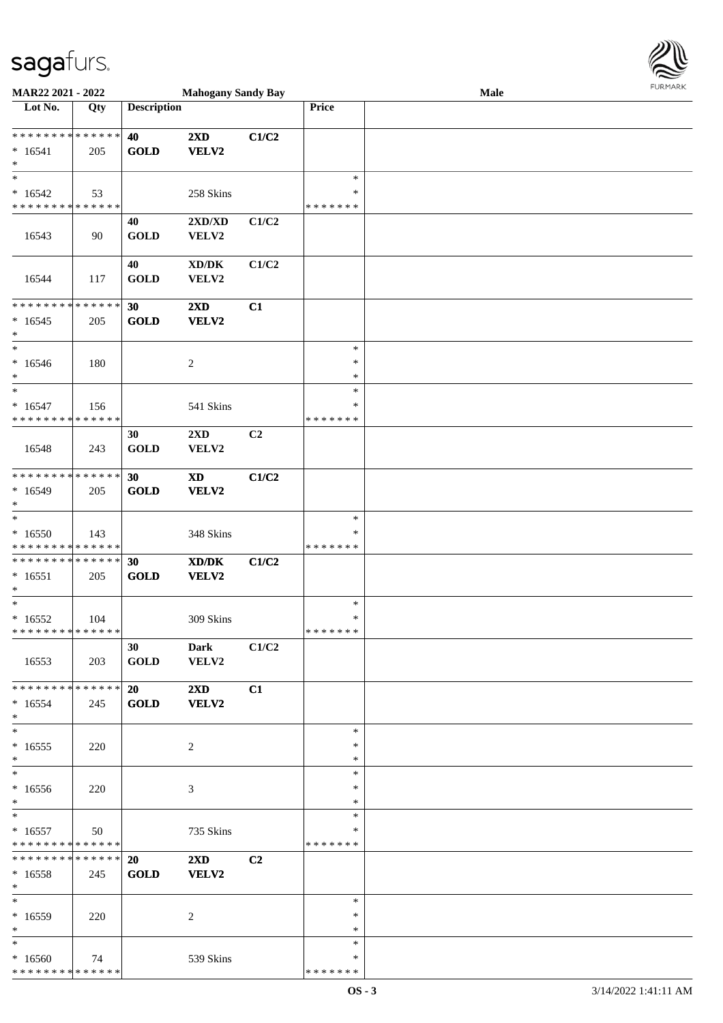

| MAR22 2021 - 2022                        |                   |                    | <b>Mahogany Sandy Bay</b>           |                |                    | <b>Male</b> |
|------------------------------------------|-------------------|--------------------|-------------------------------------|----------------|--------------------|-------------|
| Lot No.                                  | $\overline{Q}$ ty | <b>Description</b> |                                     |                | Price              |             |
|                                          |                   |                    |                                     |                |                    |             |
| **************                           |                   | 40                 | $2\mathbf{X}\mathbf{D}$             | C1/C2          |                    |             |
| $*16541$                                 | 205               | <b>GOLD</b>        | VELV2                               |                |                    |             |
| $\ast$<br>$\ast$                         |                   |                    |                                     |                | $\ast$             |             |
|                                          |                   |                    |                                     |                | ∗                  |             |
| $*16542$<br>* * * * * * * * * * * * * *  | 53                |                    | 258 Skins                           |                | * * * * * * *      |             |
|                                          |                   |                    |                                     |                |                    |             |
| 16543                                    | 90                | 40<br><b>GOLD</b>  | 2XD/XD                              | C1/C2          |                    |             |
|                                          |                   |                    | VELV2                               |                |                    |             |
|                                          |                   | 40                 | $\bold{X}\bold{D}/\bold{D}\bold{K}$ | C1/C2          |                    |             |
| 16544                                    | 117               | <b>GOLD</b>        | VELV2                               |                |                    |             |
|                                          |                   |                    |                                     |                |                    |             |
| ******** <mark>******</mark>             |                   | 30                 | 2XD                                 | C1             |                    |             |
| $*16545$                                 | 205               | <b>GOLD</b>        | VELV2                               |                |                    |             |
| $\ast$                                   |                   |                    |                                     |                |                    |             |
| $\ast$                                   |                   |                    |                                     |                | $\ast$             |             |
| $*16546$                                 | 180               |                    | $\overline{c}$                      |                | $\ast$             |             |
| $\ast$                                   |                   |                    |                                     |                | $\ast$             |             |
| $\ast$                                   |                   |                    |                                     |                | $\ast$             |             |
| $* 16547$                                | 156               |                    | 541 Skins                           |                | ∗                  |             |
| * * * * * * * * * * * * * *              |                   |                    |                                     |                | * * * * * * *      |             |
|                                          |                   | 30                 | 2XD                                 | C <sub>2</sub> |                    |             |
| 16548                                    | 243               | <b>GOLD</b>        | VELV2                               |                |                    |             |
|                                          |                   |                    |                                     |                |                    |             |
| * * * * * * * * * * * * * *              |                   | 30                 | $\boldsymbol{\mathrm{XD}}$          | C1/C2          |                    |             |
| $*16549$                                 | 205               | <b>GOLD</b>        | VELV2                               |                |                    |             |
| $\ast$                                   |                   |                    |                                     |                |                    |             |
| $\ast$                                   |                   |                    |                                     |                | $\ast$             |             |
| $*16550$                                 | 143               |                    | 348 Skins                           |                | ∗                  |             |
| * * * * * * * * * * * * * *              |                   |                    |                                     |                | * * * * * * *      |             |
| **************                           |                   | 30                 | XD/DK                               | C1/C2          |                    |             |
| $* 16551$<br>$\ast$                      | 205               | <b>GOLD</b>        | VELV2                               |                |                    |             |
| $\ast$                                   |                   |                    |                                     |                | $\ast$             |             |
| $*16552$                                 | 104               |                    | 309 Skins                           |                | $\ast$             |             |
| **************                           |                   |                    |                                     |                | *******            |             |
|                                          |                   | 30                 | <b>Dark</b>                         | C1/C2          |                    |             |
| 16553                                    | 203               | <b>GOLD</b>        | VELV2                               |                |                    |             |
|                                          |                   |                    |                                     |                |                    |             |
| * * * * * * * * * * * * * * *            |                   | 20                 | $2\mathbf{X}\mathbf{D}$             | C1             |                    |             |
| $*16554$                                 | 245               | <b>GOLD</b>        | <b>VELV2</b>                        |                |                    |             |
| $*$                                      |                   |                    |                                     |                |                    |             |
| $\ast$                                   |                   |                    |                                     |                | $\ast$             |             |
| $*16555$                                 | 220               |                    | 2                                   |                | $\ast$             |             |
| $\ast$                                   |                   |                    |                                     |                | $\ast$             |             |
| $\ast$                                   |                   |                    |                                     |                | $\ast$             |             |
| $*16556$                                 | 220               |                    | 3                                   |                | ∗                  |             |
| $*$                                      |                   |                    |                                     |                | $\ast$             |             |
| $*$                                      |                   |                    |                                     |                | $\ast$             |             |
| $* 16557$<br>* * * * * * * * * * * * * * | 50                |                    | 735 Skins                           |                | ∗<br>* * * * * * * |             |
| ******** <mark>******</mark>             |                   | <b>20</b>          | $2\mathbf{X}\mathbf{D}$             | C <sub>2</sub> |                    |             |
| $* 16558$                                | 245               | <b>GOLD</b>        | <b>VELV2</b>                        |                |                    |             |
| $*$                                      |                   |                    |                                     |                |                    |             |
| $*$                                      |                   |                    |                                     |                | $\ast$             |             |
| $*16559$                                 | 220               |                    | 2                                   |                | ∗                  |             |
| $*$                                      |                   |                    |                                     |                | $\ast$             |             |
| $*$                                      |                   |                    |                                     |                | $\ast$             |             |
| $*16560$                                 | 74                |                    | 539 Skins                           |                | ∗                  |             |
| * * * * * * * * * * * * * *              |                   |                    |                                     |                | * * * * * * *      |             |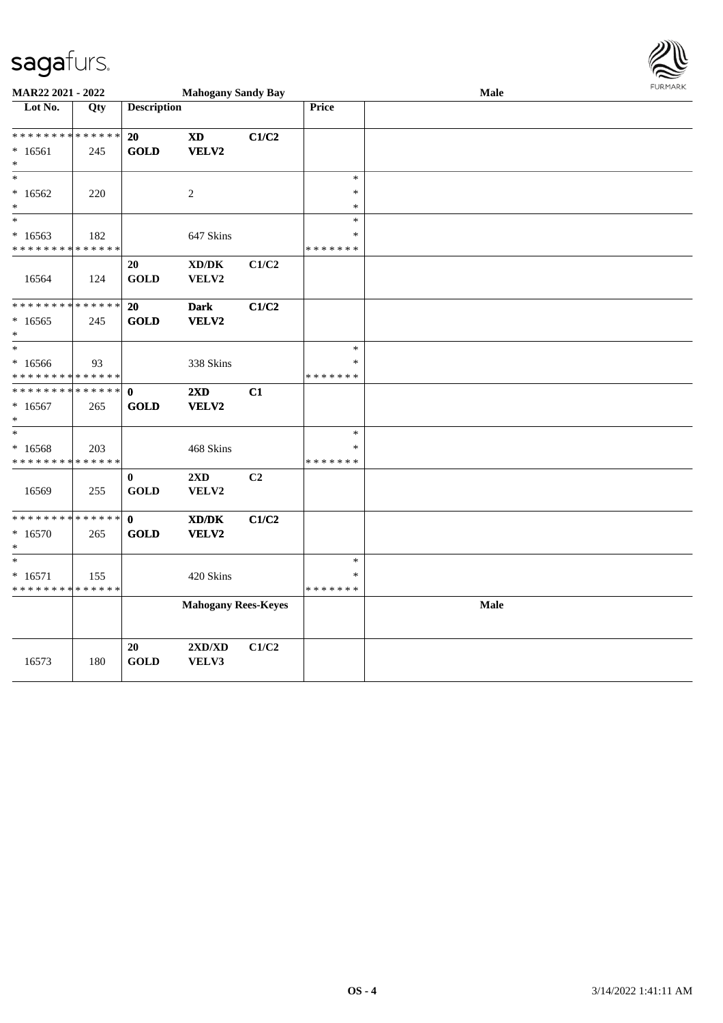

| MAR22 2021 - 2022                                                 |     |                             | <b>Mahogany Sandy Bay</b>                    |       |                                   | Male | <b>FURMARK</b> |
|-------------------------------------------------------------------|-----|-----------------------------|----------------------------------------------|-------|-----------------------------------|------|----------------|
| Lot No.                                                           | Qty | <b>Description</b>          |                                              |       | Price                             |      |                |
| * * * * * * * * * * * * * *<br>$*16561$<br>$\ast$                 | 245 | 20<br><b>GOLD</b>           | <b>XD</b><br>VELV2                           | C1/C2 |                                   |      |                |
| $\ast$<br>$*16562$<br>$\ast$                                      | 220 |                             | 2                                            |       | $\ast$<br>$\ast$<br>$\ast$        |      |                |
| $\ast$<br>$*16563$<br>* * * * * * * * * * * * * *                 | 182 |                             | 647 Skins                                    |       | $\ast$<br>$\ast$<br>* * * * * * * |      |                |
| 16564                                                             | 124 | 20<br><b>GOLD</b>           | $\bold{X}\bold{D}/\bold{D}\bold{K}$<br>VELV2 | C1/C2 |                                   |      |                |
| * * * * * * * * * * * * * *<br>$*16565$<br>$\ast$                 | 245 | 20<br><b>GOLD</b>           | <b>Dark</b><br>VELV2                         | C1/C2 |                                   |      |                |
| $\ast$<br>$*16566$<br>* * * * * * * * * * * * * *                 | 93  |                             | 338 Skins                                    |       | $\ast$<br>*<br>* * * * * * *      |      |                |
| * * * * * * * * * * * * * * *<br>$*16567$<br>$\ast$               | 265 | $\mathbf{0}$<br><b>GOLD</b> | 2XD<br>VELV2                                 | C1    |                                   |      |                |
| $\ast$<br>* 16568<br>* * * * * * * * * * * * * *                  | 203 |                             | 468 Skins                                    |       | $\ast$<br>$\ast$<br>* * * * * * * |      |                |
| 16569                                                             | 255 | $\bf{0}$<br><b>GOLD</b>     | 2XD<br>VELV2                                 | C2    |                                   |      |                |
| * * * * * * * * * * * * * *<br>$*16570$<br>$\ast$                 | 265 | $\mathbf{0}$<br><b>GOLD</b> | $\bold{X}\bold{D}/\bold{D}\bold{K}$<br>VELV2 | C1/C2 |                                   |      |                |
| $\ast$<br>$* 16571$<br>* * * * * * * * <mark>* * * * * * *</mark> | 155 |                             | 420 Skins                                    |       | $\ast$<br>$\ast$<br>* * * * * * * |      |                |
|                                                                   |     |                             | <b>Mahogany Rees-Keyes</b>                   |       |                                   | Male |                |
| 16573                                                             | 180 | 20<br><b>GOLD</b>           | $2{\bf X}{\bf D}/{\bf X}{\bf D}$<br>VELV3    | C1/C2 |                                   |      |                |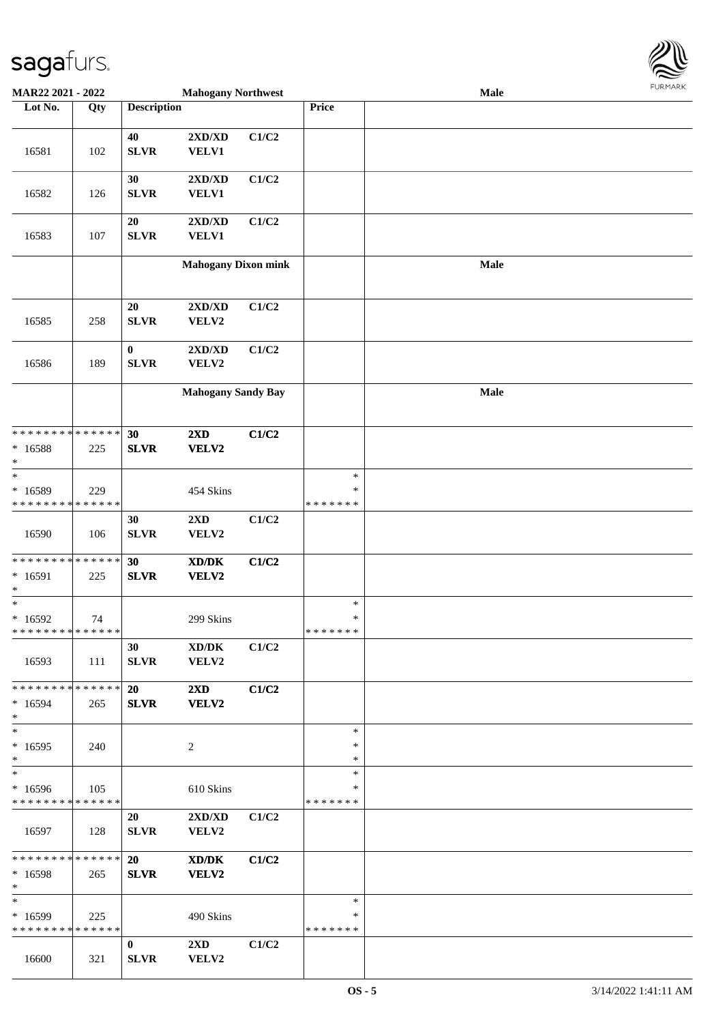

| <b>MAR22 2021 - 2022</b>                   |             |                    | <b>Mahogany Northwest</b>                   |       |               | Male |  |
|--------------------------------------------|-------------|--------------------|---------------------------------------------|-------|---------------|------|--|
| Lot No.                                    | Qty         | <b>Description</b> |                                             |       | Price         |      |  |
|                                            |             |                    |                                             |       |               |      |  |
|                                            |             | 40                 | 2XD/XD                                      | C1/C2 |               |      |  |
| 16581                                      | 102         | <b>SLVR</b>        | <b>VELV1</b>                                |       |               |      |  |
|                                            |             |                    |                                             |       |               |      |  |
|                                            |             | 30                 | 2XD/XD                                      | C1/C2 |               |      |  |
|                                            |             |                    |                                             |       |               |      |  |
| 16582                                      | 126         | <b>SLVR</b>        | <b>VELV1</b>                                |       |               |      |  |
|                                            |             |                    |                                             |       |               |      |  |
|                                            |             | 20                 | 2XD/XD                                      | C1/C2 |               |      |  |
| 16583                                      | 107         | <b>SLVR</b>        | VELV1                                       |       |               |      |  |
|                                            |             |                    |                                             |       |               |      |  |
|                                            |             |                    | <b>Mahogany Dixon mink</b>                  |       |               | Male |  |
|                                            |             |                    |                                             |       |               |      |  |
|                                            |             |                    |                                             |       |               |      |  |
|                                            |             | 20                 | 2XD/XD                                      | C1/C2 |               |      |  |
| 16585                                      | 258         | <b>SLVR</b>        | VELV2                                       |       |               |      |  |
|                                            |             |                    |                                             |       |               |      |  |
|                                            |             | $\bf{0}$           | 2XD/XD                                      | C1/C2 |               |      |  |
|                                            |             |                    |                                             |       |               |      |  |
| 16586                                      | 189         | <b>SLVR</b>        | VELV2                                       |       |               |      |  |
|                                            |             |                    |                                             |       |               |      |  |
|                                            |             |                    | <b>Mahogany Sandy Bay</b>                   |       |               | Male |  |
|                                            |             |                    |                                             |       |               |      |  |
|                                            |             |                    |                                             |       |               |      |  |
| * * * * * * * * <mark>* * * * * *</mark>   |             | 30                 | $2\mathbf{X}\mathbf{D}$                     | C1/C2 |               |      |  |
| * 16588                                    | 225         | <b>SLVR</b>        | VELV2                                       |       |               |      |  |
| $\ast$                                     |             |                    |                                             |       |               |      |  |
| $\ast$                                     |             |                    |                                             |       | $\ast$        |      |  |
| * 16589                                    | 229         |                    | 454 Skins                                   |       | $\ast$        |      |  |
| * * * * * * * *                            | * * * * * * |                    |                                             |       | * * * * * * * |      |  |
|                                            |             | 30                 | $2{\bf X}{\bf D}$                           | C1/C2 |               |      |  |
|                                            |             |                    |                                             |       |               |      |  |
| 16590                                      | 106         | ${\bf SLVR}$       | VELV2                                       |       |               |      |  |
|                                            |             |                    |                                             |       |               |      |  |
| * * * * * * * * * * * * * * *              |             | 30                 | $\mathbf{X}\mathbf{D}/\mathbf{D}\mathbf{K}$ | C1/C2 |               |      |  |
| $* 16591$                                  | 225         | <b>SLVR</b>        | VELV2                                       |       |               |      |  |
| $\ast$                                     |             |                    |                                             |       |               |      |  |
| $\ast$                                     |             |                    |                                             |       | $\ast$        |      |  |
| $*16592$                                   | 74          |                    | 299 Skins                                   |       | $\ast$        |      |  |
| * * * * * * * * <mark>* * * * * * *</mark> |             |                    |                                             |       | *******       |      |  |
|                                            |             | 30                 | XD/DK                                       | C1/C2 |               |      |  |
| 16593                                      | 111         | ${\bf SLVR}$       | VELV2                                       |       |               |      |  |
|                                            |             |                    |                                             |       |               |      |  |
| * * * * * * * * <mark>* * * * * *</mark> * |             | <b>20</b>          | $2\mathbf{X}\mathbf{D}$                     | C1/C2 |               |      |  |
|                                            |             |                    |                                             |       |               |      |  |
| $*16594$                                   | 265         | <b>SLVR</b>        | VELV2                                       |       |               |      |  |
| $\ast$                                     |             |                    |                                             |       |               |      |  |
| $*$                                        |             |                    |                                             |       | $\ast$        |      |  |
| $*16595$                                   | 240         |                    | 2                                           |       | $\ast$        |      |  |
| $\ast$                                     |             |                    |                                             |       | $\ast$        |      |  |
| $\ast$                                     |             |                    |                                             |       | $\ast$        |      |  |
| $*16596$                                   | 105         |                    | 610 Skins                                   |       | ∗             |      |  |
| * * * * * * * * * * * * * *                |             |                    |                                             |       | *******       |      |  |
|                                            |             | 20                 | 2XD/XD                                      | C1/C2 |               |      |  |
| 16597                                      | 128         | <b>SLVR</b>        | VELV2                                       |       |               |      |  |
|                                            |             |                    |                                             |       |               |      |  |
| * * * * * * * * <mark>* * * * * *</mark> * |             |                    |                                             |       |               |      |  |
|                                            |             | <b>20</b>          | XD/DK                                       | C1/C2 |               |      |  |
| * 16598                                    | 265         | <b>SLVR</b>        | VELV2                                       |       |               |      |  |
| $*$                                        |             |                    |                                             |       |               |      |  |
| $\ast$                                     |             |                    |                                             |       | $\ast$        |      |  |
| $*16599$                                   | 225         |                    | 490 Skins                                   |       | ∗             |      |  |
| * * * * * * * * * * * * * * *              |             |                    |                                             |       | * * * * * * * |      |  |
|                                            |             | $\mathbf{0}$       | $2\mathbf{X}\mathbf{D}$                     | C1/C2 |               |      |  |
| 16600                                      | 321         | <b>SLVR</b>        | VELV2                                       |       |               |      |  |
|                                            |             |                    |                                             |       |               |      |  |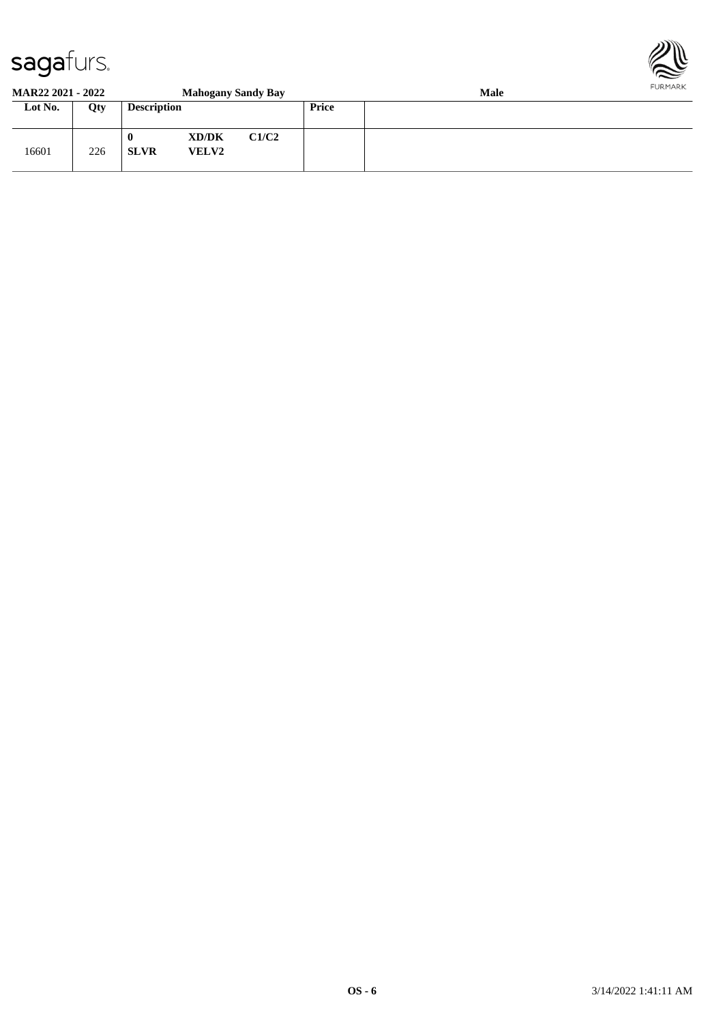

#### **MAR22 2021 - 2022 Mahogany Sandy Bay Male Lot No. Qty Description Price** 16601 226 **0 XD/DK C1/C2 SLVR VELV2**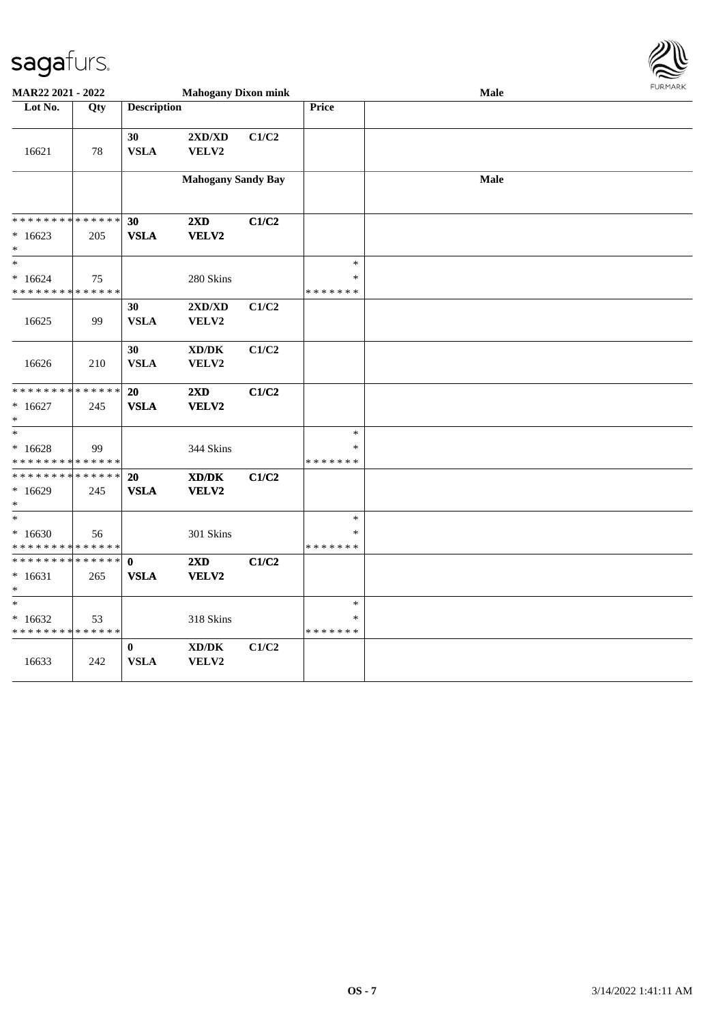

| MAR22 2021 - 2022                                   |                    |                            | <b>Mahogany Dixon mink</b>                   |       |                                   | Male | <b>FURMARK</b> |
|-----------------------------------------------------|--------------------|----------------------------|----------------------------------------------|-------|-----------------------------------|------|----------------|
| Lot No.                                             | Qty                | <b>Description</b>         |                                              |       | Price                             |      |                |
| 16621                                               | 78                 | 30<br><b>VSLA</b>          | $2{\bf X}{\bf D}/{\bf X}{\bf D}$<br>VELV2    | C1/C2 |                                   |      |                |
|                                                     |                    |                            | <b>Mahogany Sandy Bay</b>                    |       |                                   | Male |                |
| * * * * * * * * * * * * * *<br>$*16623$<br>$\ast$   | 205                | 30<br><b>VSLA</b>          | 2XD<br>VELV2                                 | C1/C2 |                                   |      |                |
| $\ast$<br>$*16624$<br>* * * * * * * * * * * * * *   | 75                 |                            | 280 Skins                                    |       | $\ast$<br>$\ast$<br>* * * * * * * |      |                |
| 16625                                               | 99                 | 30<br><b>VSLA</b>          | 2XD/XD<br>VELV2                              | C1/C2 |                                   |      |                |
| 16626                                               | 210                | 30<br><b>VSLA</b>          | XD/DK<br>VELV2                               | C1/C2 |                                   |      |                |
| * * * * * * * *<br>$*16627$<br>$\ast$               | * * * * * *<br>245 | 20<br><b>VSLA</b>          | 2XD<br>VELV2                                 | C1/C2 |                                   |      |                |
| $\ast$<br>$*16628$<br>* * * * * * * * * * * * * *   | 99                 |                            | 344 Skins                                    |       | $\ast$<br>*<br>* * * * * * *      |      |                |
| * * * * * * * * * * * * * *<br>$*16629$<br>$\ast$   | 245                | 20<br><b>VSLA</b>          | $\bold{X}\bold{D}/\bold{D}\bold{K}$<br>VELV2 | C1/C2 |                                   |      |                |
| $\ast$<br>$*16630$<br>* * * * * * * * * * * * * *   | 56                 |                            | 301 Skins                                    |       | $\ast$<br>$\ast$<br>* * * * * * * |      |                |
| * * * * * * * * * * * * * * *<br>$*16631$<br>$\ast$ | 265                | $\mathbf 0$<br><b>VSLA</b> | $2\mathbf{X}\mathbf{D}$<br>VELV2             | C1/C2 |                                   |      |                |
| $*$<br>$*16632$<br>* * * * * * * * * * * * * *      | 53                 |                            | 318 Skins                                    |       | $\ast$<br>∗<br>* * * * * * *      |      |                |
| 16633                                               | 242                | $\bf{0}$<br><b>VSLA</b>    | $\bold{X}\bold{D}/\bold{D}\bold{K}$<br>VELV2 | C1/C2 |                                   |      |                |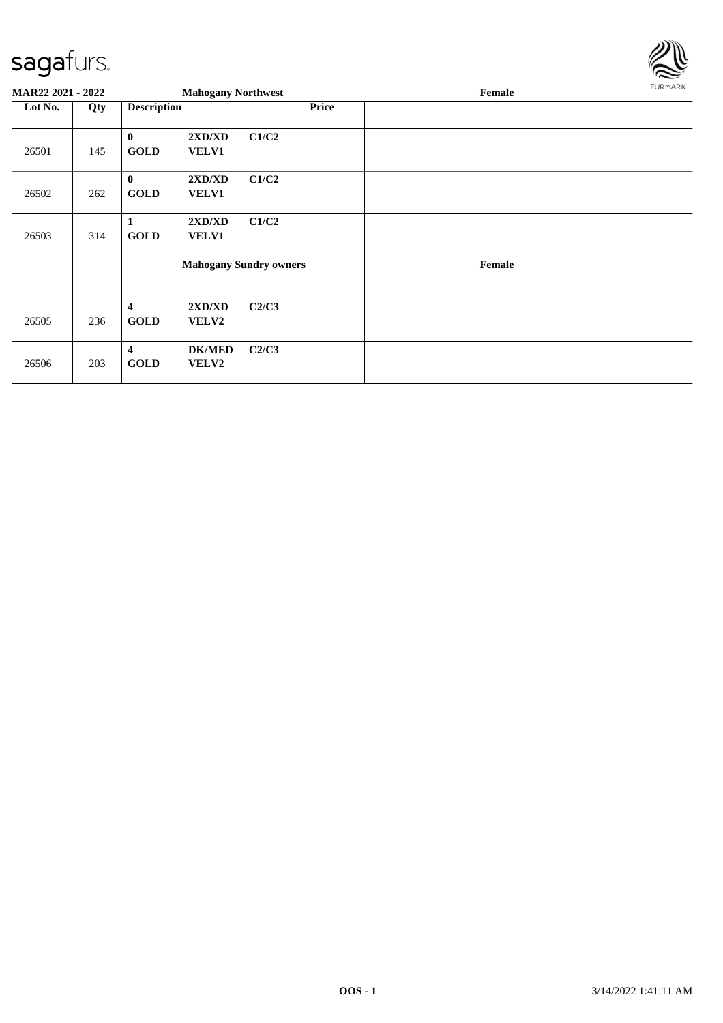

| <b>MAR22 2021 - 2022</b> |     |                                        | <b>Mahogany Northwest</b> |                               |              | Female | <b>FURMARK</b> |
|--------------------------|-----|----------------------------------------|---------------------------|-------------------------------|--------------|--------|----------------|
| Lot No.                  | Qty | <b>Description</b>                     |                           |                               | <b>Price</b> |        |                |
| 26501                    | 145 | $\bf{0}$<br><b>GOLD</b>                | 2XD/XD<br>VELV1           | C1/C2                         |              |        |                |
| 26502                    | 262 | $\mathbf{0}$<br><b>GOLD</b>            | 2XD/XD<br><b>VELV1</b>    | C1/C2                         |              |        |                |
| 26503                    | 314 | 1<br><b>GOLD</b>                       | 2XD/XD<br><b>VELV1</b>    | C1/C2                         |              |        |                |
|                          |     |                                        |                           | <b>Mahogany Sundry owners</b> |              | Female |                |
| 26505                    | 236 | $\overline{\mathbf{4}}$<br><b>GOLD</b> | 2XD/XD<br><b>VELV2</b>    | C2/C3                         |              |        |                |
| 26506                    | 203 | $\overline{\mathbf{4}}$<br><b>GOLD</b> | <b>DK/MED</b><br>VELV2    | C2/C3                         |              |        |                |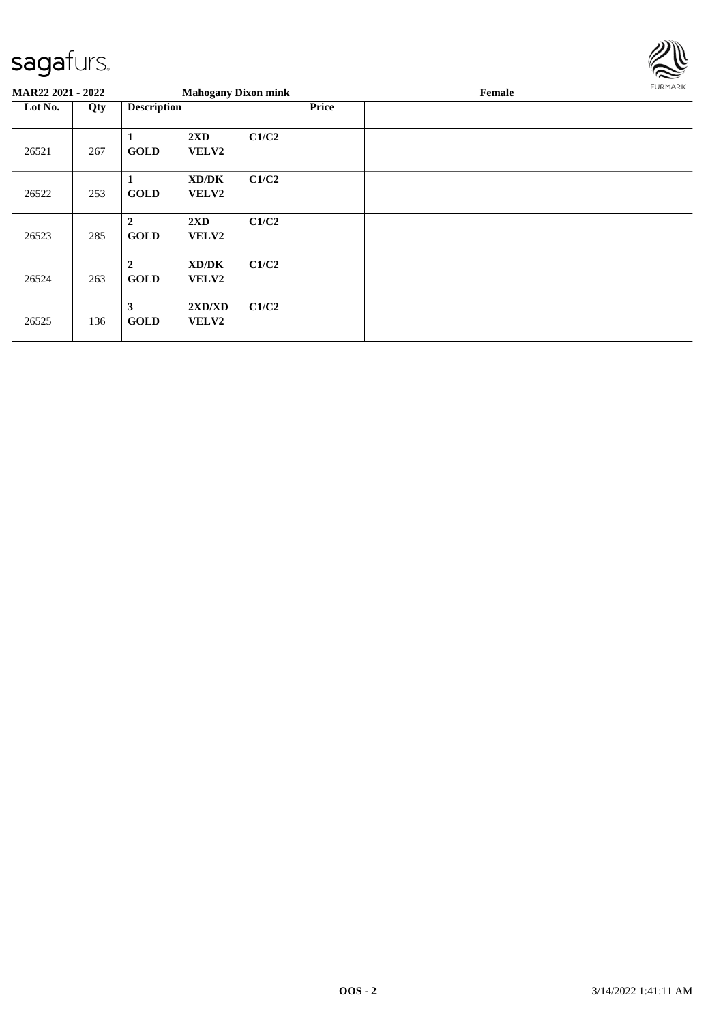

| <b>MAR22 2021 - 2022</b> |     |                                 | <b>Mahogany Dixon mink</b>       |       |              | Female | FURMARK |
|--------------------------|-----|---------------------------------|----------------------------------|-------|--------------|--------|---------|
| Lot No.                  | Qty | <b>Description</b>              |                                  |       | <b>Price</b> |        |         |
| 26521                    | 267 | 1<br><b>GOLD</b>                | 2XD<br><b>VELV2</b>              | C1/C2 |              |        |         |
| 26522                    | 253 | -1<br><b>GOLD</b>               | XD/DK<br>VELV2                   | C1/C2 |              |        |         |
| 26523                    | 285 | $\overline{2}$<br><b>GOLD</b>   | $2\mathbf{X}\mathbf{D}$<br>VELV2 | C1/C2 |              |        |         |
| 26524                    | 263 | $\boldsymbol{2}$<br><b>GOLD</b> | XD/DK<br><b>VELV2</b>            | C1/C2 |              |        |         |
| 26525                    | 136 | 3<br><b>GOLD</b>                | 2XD/XD<br><b>VELV2</b>           | C1/C2 |              |        |         |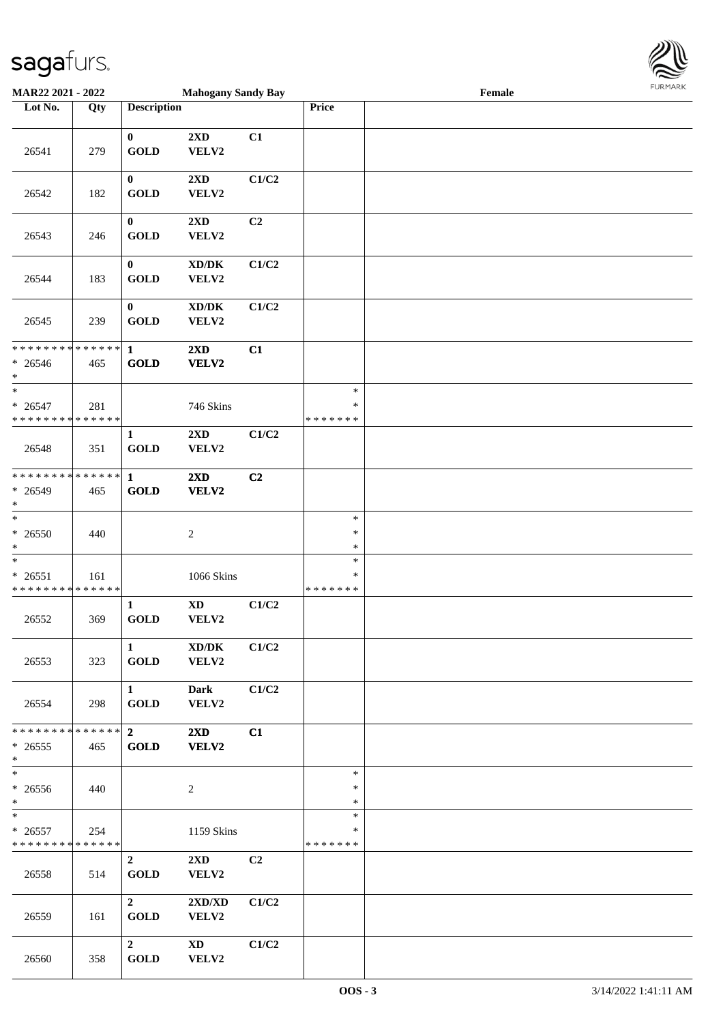

| MAR22 2021 - 2022                                  |     |                                       | <b>Mahogany Sandy Bay</b>                    |                |                                   | Female |  |
|----------------------------------------------------|-----|---------------------------------------|----------------------------------------------|----------------|-----------------------------------|--------|--|
| Lot No.                                            | Qty | <b>Description</b>                    |                                              |                | Price                             |        |  |
| 26541                                              | 279 | $\bf{0}$<br><b>GOLD</b>               | 2XD<br>VELV2                                 | C1             |                                   |        |  |
| 26542                                              | 182 | $\bf{0}$<br><b>GOLD</b>               | 2XD<br>VELV2                                 | C1/C2          |                                   |        |  |
| 26543                                              | 246 | $\bf{0}$<br><b>GOLD</b>               | 2XD<br>VELV2                                 | C <sub>2</sub> |                                   |        |  |
| 26544                                              | 183 | $\bf{0}$<br><b>GOLD</b>               | $\bold{X}\bold{D}/\bold{D}\bold{K}$<br>VELV2 | C1/C2          |                                   |        |  |
| 26545                                              | 239 | $\boldsymbol{0}$<br><b>GOLD</b>       | $\bold{X}\bold{D}/\bold{D}\bold{K}$<br>VELV2 | C1/C2          |                                   |        |  |
| * * * * * * * * * * * * * *<br>$* 26546$<br>$*$    | 465 | $\mathbf{1}$<br><b>GOLD</b>           | 2XD<br>VELV2                                 | C1             |                                   |        |  |
| $\ast$<br>$* 26547$<br>* * * * * * * * * * * * * * | 281 |                                       | 746 Skins                                    |                | $\ast$<br>$\ast$<br>* * * * * * * |        |  |
| 26548                                              | 351 | 1<br><b>GOLD</b>                      | $2\mathbf{X}\mathbf{D}$<br>VELV2             | C1/C2          |                                   |        |  |
| * * * * * * * * * * * * * *<br>* 26549<br>$\ast$   | 465 | $\mathbf{1}$<br><b>GOLD</b>           | 2XD<br>VELV2                                 | C2             |                                   |        |  |
| $\ast$<br>$* 26550$<br>$\ast$                      | 440 |                                       | $\sqrt{2}$                                   |                | $\ast$<br>$\ast$<br>$\ast$        |        |  |
| $\ast$<br>$* 26551$<br>* * * * * * * * * * * * * * | 161 |                                       | 1066 Skins                                   |                | $\ast$<br>$\ast$<br>*******       |        |  |
| 26552                                              | 369 | $\mathbf{1}$<br><b>GOLD</b>           | $\mathbf{X}\mathbf{D}$<br>VELV2              | C1/C2          |                                   |        |  |
| 26553                                              | 323 | $\mathbf{1}$<br><b>GOLD</b>           | XD/DK<br>VELV2                               | C1/C2          |                                   |        |  |
| 26554                                              | 298 | $1 \quad \blacksquare$<br><b>GOLD</b> | <b>Dark</b><br>VELV2                         | C1/C2          |                                   |        |  |
| * * * * * * * * * * * * * * *<br>$*26555$<br>$*$   | 465 | $2^{\circ}$<br><b>GOLD</b>            | $2\mathbf{X}\mathbf{D}$<br><b>VELV2</b>      | C1             |                                   |        |  |
| $\overline{\ }$<br>$* 26556$<br>$*$                | 440 |                                       | $\overline{c}$                               |                | $\ast$<br>$\ast$<br>$\ast$        |        |  |
| $*$<br>$* 26557$<br>* * * * * * * * * * * * * *    | 254 |                                       | 1159 Skins                                   |                | $\ast$<br>$\ast$<br>*******       |        |  |
| 26558                                              | 514 | $\overline{2}$<br><b>GOLD</b>         | $2\mathbf{X}\mathbf{D}$<br>VELV2             | C <sub>2</sub> |                                   |        |  |
| 26559                                              | 161 | $2^{\circ}$<br><b>GOLD</b>            | 2XD/XD<br>VELV2                              | C1/C2          |                                   |        |  |
| 26560                                              | 358 | $\overline{2}$<br><b>GOLD</b>         | XD<br>VELV2                                  | C1/C2          |                                   |        |  |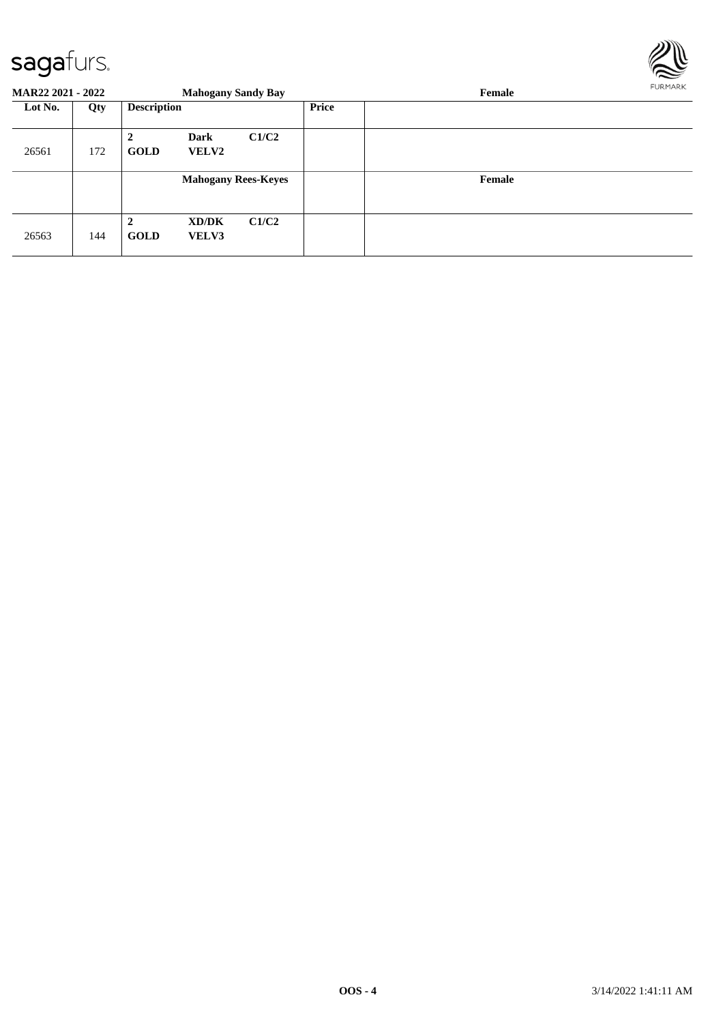

| <b>MAR22 2021 - 2022</b> |     |                                        | <b>Mahogany Sandy Bay</b>   |       |       | Female | FURMARK |
|--------------------------|-----|----------------------------------------|-----------------------------|-------|-------|--------|---------|
| Lot No.                  | Qty | <b>Description</b>                     |                             |       | Price |        |         |
| 26561                    | 172 | $\overline{\mathbf{2}}$<br><b>GOLD</b> | <b>Dark</b><br><b>VELV2</b> | C1/C2 |       |        |         |
|                          |     |                                        | <b>Mahogany Rees-Keyes</b>  |       |       | Female |         |
| 26563                    | 144 | $\mathbf 2$<br><b>GOLD</b>             | XD/DK<br><b>VELV3</b>       | C1/C2 |       |        |         |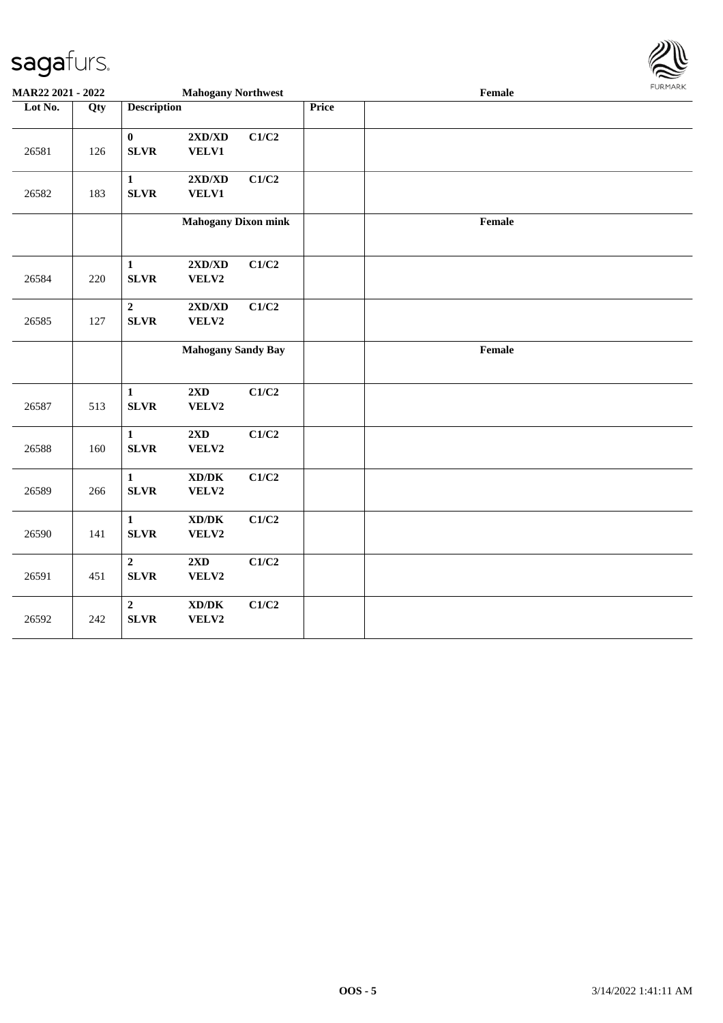

| MAR22 2021 - 2022 |     |                                 | <b>Mahogany Northwest</b>                            |       |       | $\ensuremath{\textnormal{\textbf{Female}}}$ | <b>FURPIARA</b> |
|-------------------|-----|---------------------------------|------------------------------------------------------|-------|-------|---------------------------------------------|-----------------|
| Lot No.           | Qty | <b>Description</b>              |                                                      |       | Price |                                             |                 |
| 26581             | 126 | $\bf{0}$<br><b>SLVR</b>         | $2{\bf X}{\bf D}/{\bf X}{\bf D}$<br>VELV1            | C1/C2 |       |                                             |                 |
| 26582             | 183 | $\mathbf{1}$<br><b>SLVR</b>     | $2{\bf X}{\bf D}/{\bf X}{\bf D}$<br>VELV1            | C1/C2 |       |                                             |                 |
|                   |     |                                 | <b>Mahogany Dixon mink</b>                           |       |       | Female                                      |                 |
| 26584             | 220 | $\mathbf{1}$<br><b>SLVR</b>     | $2{\bf X}{\bf D}/{\bf X}{\bf D}$<br>VELV2            | C1/C2 |       |                                             |                 |
| 26585             | 127 | $\boldsymbol{2}$<br><b>SLVR</b> | $2{\bf X}{\bf D}/{\bf X}{\bf D}$<br>VELV2            | C1/C2 |       |                                             |                 |
|                   |     |                                 | <b>Mahogany Sandy Bay</b>                            |       |       | Female                                      |                 |
| 26587             | 513 | $\mathbf{1}$<br><b>SLVR</b>     | 2XD<br>VELV2                                         | C1/C2 |       |                                             |                 |
| 26588             | 160 | $\mathbf{1}$<br><b>SLVR</b>     | 2XD<br>VELV2                                         | C1/C2 |       |                                             |                 |
| 26589             | 266 | $\mathbf{1}$<br><b>SLVR</b>     | $\mathbf{X}\mathbf{D}/\mathbf{D}\mathbf{K}$<br>VELV2 | C1/C2 |       |                                             |                 |
| 26590             | 141 | $\mathbf{1}$<br><b>SLVR</b>     | $\mathbf{X}\mathbf{D}/\mathbf{D}\mathbf{K}$<br>VELV2 | C1/C2 |       |                                             |                 |
| 26591             | 451 | $\overline{2}$<br><b>SLVR</b>   | 2XD<br>VELV2                                         | C1/C2 |       |                                             |                 |
| 26592             | 242 | $\overline{2}$<br><b>SLVR</b>   | $\bold{X}\bold{D}/\bold{D}\bold{K}$<br>VELV2         | C1/C2 |       |                                             |                 |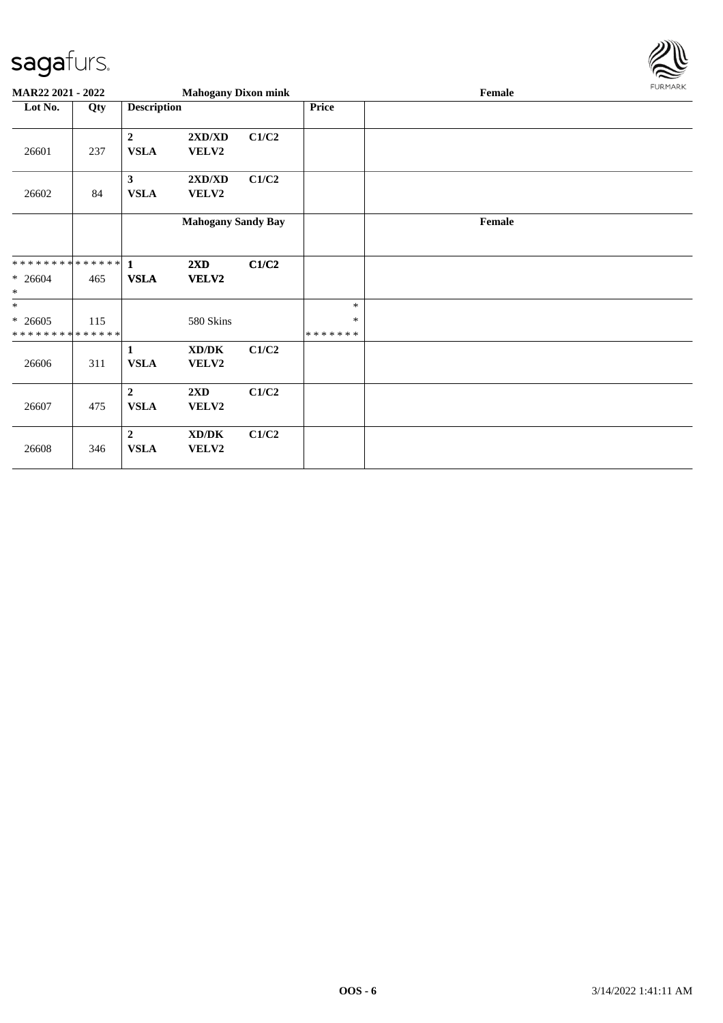

| MAR22 2021 - 2022                        |     |                               | <b>Mahogany Dixon mink</b> |       |                         | Female | <b>FURMARK</b> |
|------------------------------------------|-----|-------------------------------|----------------------------|-------|-------------------------|--------|----------------|
| Lot No.                                  | Qty | <b>Description</b>            |                            |       | <b>Price</b>            |        |                |
| 26601                                    | 237 | $\overline{2}$<br><b>VSLA</b> | 2XD/XD<br>VELV2            | C1/C2 |                         |        |                |
| 26602                                    | 84  | $\mathbf{3}$<br><b>VSLA</b>   | 2XD/XD<br>VELV2            | C1/C2 |                         |        |                |
|                                          |     |                               | <b>Mahogany Sandy Bay</b>  |       |                         | Female |                |
| **************                           |     | $\blacksquare$                | 2XD                        | C1/C2 |                         |        |                |
| $* 26604$<br>$\ast$                      | 465 | <b>VSLA</b>                   | VELV2                      |       |                         |        |                |
| $\ast$                                   |     |                               |                            |       | $\ast$                  |        |                |
| $* 26605$<br>* * * * * * * * * * * * * * | 115 |                               | 580 Skins                  |       | $\ast$<br>* * * * * * * |        |                |
| 26606                                    | 311 | $\mathbf{1}$<br><b>VSLA</b>   | XD/DK<br>VELV2             | C1/C2 |                         |        |                |
| 26607                                    | 475 | $\overline{2}$<br><b>VSLA</b> | 2XD<br>VELV2               | C1/C2 |                         |        |                |
| 26608                                    | 346 | $\overline{2}$<br><b>VSLA</b> | XD/DK<br>VELV2             | C1/C2 |                         |        |                |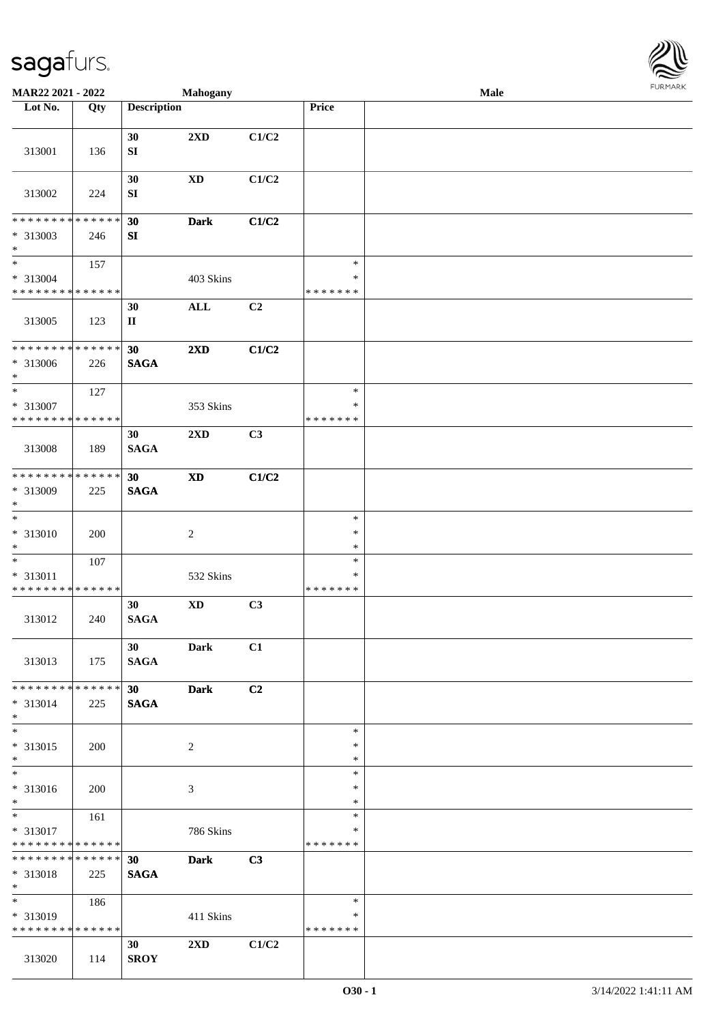

| MAR22 2021 - 2022                                                      |                    |                                | Mahogany                   |       |                                   | <b>Male</b> |  |
|------------------------------------------------------------------------|--------------------|--------------------------------|----------------------------|-------|-----------------------------------|-------------|--|
| Lot No.                                                                | Qty                | <b>Description</b>             |                            |       | <b>Price</b>                      |             |  |
| 313001                                                                 | 136                | 30<br>${\bf S}{\bf I}$         | $2\mathbf{X}\mathbf{D}$    | C1/C2 |                                   |             |  |
| 313002                                                                 | 224                | 30<br>SI                       | $\mathbf{X}\mathbf{D}$     | C1/C2 |                                   |             |  |
| ********<br>* 313003                                                   | * * * * * *<br>246 | 30<br>${\bf SI}$               | <b>Dark</b>                | C1/C2 |                                   |             |  |
| $\ast$<br>$\overline{\ast}$<br>* 313004<br>* * * * * * * * * * * * * * | 157                |                                | $403~\mathrm{Skins}$       |       | $\ast$<br>$\ast$<br>* * * * * * * |             |  |
| 313005                                                                 | 123                | 30<br>$\mathbf H$              | $\mathbf{ALL}$             | C2    |                                   |             |  |
| * * * * * * * * *<br>$* 313006$<br>$\ast$                              | * * * * * *<br>226 | 30<br><b>SAGA</b>              | 2XD                        | C1/C2 |                                   |             |  |
| $\overline{\ast}$<br>* 313007<br>* * * * * * * * * * * * * *           | 127                |                                | 353 Skins                  |       | $\ast$<br>$\ast$<br>* * * * * * * |             |  |
| 313008                                                                 | 189                | 30<br><b>SAGA</b>              | 2XD                        | C3    |                                   |             |  |
| * * * * * * * *<br>* 313009<br>$\ast$                                  | * * * * * *<br>225 | 30<br><b>SAGA</b>              | $\boldsymbol{\mathrm{XD}}$ | C1/C2 |                                   |             |  |
| $\ast$<br>$* 313010$<br>$\ast$                                         | 200                |                                | $\boldsymbol{2}$           |       | $\ast$<br>$\ast$<br>$\ast$        |             |  |
| $\ast$<br>* 313011<br>* * * * * * * * * * * * * *                      | 107                |                                | 532 Skins                  |       | $\ast$<br>$\ast$<br>* * * * * * * |             |  |
| 313012                                                                 | 240                | 30<br><b>SAGA</b>              | $\mathbf{X}\mathbf{D}$     | C3    |                                   |             |  |
| 313013                                                                 | 175                | 30 <sup>°</sup><br><b>SAGA</b> | <b>Dark</b>                | C1    |                                   |             |  |
| **************<br>* 313014<br>$*$                                      | 225                | 30 <sub>o</sub><br><b>SAGA</b> | <b>Dark</b>                | C2    |                                   |             |  |
| $\ast$<br>* 313015<br>$*$                                              | 200                |                                | 2                          |       | $\ast$<br>$\ast$<br>$\ast$        |             |  |
| $\overline{\phantom{1}}$<br>* 313016<br>$*$                            | 200                |                                | 3                          |       | $\ast$<br>∗<br>$\ast$             |             |  |
| $\ast$<br>* 313017<br>* * * * * * * * * * * * * *                      | 161                |                                | 786 Skins                  |       | $\ast$<br>$\ast$<br>* * * * * * * |             |  |
| * * * * * * * * * * * * * *<br>* 313018<br>$*$                         | 225                | 30 <sup>°</sup><br><b>SAGA</b> | <b>Dark</b>                | C3    |                                   |             |  |
| $\overline{\phantom{0}}$<br>* 313019<br>* * * * * * * * * * * * * *    | 186                |                                | 411 Skins                  |       | $\ast$<br>∗<br>* * * * * * *      |             |  |
| 313020                                                                 | 114                | 30<br><b>SROY</b>              | 2XD                        | C1/C2 |                                   |             |  |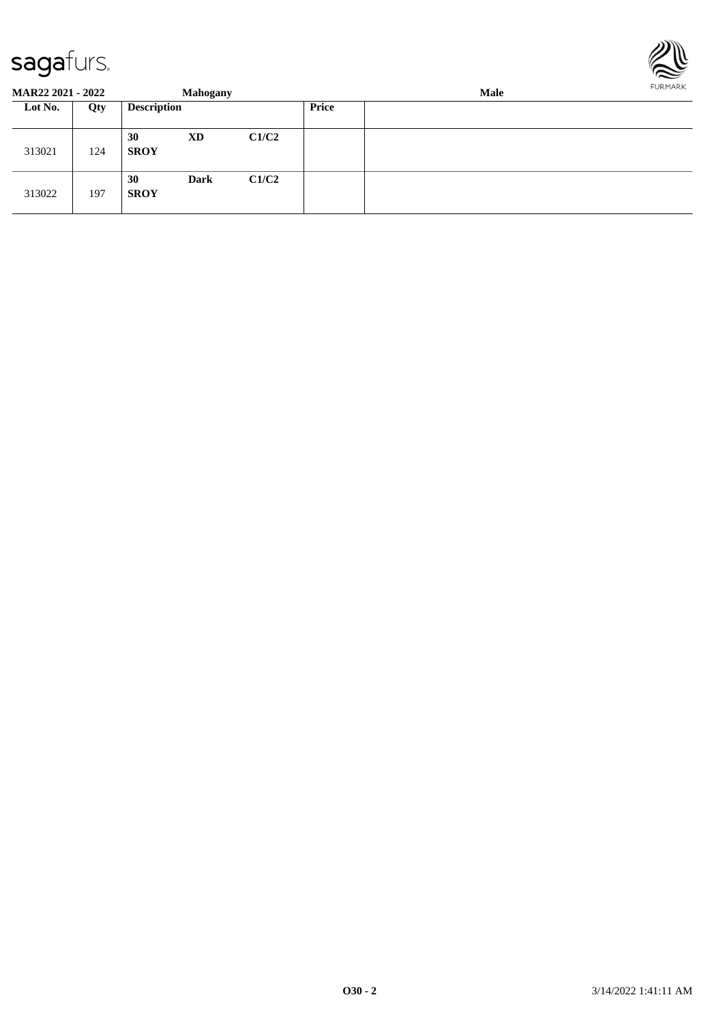

| <b>MAR22 2021 - 2022</b> |     |                    | <b>Mahogany</b> |       |       | Male | FURMARK |
|--------------------------|-----|--------------------|-----------------|-------|-------|------|---------|
| Lot No.                  | Qty | <b>Description</b> |                 |       | Price |      |         |
| 313021                   | 124 | 30<br><b>SROY</b>  | XD              | C1/C2 |       |      |         |
| 313022                   | 197 | 30<br><b>SROY</b>  | <b>Dark</b>     | C1/C2 |       |      |         |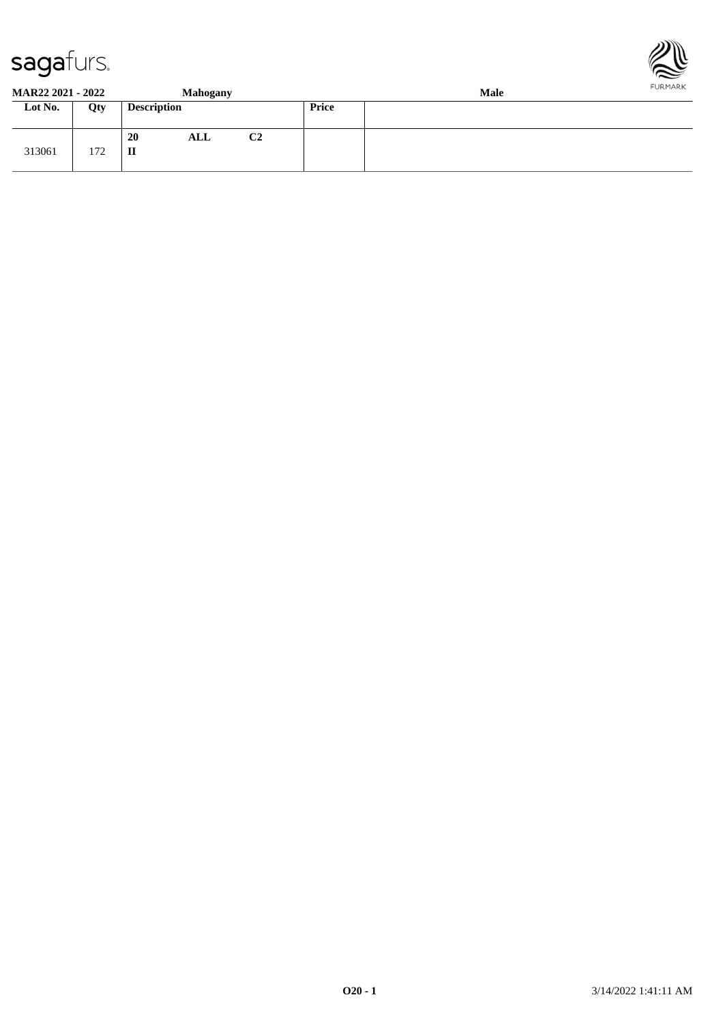



**MAR22 2021 - 2022 Mahogany Male**

| IVIAIN <i>aa A</i> vai – <i>A</i> vaa |                 |                    | манодану |                |              | wiaic |
|---------------------------------------|-----------------|--------------------|----------|----------------|--------------|-------|
| Lot No.                               | Qty             | <b>Description</b> |          |                | <b>Price</b> |       |
| 313061                                | 170<br>$1/\sim$ | 20<br>П            | ALL      | C <sub>2</sub> |              |       |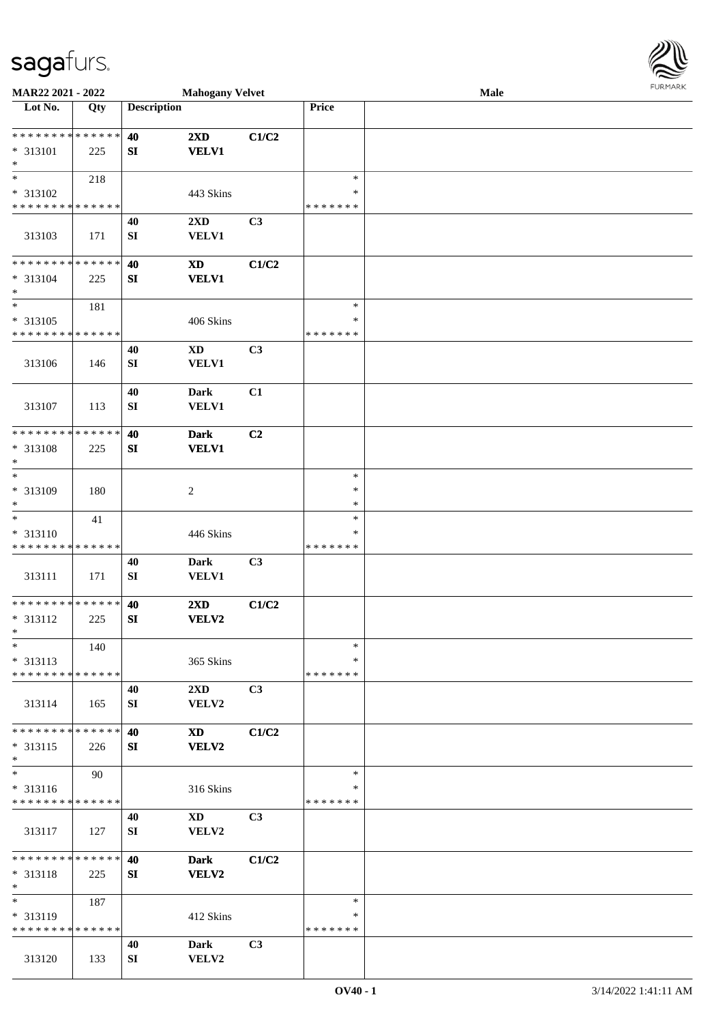

| MAR22 2021 - 2022            |     |                    | <b>Mahogany Velvet</b> |       |               | Male |  |
|------------------------------|-----|--------------------|------------------------|-------|---------------|------|--|
| Lot No.                      | Qty | <b>Description</b> |                        |       | Price         |      |  |
|                              |     |                    |                        |       |               |      |  |
| **************               |     | 40                 | 2XD                    | C1/C2 |               |      |  |
| * 313101                     | 225 | SI                 | <b>VELV1</b>           |       |               |      |  |
| $\ast$                       |     |                    |                        |       |               |      |  |
| $\ast$                       | 218 |                    |                        |       | $\ast$        |      |  |
|                              |     |                    |                        |       | ∗             |      |  |
| * 313102                     |     |                    | 443 Skins              |       |               |      |  |
| * * * * * * * * * * * * * *  |     |                    |                        |       | * * * * * * * |      |  |
|                              |     | 40                 | 2XD                    | C3    |               |      |  |
| 313103                       | 171 | SI                 | <b>VELV1</b>           |       |               |      |  |
|                              |     |                    |                        |       |               |      |  |
| * * * * * * * * * * * * * *  |     | 40                 | <b>XD</b>              | C1/C2 |               |      |  |
| * 313104                     | 225 | ${\bf S}{\bf I}$   | <b>VELV1</b>           |       |               |      |  |
| $\ast$                       |     |                    |                        |       |               |      |  |
| $\overline{\phantom{1}}$     | 181 |                    |                        |       | $\ast$        |      |  |
| $* 313105$                   |     |                    | 406 Skins              |       | $\ast$        |      |  |
| * * * * * * * * * * * * * *  |     |                    |                        |       | * * * * * * * |      |  |
|                              |     | 40                 | $\mathbf{X}\mathbf{D}$ | C3    |               |      |  |
|                              |     |                    | <b>VELV1</b>           |       |               |      |  |
| 313106                       | 146 | ${\bf SI}$         |                        |       |               |      |  |
|                              |     |                    |                        |       |               |      |  |
|                              |     | 40                 | <b>Dark</b>            | C1    |               |      |  |
| 313107                       | 113 | ${\bf SI}$         | <b>VELV1</b>           |       |               |      |  |
|                              |     |                    |                        |       |               |      |  |
| * * * * * * * * * * * * * *  |     | 40                 | <b>Dark</b>            | C2    |               |      |  |
| * 313108                     | 225 | SI                 | <b>VELV1</b>           |       |               |      |  |
| $\ast$                       |     |                    |                        |       |               |      |  |
| $\ast$                       |     |                    |                        |       | $\ast$        |      |  |
| * 313109                     | 180 |                    | $\sqrt{2}$             |       | $\ast$        |      |  |
| $\ast$                       |     |                    |                        |       | $\ast$        |      |  |
| $\ast$                       | 41  |                    |                        |       | $\ast$        |      |  |
| * 313110                     |     |                    | 446 Skins              |       | ∗             |      |  |
| * * * * * * * * * * * * * *  |     |                    |                        |       | * * * * * * * |      |  |
|                              |     | 40                 |                        | C3    |               |      |  |
|                              |     |                    | Dark                   |       |               |      |  |
| 313111                       | 171 | SI                 | VELV1                  |       |               |      |  |
| ******** <mark>******</mark> |     |                    |                        |       |               |      |  |
|                              |     | 40                 | 2XD                    | C1/C2 |               |      |  |
| * 313112                     | 225 | SI                 | VELV2                  |       |               |      |  |
| $*$                          |     |                    |                        |       |               |      |  |
| $*$                          | 140 |                    |                        |       | $\ast$        |      |  |
| * 313113                     |     |                    | 365 Skins              |       | ∗             |      |  |
| ******** <mark>******</mark> |     |                    |                        |       | * * * * * * * |      |  |
|                              |     | 40                 | 2XD                    | C3    |               |      |  |
| 313114                       | 165 | SI                 | VELV2                  |       |               |      |  |
|                              |     |                    |                        |       |               |      |  |
| ******** <mark>******</mark> |     | 40                 | XD                     | C1/C2 |               |      |  |
| $* 313115$                   | 226 | SI                 | <b>VELV2</b>           |       |               |      |  |
| $\ast$                       |     |                    |                        |       |               |      |  |
| $\frac{1}{1}$                | 90  |                    |                        |       | $\ast$        |      |  |
| $* 313116$                   |     |                    |                        |       | ∗             |      |  |
| * * * * * * * * * * * * * *  |     |                    | 316 Skins              |       | * * * * * * * |      |  |
|                              |     |                    |                        |       |               |      |  |
|                              |     | 40                 | <b>XD</b>              | C3    |               |      |  |
| 313117                       | 127 | SI                 | VELV2                  |       |               |      |  |
|                              |     |                    |                        |       |               |      |  |
| **************               |     | 40                 | <b>Dark</b>            | C1/C2 |               |      |  |
| $* 313118$                   | 225 | SI                 | <b>VELV2</b>           |       |               |      |  |
| $\ast$                       |     |                    |                        |       |               |      |  |
| $\ast$                       | 187 |                    |                        |       | $\ast$        |      |  |
| * 313119                     |     |                    | 412 Skins              |       | ∗             |      |  |
| * * * * * * * * * * * * * *  |     |                    |                        |       | * * * * * * * |      |  |
|                              |     | 40                 | <b>Dark</b>            | C3    |               |      |  |
| 313120                       | 133 | SI                 | VELV2                  |       |               |      |  |
|                              |     |                    |                        |       |               |      |  |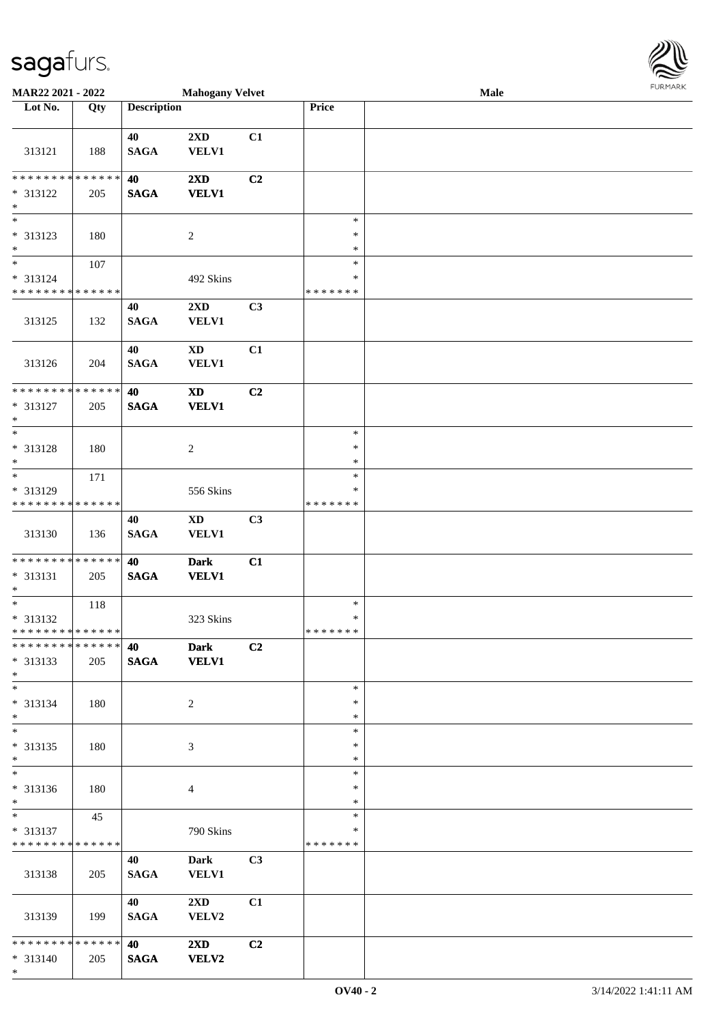\*

| <b>MAR22 2021 - 2022</b>                   |     |                    | <b>Mahogany Velvet</b>  |                |               | Male |  |
|--------------------------------------------|-----|--------------------|-------------------------|----------------|---------------|------|--|
| Lot No.                                    | Qty | <b>Description</b> |                         |                | Price         |      |  |
|                                            |     |                    |                         |                |               |      |  |
|                                            |     | 40                 | 2XD                     | C1             |               |      |  |
| 313121                                     | 188 | <b>SAGA</b>        | <b>VELV1</b>            |                |               |      |  |
|                                            |     |                    |                         |                |               |      |  |
| * * * * * * * * <mark>* * * * * * *</mark> |     | 40                 | 2XD                     | C2             |               |      |  |
| * 313122                                   | 205 | <b>SAGA</b>        | <b>VELV1</b>            |                |               |      |  |
| $\ast$                                     |     |                    |                         |                |               |      |  |
| $\overline{\phantom{0}}$                   |     |                    |                         |                | $\ast$        |      |  |
| * 313123                                   | 180 |                    | $\sqrt{2}$              |                | $\ast$        |      |  |
| $\ast$                                     |     |                    |                         |                | $\ast$        |      |  |
| $\overline{\ast}$                          | 107 |                    |                         |                | $\ast$        |      |  |
| * 313124                                   |     |                    | 492 Skins               |                | ∗             |      |  |
| * * * * * * * * <mark>* * * * * * *</mark> |     |                    |                         |                | * * * * * * * |      |  |
|                                            |     | 40                 | $2{\bf X}{\bf D}$       | C3             |               |      |  |
|                                            |     |                    |                         |                |               |      |  |
| 313125                                     | 132 | <b>SAGA</b>        | <b>VELV1</b>            |                |               |      |  |
|                                            |     |                    |                         |                |               |      |  |
|                                            |     | 40                 | $\mathbf{X}\mathbf{D}$  | C1             |               |      |  |
| 313126                                     | 204 | <b>SAGA</b>        | <b>VELV1</b>            |                |               |      |  |
|                                            |     |                    |                         |                |               |      |  |
| * * * * * * * * * * * * * *                |     | 40                 | <b>XD</b>               | C2             |               |      |  |
| * 313127                                   | 205 | <b>SAGA</b>        | <b>VELV1</b>            |                |               |      |  |
| $\ast$                                     |     |                    |                         |                |               |      |  |
|                                            |     |                    |                         |                | $\ast$        |      |  |
| * 313128                                   | 180 |                    | 2                       |                | $\ast$        |      |  |
| $\ast$                                     |     |                    |                         |                | $\ast$        |      |  |
|                                            | 171 |                    |                         |                | $\ast$        |      |  |
| * 313129                                   |     |                    | 556 Skins               |                | ∗             |      |  |
| * * * * * * * * <mark>* * * * * * *</mark> |     |                    |                         |                | * * * * * * * |      |  |
|                                            |     | 40                 | $\mathbf{X}\mathbf{D}$  | C3             |               |      |  |
| 313130                                     | 136 | <b>SAGA</b>        | <b>VELV1</b>            |                |               |      |  |
|                                            |     |                    |                         |                |               |      |  |
| * * * * * * * * <mark>* * * * * * *</mark> |     | 40                 |                         |                |               |      |  |
|                                            |     |                    | <b>Dark</b>             | C1             |               |      |  |
| * 313131                                   | 205 | <b>SAGA</b>        | <b>VELV1</b>            |                |               |      |  |
| $*$                                        |     |                    |                         |                |               |      |  |
|                                            | 118 |                    |                         |                | $\ast$        |      |  |
| * 313132                                   |     |                    | 323 Skins               |                | $\ast$        |      |  |
| * * * * * * * * <mark>* * * * * * *</mark> |     |                    |                         |                | *******       |      |  |
| * * * * * * * * <mark>* * * * * * *</mark> |     | 40                 | <b>Dark</b>             | C2             |               |      |  |
| * 313133                                   | 205 | <b>SAGA</b>        | <b>VELV1</b>            |                |               |      |  |
| $*$                                        |     |                    |                         |                |               |      |  |
| $\ast$                                     |     |                    |                         |                | $\ast$        |      |  |
| * 313134                                   | 180 |                    | 2                       |                | ∗             |      |  |
| $\ast$                                     |     |                    |                         |                | $\ast$        |      |  |
| $\overline{\phantom{0}}$                   |     |                    |                         |                | $\ast$        |      |  |
| * 313135                                   | 180 |                    | 3                       |                | ∗             |      |  |
| $*$                                        |     |                    |                         |                | $\ast$        |      |  |
| $\ast$                                     |     |                    |                         |                | $\ast$        |      |  |
| * 313136                                   | 180 |                    | 4                       |                | $\ast$        |      |  |
| $*$                                        |     |                    |                         |                | $\ast$        |      |  |
| $*$                                        | 45  |                    |                         |                | $\ast$        |      |  |
| * 313137                                   |     |                    | 790 Skins               |                | ∗             |      |  |
| * * * * * * * * <mark>* * * * * * *</mark> |     |                    |                         |                | * * * * * * * |      |  |
|                                            |     | 40                 | <b>Dark</b>             | C <sub>3</sub> |               |      |  |
| 313138                                     | 205 | <b>SAGA</b>        | <b>VELV1</b>            |                |               |      |  |
|                                            |     |                    |                         |                |               |      |  |
|                                            |     | 40                 | $2\mathbf{X}\mathbf{D}$ | C1             |               |      |  |
| 313139                                     | 199 |                    |                         |                |               |      |  |
|                                            |     | <b>SAGA</b>        | VELV2                   |                |               |      |  |
| * * * * * * * * <mark>* * * * * * *</mark> |     |                    |                         |                |               |      |  |
|                                            |     | 40                 | $2\mathbf{X}\mathbf{D}$ | C <sub>2</sub> |               |      |  |
| * 313140                                   | 205 | <b>SAGA</b>        | <b>VELV2</b>            |                |               |      |  |

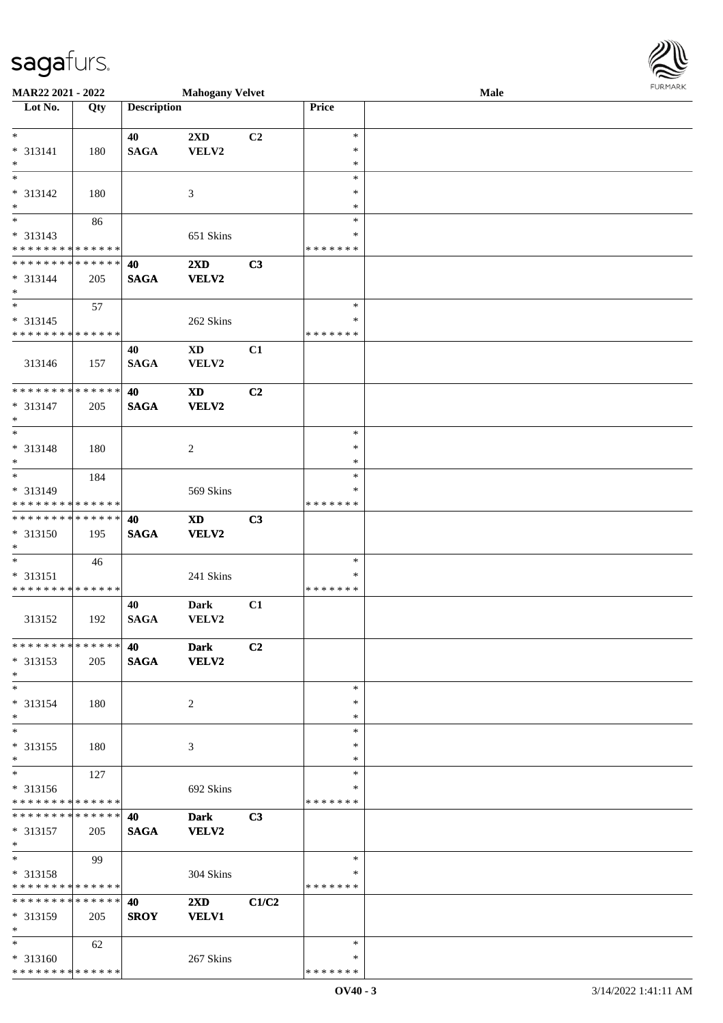\* \* \* \* \* \* \* \* \* \* \* \* \* \* \*

| MAR22 2021 - 2022                                                         |     |                    | <b>Mahogany Velvet</b>                 |                |                  | Male | <b>FURPIARR</b> |
|---------------------------------------------------------------------------|-----|--------------------|----------------------------------------|----------------|------------------|------|-----------------|
| Lot No.                                                                   | Qty | <b>Description</b> |                                        |                | Price            |      |                 |
|                                                                           |     |                    |                                        |                |                  |      |                 |
| $\ddot{x}$                                                                |     | 40                 | $2\mathbf{X}\mathbf{D}$                | C2             | $\ast$           |      |                 |
| $* 313141$                                                                | 180 | <b>SAGA</b>        | VELV2                                  |                | $\ast$<br>$\ast$ |      |                 |
| $\ast$<br>$\ast$                                                          |     |                    |                                        |                | $\ast$           |      |                 |
| * 313142                                                                  | 180 |                    | 3                                      |                | $\ast$           |      |                 |
| $*$                                                                       |     |                    |                                        |                | $\ast$           |      |                 |
|                                                                           | 86  |                    |                                        |                | $\ast$           |      |                 |
| * 313143                                                                  |     |                    | 651 Skins                              |                | ∗                |      |                 |
| * * * * * * * * * * * * * * *                                             |     |                    |                                        |                | *******          |      |                 |
| * * * * * * * * * * * * * * <mark>*</mark>                                |     | 40                 | $2\mathbf{X}\mathbf{D}$                | C3             |                  |      |                 |
| $* 313144$                                                                | 205 | <b>SAGA</b>        | <b>VELV2</b>                           |                |                  |      |                 |
| $\ast$                                                                    |     |                    |                                        |                |                  |      |                 |
| $\overline{\mathbf{r}}$                                                   | 57  |                    |                                        |                | $\ast$           |      |                 |
| $* 313145$                                                                |     |                    | 262 Skins                              |                | $\ast$           |      |                 |
| * * * * * * * * <mark>* * * * * *</mark>                                  |     |                    |                                        |                | * * * * * * *    |      |                 |
|                                                                           |     | 40                 | <b>XD</b>                              | C1             |                  |      |                 |
| 313146                                                                    | 157 | <b>SAGA</b>        | VELV2                                  |                |                  |      |                 |
| ******** <mark>******</mark>                                              |     | 40                 |                                        | C2             |                  |      |                 |
| * 313147                                                                  | 205 | <b>SAGA</b>        | $\mathbf{X}\mathbf{D}$<br><b>VELV2</b> |                |                  |      |                 |
| $\ast$                                                                    |     |                    |                                        |                |                  |      |                 |
| $*$                                                                       |     |                    |                                        |                | $\ast$           |      |                 |
| * 313148                                                                  | 180 |                    | 2                                      |                | $\ast$           |      |                 |
| $*$                                                                       |     |                    |                                        |                | $\ast$           |      |                 |
| $\ast$                                                                    | 184 |                    |                                        |                | $\ast$           |      |                 |
| * 313149                                                                  |     |                    | 569 Skins                              |                | ∗                |      |                 |
| * * * * * * * * <mark>* * * * * *</mark>                                  |     |                    |                                        |                | * * * * * * *    |      |                 |
| * * * * * * * * <mark>* * * * * * *</mark>                                |     | 40                 | <b>XD</b>                              | C3             |                  |      |                 |
| * 313150                                                                  | 195 | <b>SAGA</b>        | <b>VELV2</b>                           |                |                  |      |                 |
| $\ast$                                                                    |     |                    |                                        |                |                  |      |                 |
|                                                                           | 46  |                    |                                        |                | $\ast$           |      |                 |
| $* 313151$                                                                |     |                    | 241 Skins                              |                | ∗                |      |                 |
| * * * * * * * * <mark>* * * * * * *</mark>                                |     |                    |                                        |                | *******          |      |                 |
|                                                                           |     | 40                 | <b>Dark</b>                            | C1             |                  |      |                 |
| 313152                                                                    | 192 | <b>SAGA</b>        | VELV2                                  |                |                  |      |                 |
| * * * * * * * * * * * * * * *                                             |     | 40                 | <b>Dark</b>                            | C <sub>2</sub> |                  |      |                 |
| * 313153                                                                  | 205 | <b>SAGA</b>        | <b>VELV2</b>                           |                |                  |      |                 |
| $\ast$                                                                    |     |                    |                                        |                |                  |      |                 |
| $\ast$                                                                    |     |                    |                                        |                | $\ast$           |      |                 |
| * 313154                                                                  | 180 |                    | 2                                      |                | $\ast$           |      |                 |
| $\ast$                                                                    |     |                    |                                        |                | $\ast$           |      |                 |
| $\ast$                                                                    |     |                    |                                        |                | $\ast$           |      |                 |
| * 313155                                                                  | 180 |                    | 3                                      |                | ∗                |      |                 |
| $*$                                                                       |     |                    |                                        |                | $\ast$           |      |                 |
| $\ast$                                                                    | 127 |                    |                                        |                | $\ast$           |      |                 |
| * 313156                                                                  |     |                    | 692 Skins                              |                | ∗                |      |                 |
| * * * * * * * * <mark>* * * * * *</mark><br>* * * * * * * * * * * * * * * |     | 40                 | <b>Dark</b>                            | C3             | * * * * * * *    |      |                 |
| * 313157                                                                  | 205 | <b>SAGA</b>        | <b>VELV2</b>                           |                |                  |      |                 |
| $*$                                                                       |     |                    |                                        |                |                  |      |                 |
| $\ddot{x}$                                                                | 99  |                    |                                        |                | $\ast$           |      |                 |
| * 313158                                                                  |     |                    | 304 Skins                              |                | ∗                |      |                 |
| * * * * * * * * <mark>* * * * * * *</mark>                                |     |                    |                                        |                | *******          |      |                 |
| * * * * * * * * * * * * * * <mark>*</mark>                                |     | 40                 | $2\mathbf{X}\mathbf{D}$                | C1/C2          |                  |      |                 |
| * 313159                                                                  | 205 | <b>SROY</b>        | <b>VELV1</b>                           |                |                  |      |                 |
| $*$                                                                       |     |                    |                                        |                |                  |      |                 |
| $*$                                                                       | 62  |                    |                                        |                | $\ast$           |      |                 |
| * 313160                                                                  |     |                    | 267 Skins                              |                | $\ast$           |      |                 |

\* \* \* \* \* \* \*

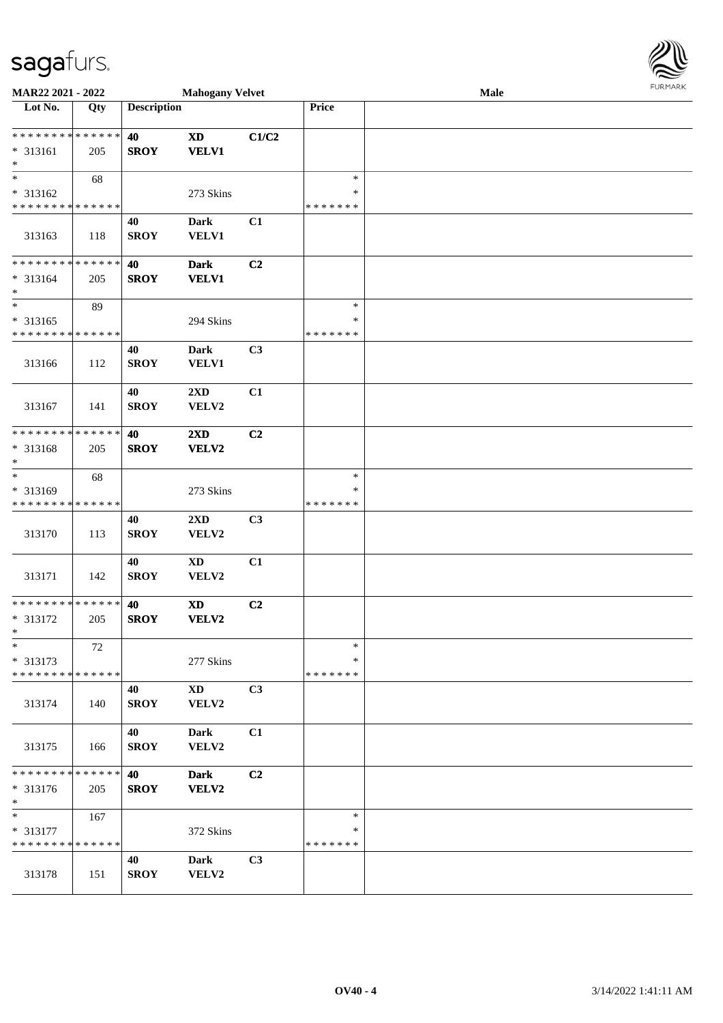| MAR22 2021 - 2022                                                           |                    |                    | <b>Mahogany Velvet</b>           |       |                                   | Male | <b>FUNITANN</b> |
|-----------------------------------------------------------------------------|--------------------|--------------------|----------------------------------|-------|-----------------------------------|------|-----------------|
| Lot No.                                                                     | Qty                | <b>Description</b> |                                  |       | Price                             |      |                 |
| * * * * * * * * <mark>* * * * * * *</mark><br>$* 313161$<br>$\ast$          | 205                | 40<br><b>SROY</b>  | <b>XD</b><br><b>VELV1</b>        | C1/C2 |                                   |      |                 |
| * 313162<br>* * * * * * * * <mark>* * * * * * *</mark>                      | 68                 |                    | 273 Skins                        |       | $\ast$<br>∗<br>* * * * * * *      |      |                 |
| 313163                                                                      | 118                | 40<br><b>SROY</b>  | <b>Dark</b><br>VELV1             | C1    |                                   |      |                 |
| * * * * * * * * * * * * * * <mark>*</mark><br>* 313164<br>$\ast$            | 205                | 40<br><b>SROY</b>  | <b>Dark</b><br><b>VELV1</b>      | C2    |                                   |      |                 |
| $\overline{\ast}$<br>* 313165<br>* * * * * * * * <mark>* * * * * * *</mark> | 89                 |                    | 294 Skins                        |       | $\ast$<br>$\ast$<br>* * * * * * * |      |                 |
| 313166                                                                      | 112                | 40<br><b>SROY</b>  | <b>Dark</b><br>VELV1             | C3    |                                   |      |                 |
| 313167                                                                      | 141                | 40<br><b>SROY</b>  | $2\mathbf{X}\mathbf{D}$<br>VELV2 | C1    |                                   |      |                 |
| __<br>* * * * * * * *<br>* 313168<br>$\ast$                                 | * * * * * *<br>205 | 40<br><b>SROY</b>  | 2XD<br>VELV2                     | C2    |                                   |      |                 |
| $\ast$<br>* 313169<br>* * * * * * * * <mark>* * * * * * *</mark>            | 68                 |                    | 273 Skins                        |       | $\ast$<br>∗<br>* * * * * * *      |      |                 |
| 313170                                                                      | 113                | 40<br><b>SROY</b>  | 2XD<br>VELV2                     | C3    |                                   |      |                 |
| 313171                                                                      | 142                | 40<br><b>SROY</b>  | $\mathbf{X}\mathbf{D}$<br>VELV2  | C1    |                                   |      |                 |
| * * * * * * * * <mark>* * * * * * *</mark><br>* 313172<br>$\ast$            | 205                | 40<br><b>SROY</b>  | <b>XD</b><br>VELV2               | C2    |                                   |      |                 |
| $\ast$<br>* 313173<br>* * * * * * * * <mark>* * * * * * *</mark>            | 72                 |                    | 277 Skins                        |       | $\ast$<br>$\ast$<br>* * * * * * * |      |                 |
| 313174                                                                      | 140                | 40<br><b>SROY</b>  | $\mathbf{X}\mathbf{D}$<br>VELV2  | C3    |                                   |      |                 |
| 313175                                                                      | 166                | 40<br><b>SROY</b>  | Dark<br>VELV2                    | C1    |                                   |      |                 |
| * * * * * * * *<br>* 313176<br>$\ast$                                       | * * * * * *<br>205 | 40<br><b>SROY</b>  | <b>Dark</b><br>VELV2             | C2    |                                   |      |                 |
| $\ast$<br>* 313177<br>* * * * * * * * <mark>* * * * * * *</mark>            | 167                |                    | 372 Skins                        |       | $\ast$<br>∗<br>* * * * * * *      |      |                 |
| 313178                                                                      | 151                | 40<br><b>SROY</b>  | <b>Dark</b><br>VELV2             | C3    |                                   |      |                 |

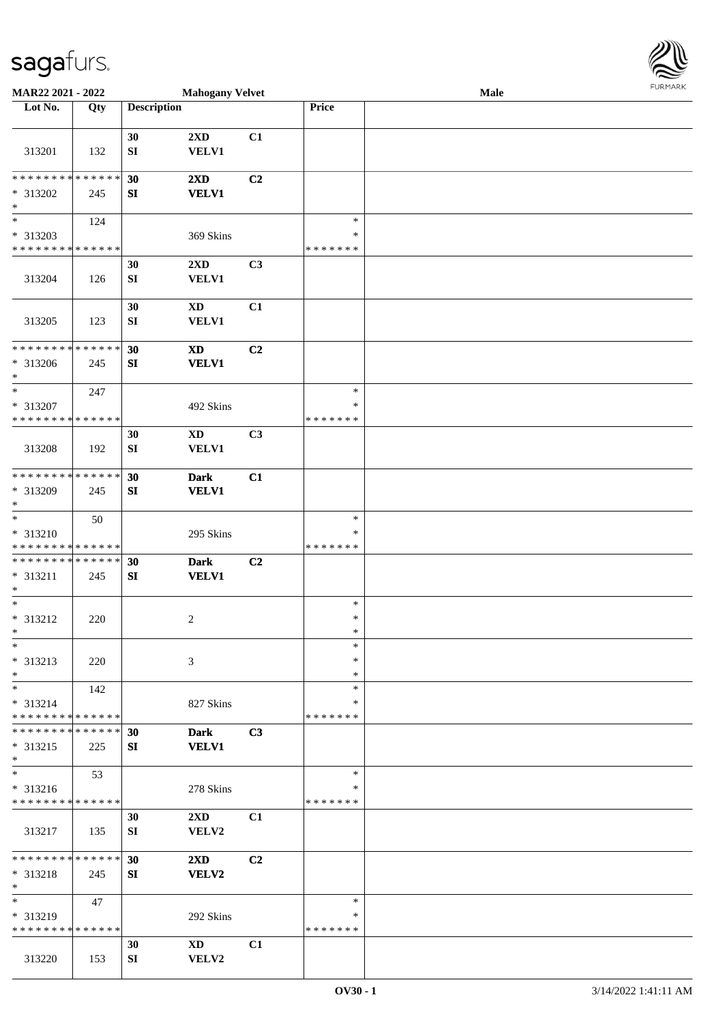| <b>MAR22 2021 - 2022</b>                   |     |                    | <b>Mahogany Velvet</b>                                                                                                                                                                                                         |                |               | Male |  |
|--------------------------------------------|-----|--------------------|--------------------------------------------------------------------------------------------------------------------------------------------------------------------------------------------------------------------------------|----------------|---------------|------|--|
| Lot No.                                    | Qty | <b>Description</b> |                                                                                                                                                                                                                                |                | Price         |      |  |
|                                            |     |                    |                                                                                                                                                                                                                                |                |               |      |  |
|                                            |     | 30                 | 2XD                                                                                                                                                                                                                            | C1             |               |      |  |
| 313201                                     | 132 | SI                 | <b>VELV1</b>                                                                                                                                                                                                                   |                |               |      |  |
|                                            |     |                    |                                                                                                                                                                                                                                |                |               |      |  |
| * * * * * * * * <mark>* * * * * * *</mark> |     |                    |                                                                                                                                                                                                                                |                |               |      |  |
|                                            |     | 30                 | $2\mathbf{X}\mathbf{D}$                                                                                                                                                                                                        | C <sub>2</sub> |               |      |  |
| * 313202                                   | 245 | SI                 | <b>VELV1</b>                                                                                                                                                                                                                   |                |               |      |  |
| $\ast$                                     |     |                    |                                                                                                                                                                                                                                |                |               |      |  |
| $\overline{\ast}$                          | 124 |                    |                                                                                                                                                                                                                                |                | $\ast$        |      |  |
| * 313203                                   |     |                    | 369 Skins                                                                                                                                                                                                                      |                | ∗             |      |  |
| * * * * * * * * * * * * * *                |     |                    |                                                                                                                                                                                                                                |                | * * * * * * * |      |  |
|                                            |     | 30                 | $2\mathbf{X}\mathbf{D}$                                                                                                                                                                                                        | C3             |               |      |  |
| 313204                                     | 126 | SI                 | <b>VELV1</b>                                                                                                                                                                                                                   |                |               |      |  |
|                                            |     |                    |                                                                                                                                                                                                                                |                |               |      |  |
|                                            |     |                    |                                                                                                                                                                                                                                |                |               |      |  |
|                                            |     | 30                 | <b>XD</b>                                                                                                                                                                                                                      | C1             |               |      |  |
| 313205                                     | 123 | SI                 | <b>VELV1</b>                                                                                                                                                                                                                   |                |               |      |  |
|                                            |     |                    |                                                                                                                                                                                                                                |                |               |      |  |
| * * * * * * * * <mark>* * * * * * *</mark> |     | 30                 | <b>XD</b>                                                                                                                                                                                                                      | C2             |               |      |  |
| * 313206                                   | 245 | SI                 | <b>VELV1</b>                                                                                                                                                                                                                   |                |               |      |  |
| $\ast$                                     |     |                    |                                                                                                                                                                                                                                |                |               |      |  |
| $\ast$                                     | 247 |                    |                                                                                                                                                                                                                                |                | $\ast$        |      |  |
| * 313207                                   |     |                    | 492 Skins                                                                                                                                                                                                                      |                | ∗             |      |  |
| * * * * * * * * <mark>* * * * * *</mark>   |     |                    |                                                                                                                                                                                                                                |                | * * * * * * * |      |  |
|                                            |     | 30                 | XD                                                                                                                                                                                                                             | C <sub>3</sub> |               |      |  |
|                                            |     |                    | <b>VELV1</b>                                                                                                                                                                                                                   |                |               |      |  |
| 313208                                     | 192 | SI                 |                                                                                                                                                                                                                                |                |               |      |  |
| * * * * * * * * <mark>* * * * * *</mark>   |     |                    |                                                                                                                                                                                                                                |                |               |      |  |
|                                            |     | 30                 | <b>Dark</b>                                                                                                                                                                                                                    | C1             |               |      |  |
| * 313209                                   | 245 | SI                 | <b>VELV1</b>                                                                                                                                                                                                                   |                |               |      |  |
| $\ast$                                     |     |                    |                                                                                                                                                                                                                                |                |               |      |  |
| $\ast$                                     | 50  |                    |                                                                                                                                                                                                                                |                | $\ast$        |      |  |
| * 313210                                   |     |                    | 295 Skins                                                                                                                                                                                                                      |                | ∗             |      |  |
| * * * * * * * * <mark>* * * * * * *</mark> |     |                    |                                                                                                                                                                                                                                |                | * * * * * * * |      |  |
| * * * * * * * * <mark>* * * * * * *</mark> |     | 30                 | <b>Dark</b>                                                                                                                                                                                                                    | C <sub>2</sub> |               |      |  |
| $* 313211$                                 | 245 | SI                 | <b>VELV1</b>                                                                                                                                                                                                                   |                |               |      |  |
| $\ast$                                     |     |                    |                                                                                                                                                                                                                                |                |               |      |  |
| $\ast$                                     |     |                    |                                                                                                                                                                                                                                |                | $\ast$        |      |  |
| * 313212                                   | 220 |                    | 2                                                                                                                                                                                                                              |                | $\ast$        |      |  |
| $*$                                        |     |                    |                                                                                                                                                                                                                                |                | $\ast$        |      |  |
| $\ast$                                     |     |                    |                                                                                                                                                                                                                                |                | $\ast$        |      |  |
|                                            |     |                    |                                                                                                                                                                                                                                |                |               |      |  |
| * 313213                                   | 220 |                    | 3                                                                                                                                                                                                                              |                | $\ast$        |      |  |
| $\ast$                                     |     |                    |                                                                                                                                                                                                                                |                | $\ast$        |      |  |
| $*$ $-$                                    | 142 |                    |                                                                                                                                                                                                                                |                | $\ast$        |      |  |
| * 313214                                   |     |                    | 827 Skins                                                                                                                                                                                                                      |                | ∗             |      |  |
| * * * * * * * * <mark>* * * * * *</mark>   |     |                    |                                                                                                                                                                                                                                |                | *******       |      |  |
| * * * * * * * * * * * * * * *              |     | 30                 | <b>Dark</b>                                                                                                                                                                                                                    | C3             |               |      |  |
| * 313215                                   | 225 | SI                 | <b>VELV1</b>                                                                                                                                                                                                                   |                |               |      |  |
| $\ast$                                     |     |                    |                                                                                                                                                                                                                                |                |               |      |  |
| $\ast$                                     | 53  |                    |                                                                                                                                                                                                                                |                | $\ast$        |      |  |
| * 313216                                   |     |                    | 278 Skins                                                                                                                                                                                                                      |                | ∗             |      |  |
| * * * * * * * * * * * * * * *              |     |                    |                                                                                                                                                                                                                                |                | *******       |      |  |
|                                            |     | 30                 | $2\mathbf{X}\mathbf{D}$                                                                                                                                                                                                        | C1             |               |      |  |
|                                            |     |                    |                                                                                                                                                                                                                                |                |               |      |  |
| 313217                                     | 135 | SI                 | VELV2                                                                                                                                                                                                                          |                |               |      |  |
|                                            |     |                    |                                                                                                                                                                                                                                |                |               |      |  |
| * * * * * * * * <mark>* * * * * *</mark> * |     | 30                 | $2\mathbf{X}\mathbf{D}$                                                                                                                                                                                                        | C2             |               |      |  |
| * 313218                                   | 245 | SI                 | <b>VELV2</b>                                                                                                                                                                                                                   |                |               |      |  |
| $\ast$                                     |     |                    |                                                                                                                                                                                                                                |                |               |      |  |
| $*$ $-$                                    | 47  |                    |                                                                                                                                                                                                                                |                | $\ast$        |      |  |
| * 313219                                   |     |                    | 292 Skins                                                                                                                                                                                                                      |                | ∗             |      |  |
| * * * * * * * * * * * * * * *              |     |                    |                                                                                                                                                                                                                                |                | * * * * * * * |      |  |
|                                            |     | 30                 | XD and the set of the set of the set of the set of the set of the set of the set of the set of the set of the set of the set of the set of the set of the set of the set of the set of the set of the set of the set of the se | C1             |               |      |  |
| 313220                                     | 153 | SI                 | VELV2                                                                                                                                                                                                                          |                |               |      |  |

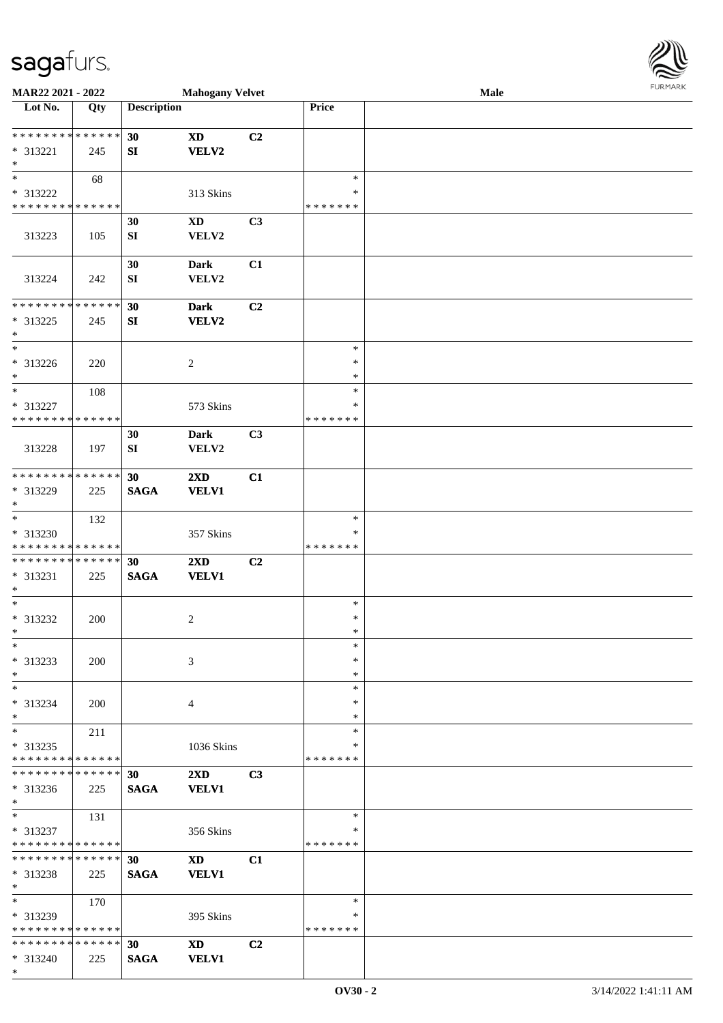\*

| <b>MAR22 2021 - 2022</b>                   |     |                    | <b>Mahogany Velvet</b>  |    |               | Male |  |
|--------------------------------------------|-----|--------------------|-------------------------|----|---------------|------|--|
| Lot No.                                    | Qty | <b>Description</b> |                         |    | Price         |      |  |
|                                            |     |                    |                         |    |               |      |  |
| ******** <mark>******</mark>               |     | 30                 | <b>XD</b>               | C2 |               |      |  |
| * 313221                                   | 245 | SI                 | VELV2                   |    |               |      |  |
| $*$                                        |     |                    |                         |    |               |      |  |
|                                            | 68  |                    |                         |    | $\ast$        |      |  |
| * 313222                                   |     |                    | 313 Skins               |    | ∗             |      |  |
| * * * * * * * * * * * * * *                |     |                    |                         |    | * * * * * * * |      |  |
|                                            |     | 30                 | <b>XD</b>               | C3 |               |      |  |
| 313223                                     | 105 | SI                 | VELV2                   |    |               |      |  |
|                                            |     |                    |                         |    |               |      |  |
|                                            |     | 30                 | <b>Dark</b>             | C1 |               |      |  |
| 313224                                     | 242 | SI                 | ${\bf VELV2}$           |    |               |      |  |
|                                            |     |                    |                         |    |               |      |  |
| * * * * * * * * * * * * * *                |     | 30                 | <b>Dark</b>             | C2 |               |      |  |
| * 313225                                   | 245 | SI                 | VELV2                   |    |               |      |  |
| $*$                                        |     |                    |                         |    |               |      |  |
| $*$                                        |     |                    |                         |    | $\ast$        |      |  |
| * 313226                                   | 220 |                    | 2                       |    | $\ast$        |      |  |
| $*$                                        |     |                    |                         |    | $\ast$        |      |  |
| $*$                                        | 108 |                    |                         |    | $\ast$        |      |  |
| * 313227                                   |     |                    | 573 Skins               |    | $\ast$        |      |  |
| * * * * * * * * * * * * * *                |     |                    |                         |    | * * * * * * * |      |  |
|                                            |     | 30                 | <b>Dark</b>             | C3 |               |      |  |
| 313228                                     | 197 | SI                 | VELV2                   |    |               |      |  |
|                                            |     |                    |                         |    |               |      |  |
| * * * * * * * * * * * * * *                |     | 30                 | $2\mathbf{X}\mathbf{D}$ | C1 |               |      |  |
| * 313229                                   |     | <b>SAGA</b>        | <b>VELV1</b>            |    |               |      |  |
| $*$                                        | 225 |                    |                         |    |               |      |  |
| $*$                                        | 132 |                    |                         |    | $\ast$        |      |  |
| * 313230                                   |     |                    |                         |    | ∗             |      |  |
| * * * * * * * * * * * * * *                |     |                    | 357 Skins               |    | * * * * * * * |      |  |
| * * * * * * * * * * * * * * *              |     |                    |                         |    |               |      |  |
|                                            |     | 30                 | 2XD                     | C2 |               |      |  |
| * 313231<br>$*$                            | 225 | <b>SAGA</b>        | <b>VELV1</b>            |    |               |      |  |
| $*$                                        |     |                    |                         |    | $\ast$        |      |  |
|                                            |     |                    |                         |    | $\ast$        |      |  |
| * 313232                                   | 200 |                    | 2                       |    | $\ast$        |      |  |
| $*$                                        |     |                    |                         |    |               |      |  |
| $*$                                        |     |                    |                         |    | $\ast$        |      |  |
| * 313233                                   | 200 |                    | 3                       |    | $\ast$        |      |  |
| $*$                                        |     |                    |                         |    | $\ast$        |      |  |
| $*$                                        |     |                    |                         |    | $\ast$        |      |  |
| * 313234                                   | 200 |                    | 4                       |    | ∗             |      |  |
| $*$                                        |     |                    |                         |    | ∗             |      |  |
| $*$                                        | 211 |                    |                         |    | $\ast$        |      |  |
| * 313235                                   |     |                    | 1036 Skins              |    | ∗             |      |  |
| * * * * * * * * * * * * * *                |     |                    |                         |    | * * * * * * * |      |  |
| * * * * * * * * * * * * * * *              |     | 30                 | $2\mathbf{X}\mathbf{D}$ | C3 |               |      |  |
| * 313236                                   | 225 | <b>SAGA</b>        | <b>VELV1</b>            |    |               |      |  |
| $*$                                        |     |                    |                         |    |               |      |  |
| $*$                                        | 131 |                    |                         |    | $\ast$        |      |  |
| * 313237                                   |     |                    | 356 Skins               |    | *             |      |  |
| * * * * * * * * * * * * * * *              |     |                    |                         |    | * * * * * * * |      |  |
| * * * * * * * * <mark>* * * * * * *</mark> |     | 30                 | <b>XD</b>               | C1 |               |      |  |
| * 313238                                   | 225 | <b>SAGA</b>        | <b>VELV1</b>            |    |               |      |  |
| $*$                                        |     |                    |                         |    |               |      |  |
| $*$                                        | 170 |                    |                         |    | $\ast$        |      |  |
| * 313239                                   |     |                    | 395 Skins               |    | ∗             |      |  |
| * * * * * * * * * * * * * *                |     |                    |                         |    | * * * * * * * |      |  |
| * * * * * * * * <mark>* * * * * * *</mark> |     | 30                 | <b>XD</b>               | C2 |               |      |  |
| * 313240                                   | 225 | <b>SAGA</b>        | <b>VELV1</b>            |    |               |      |  |

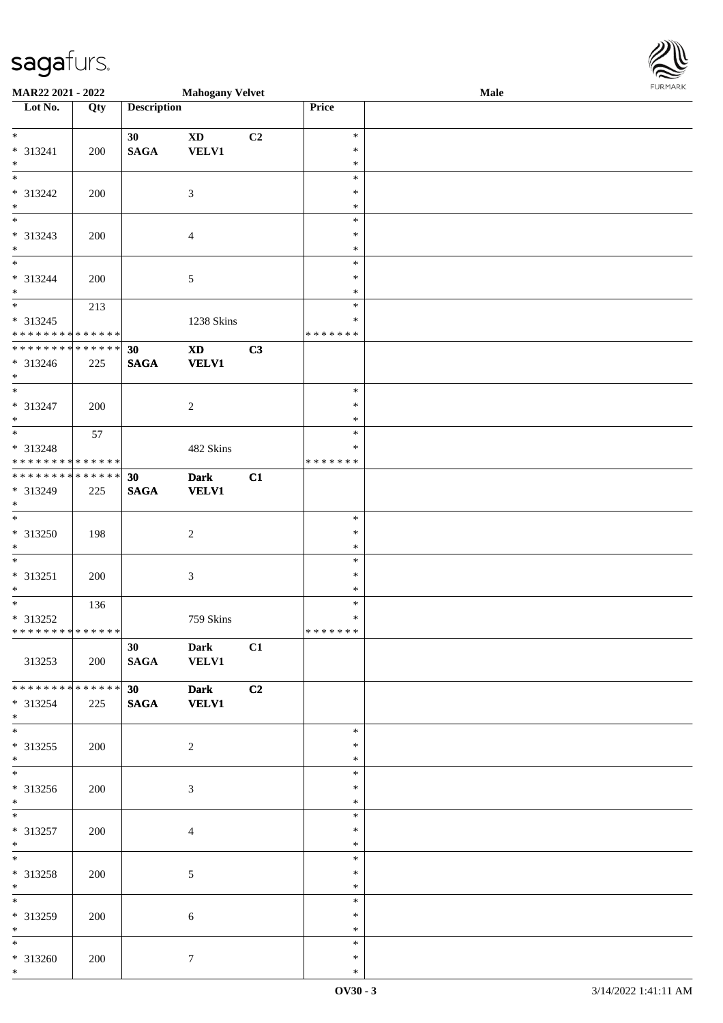\*

| MAR22 2021 - 2022                                                                        |     |                    | <b>Mahogany Velvet</b>     |    |                  | Male | <b>FURPIARR</b> |
|------------------------------------------------------------------------------------------|-----|--------------------|----------------------------|----|------------------|------|-----------------|
| Lot No.                                                                                  | Qty | <b>Description</b> |                            |    | Price            |      |                 |
| $\overline{\mathbf{r}}$                                                                  |     |                    |                            |    |                  |      |                 |
|                                                                                          |     | 30                 | $\mathbf{X}\mathbf{D}$     | C2 | $\ast$<br>$\ast$ |      |                 |
| $* 313241$<br>$*$                                                                        | 200 | <b>SAGA</b>        | <b>VELV1</b>               |    | $\ast$           |      |                 |
| $\overline{\ast}$                                                                        |     |                    |                            |    | $\ast$           |      |                 |
| * 313242                                                                                 | 200 |                    | $\mathfrak{Z}$             |    | $\ast$           |      |                 |
| $*$                                                                                      |     |                    |                            |    | $\ast$           |      |                 |
|                                                                                          |     |                    |                            |    | $\ast$           |      |                 |
| * 313243                                                                                 | 200 |                    | $\overline{4}$             |    | $\ast$           |      |                 |
| $*$                                                                                      |     |                    |                            |    | $\ast$           |      |                 |
| $\overline{\phantom{0}}$                                                                 |     |                    |                            |    | $\ast$           |      |                 |
| * 313244                                                                                 | 200 |                    | 5                          |    | $\ast$           |      |                 |
| $\ast$                                                                                   |     |                    |                            |    | $\ast$           |      |                 |
| $\overline{\mathbf{r}}$                                                                  | 213 |                    |                            |    | $\ast$           |      |                 |
| * 313245                                                                                 |     |                    | 1238 Skins                 |    | $\ast$           |      |                 |
| * * * * * * * * <mark>* * * * * * *</mark><br>* * * * * * * * * * * * * * <mark>*</mark> |     |                    |                            |    | * * * * * * *    |      |                 |
|                                                                                          |     | 30                 | $\boldsymbol{\mathrm{XD}}$ | C3 |                  |      |                 |
| * 313246<br>$*$                                                                          | 225 | $\mathbf{SAGA}$    | <b>VELV1</b>               |    |                  |      |                 |
| $\overline{\ast}$                                                                        |     |                    |                            |    | $\ast$           |      |                 |
| * 313247                                                                                 | 200 |                    | $\overline{2}$             |    | $\ast$           |      |                 |
| $*$                                                                                      |     |                    |                            |    | $\ast$           |      |                 |
| $\overline{\mathbf{r}}$                                                                  | 57  |                    |                            |    | $\ast$           |      |                 |
| * 313248                                                                                 |     |                    | 482 Skins                  |    | $\ast$           |      |                 |
| * * * * * * * * <mark>* * * * * *</mark> *                                               |     |                    |                            |    | * * * * * * *    |      |                 |
| * * * * * * * * * * * * * * <mark>*</mark>                                               |     | 30                 | <b>Dark</b>                | C1 |                  |      |                 |
| * 313249                                                                                 | 225 | <b>SAGA</b>        | <b>VELV1</b>               |    |                  |      |                 |
| $*$                                                                                      |     |                    |                            |    |                  |      |                 |
| $\overline{\ast}$                                                                        |     |                    |                            |    | $\ast$           |      |                 |
| * 313250                                                                                 | 198 |                    | $\overline{c}$             |    | $\ast$           |      |                 |
| $\ast$                                                                                   |     |                    |                            |    | $\ast$           |      |                 |
|                                                                                          |     |                    |                            |    | $\ast$           |      |                 |
| $* 313251$<br>$\ast$                                                                     | 200 |                    | $\mathfrak{Z}$             |    | $\ast$<br>$\ast$ |      |                 |
|                                                                                          | 136 |                    |                            |    | $\ast$           |      |                 |
| * 313252                                                                                 |     |                    | 759 Skins                  |    | $\ast$           |      |                 |
| * * * * * * * * <mark>* * * * * *</mark> *                                               |     |                    |                            |    | *******          |      |                 |
|                                                                                          |     | 30 <sup>1</sup>    | <b>Dark</b>                | C1 |                  |      |                 |
| 313253                                                                                   | 200 | <b>SAGA</b>        | <b>VELV1</b>               |    |                  |      |                 |
|                                                                                          |     |                    |                            |    |                  |      |                 |
| * * * * * * * * <mark>* * * * * * *</mark>                                               |     | 30                 | <b>Dark</b>                | C2 |                  |      |                 |
| $* 313254$                                                                               | 225 | <b>SAGA</b>        | <b>VELV1</b>               |    |                  |      |                 |
| $*$                                                                                      |     |                    |                            |    |                  |      |                 |
|                                                                                          |     |                    |                            |    | $\ast$           |      |                 |
| $*313255$                                                                                | 200 |                    | 2                          |    | $\ast$           |      |                 |
| $*$                                                                                      |     |                    |                            |    | $\ast$           |      |                 |
|                                                                                          |     |                    |                            |    | $\ast$           |      |                 |
| * 313256<br>$*$                                                                          | 200 |                    | $\mathfrak{Z}$             |    | ∗<br>$\ast$      |      |                 |
| $\overline{\phantom{0}}$                                                                 |     |                    |                            |    | $\ast$           |      |                 |
| * 313257                                                                                 | 200 |                    | $\overline{4}$             |    | $\ast$           |      |                 |
| $*$                                                                                      |     |                    |                            |    | $\ast$           |      |                 |
| $\ast$                                                                                   |     |                    |                            |    | $\ast$           |      |                 |
| * 313258                                                                                 | 200 |                    | $5\overline{)}$            |    | $\ast$           |      |                 |
| $*$                                                                                      |     |                    |                            |    | $\ast$           |      |                 |
|                                                                                          |     |                    |                            |    | $\ast$           |      |                 |
| * 313259                                                                                 | 200 |                    | 6                          |    | $\ast$           |      |                 |
| $*$                                                                                      |     |                    |                            |    | $\ast$           |      |                 |
| $*$                                                                                      |     |                    |                            |    | $\ast$           |      |                 |
| * 313260                                                                                 | 200 |                    | $\tau$                     |    | $\ast$           |      |                 |
| $*$                                                                                      |     |                    |                            |    | $\ast$           |      |                 |

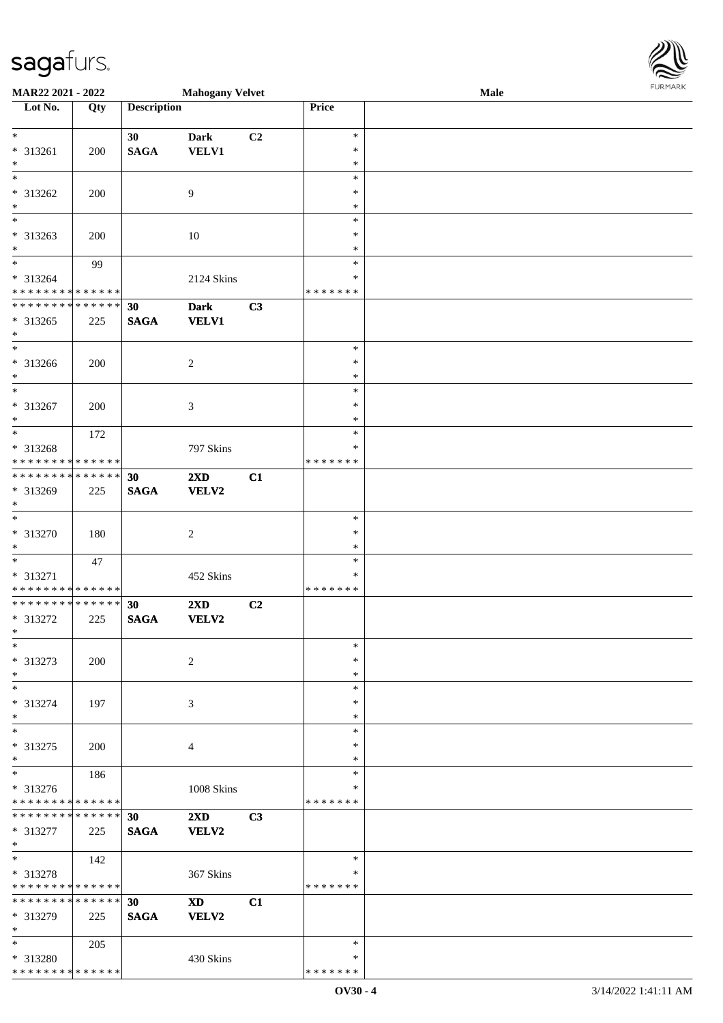\* \* \* \* \* \* \* \* \* \* \* \* \* \* \*

| MAR22 2021 - 2022                          |     |                    | <b>Mahogany Velvet</b>  |    |               | Male | <b>FURPIARA</b> |
|--------------------------------------------|-----|--------------------|-------------------------|----|---------------|------|-----------------|
| Lot No.                                    | Qty | <b>Description</b> |                         |    | Price         |      |                 |
|                                            |     |                    |                         |    |               |      |                 |
| $\ddot{x}$                                 |     | 30                 | <b>Dark</b>             | C2 | $\ast$        |      |                 |
| $* 313261$                                 | 200 | <b>SAGA</b>        | <b>VELV1</b>            |    | $\ast$        |      |                 |
| $\ast$                                     |     |                    |                         |    | $\ast$        |      |                 |
|                                            |     |                    |                         |    | $\ast$        |      |                 |
| * 313262                                   | 200 |                    | 9                       |    | $\ast$        |      |                 |
| $\ast$                                     |     |                    |                         |    | $\ast$        |      |                 |
|                                            |     |                    |                         |    | $\ast$        |      |                 |
| * 313263                                   | 200 |                    | 10                      |    | $\ast$        |      |                 |
| $*$                                        |     |                    |                         |    | $\ast$        |      |                 |
| $\ddot{x}$                                 | 99  |                    |                         |    | $\ast$        |      |                 |
| * 313264                                   |     |                    | 2124 Skins              |    | *             |      |                 |
| * * * * * * * * <mark>* * * * * * *</mark> |     |                    |                         |    | * * * * * * * |      |                 |
| * * * * * * * * <mark>* * * * * * *</mark> |     | 30                 | <b>Dark</b>             | C3 |               |      |                 |
| * 313265                                   | 225 | <b>SAGA</b>        | <b>VELV1</b>            |    |               |      |                 |
| $\ast$                                     |     |                    |                         |    |               |      |                 |
|                                            |     |                    |                         |    | $\ast$        |      |                 |
| * 313266                                   | 200 |                    | 2                       |    | $\ast$        |      |                 |
| $*$                                        |     |                    |                         |    | $\ast$        |      |                 |
| $\ast$                                     |     |                    |                         |    | $\ast$        |      |                 |
| * 313267                                   | 200 |                    | 3                       |    | $\ast$        |      |                 |
| $\ast$                                     |     |                    |                         |    | $\ast$        |      |                 |
| $\overline{\ }$                            | 172 |                    |                         |    | $\ast$        |      |                 |
| * 313268                                   |     |                    | 797 Skins               |    | $\ast$        |      |                 |
| * * * * * * * * <mark>* * * * * * *</mark> |     |                    |                         |    | *******       |      |                 |
| * * * * * * * * * * * * * * <mark>*</mark> |     | 30                 | 2XD                     | C1 |               |      |                 |
| * 313269                                   | 225 | <b>SAGA</b>        | VELV2                   |    |               |      |                 |
| $\ast$                                     |     |                    |                         |    |               |      |                 |
| $\overline{\ast}$                          |     |                    |                         |    | $\ast$        |      |                 |
| * 313270                                   |     |                    |                         |    | $\ast$        |      |                 |
| $\ast$                                     | 180 |                    | 2                       |    | $\ast$        |      |                 |
|                                            |     |                    |                         |    | $\ast$        |      |                 |
|                                            | 47  |                    |                         |    |               |      |                 |
| * 313271                                   |     |                    | 452 Skins               |    | ∗             |      |                 |
| * * * * * * * * <mark>* * * * * * *</mark> |     |                    |                         |    | *******       |      |                 |
| * * * * * * * * <mark>* * * * * * *</mark> |     | 30                 | $2\mathbf{X}\mathbf{D}$ | C2 |               |      |                 |
| * 313272                                   | 225 | <b>SAGA</b>        | VELV2                   |    |               |      |                 |
| $\ast$                                     |     |                    |                         |    |               |      |                 |
| $\ast$                                     |     |                    |                         |    | $\ast$        |      |                 |
| * 313273                                   | 200 |                    | 2                       |    | $\ast$        |      |                 |
| $\ast$                                     |     |                    |                         |    | $\ast$        |      |                 |
| $\ast$                                     |     |                    |                         |    | $\ast$        |      |                 |
| * 313274                                   | 197 |                    | $\mathfrak{Z}$          |    | $\ast$        |      |                 |
| $\ast$                                     |     |                    |                         |    | $\ast$        |      |                 |
| $\ast$                                     |     |                    |                         |    | $\ast$        |      |                 |
| * 313275                                   | 200 |                    | $\overline{4}$          |    | $\ast$        |      |                 |
| $\ast$                                     |     |                    |                         |    | $\ast$        |      |                 |
| $\overline{\ast}$                          | 186 |                    |                         |    | $\ast$        |      |                 |
| * 313276                                   |     |                    | 1008 Skins              |    | ∗             |      |                 |
| * * * * * * * * <mark>* * * * * *</mark>   |     |                    |                         |    | *******       |      |                 |
| * * * * * * * * * * * * * * <mark>*</mark> |     | 30                 | $2\mathbf{X}\mathbf{D}$ | C3 |               |      |                 |
| * 313277                                   | 225 | <b>SAGA</b>        | <b>VELV2</b>            |    |               |      |                 |
| $*$                                        |     |                    |                         |    |               |      |                 |
| $\ast$                                     | 142 |                    |                         |    | $\ast$        |      |                 |
| * 313278                                   |     |                    | 367 Skins               |    | ∗             |      |                 |
| * * * * * * * * <mark>* * * * * *</mark>   |     |                    |                         |    | *******       |      |                 |
| * * * * * * * * * * * * * * <mark>*</mark> |     | 30                 | $\mathbf{X}\mathbf{D}$  | C1 |               |      |                 |
| * 313279                                   | 225 | <b>SAGA</b>        | <b>VELV2</b>            |    |               |      |                 |
| $\ast$                                     |     |                    |                         |    |               |      |                 |
| $*$ $*$                                    | 205 |                    |                         |    | $\ast$        |      |                 |
| * 313280                                   |     |                    | 430 Skins               |    | $\ast$        |      |                 |

\* \* \* \* \* \* \*

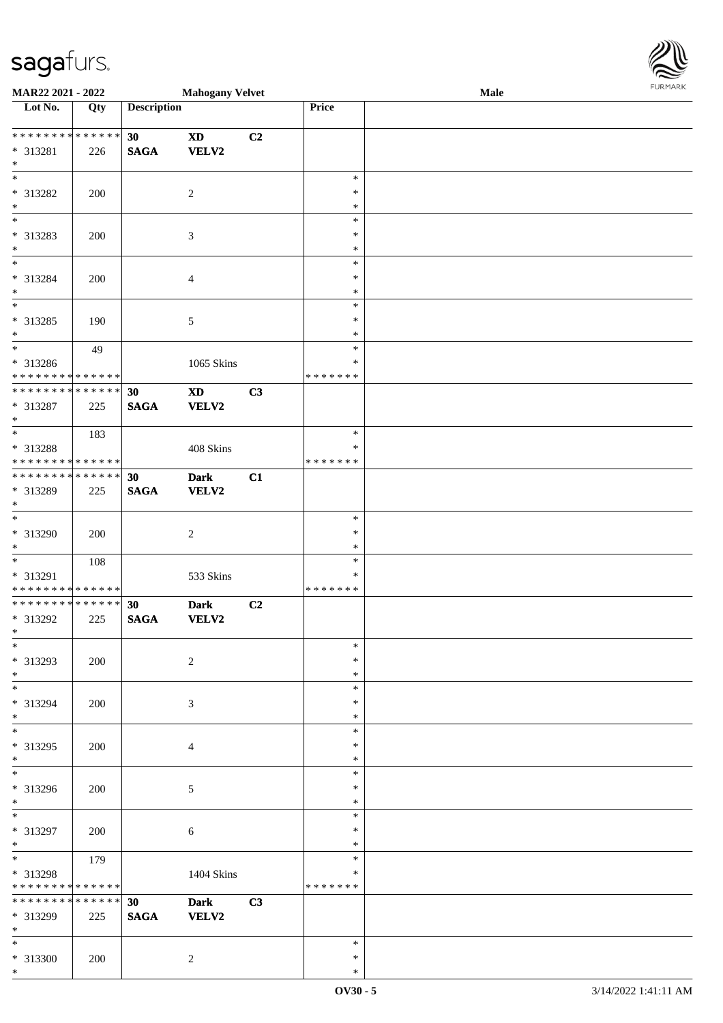\*

| <b>MAR22 2021 - 2022</b>                                                               |     |                    | <b>Mahogany Velvet</b> |    |               | Male | <b>FUNITANN</b> |
|----------------------------------------------------------------------------------------|-----|--------------------|------------------------|----|---------------|------|-----------------|
| Lot No.                                                                                | Qty | <b>Description</b> |                        |    | Price         |      |                 |
|                                                                                        |     |                    |                        |    |               |      |                 |
| ******** <mark>******</mark>                                                           |     | 30                 | $\mathbf{X}\mathbf{D}$ | C2 |               |      |                 |
| $* 313281$                                                                             | 226 | <b>SAGA</b>        | VELV2                  |    |               |      |                 |
| $*$                                                                                    |     |                    |                        |    |               |      |                 |
|                                                                                        |     |                    |                        |    | $\ast$        |      |                 |
| * 313282                                                                               | 200 |                    | 2                      |    | $\ast$        |      |                 |
| $*$                                                                                    |     |                    |                        |    | $\ast$        |      |                 |
| $\overline{\ast}$                                                                      |     |                    |                        |    | $\ast$        |      |                 |
| * 313283                                                                               | 200 |                    | $\mathfrak{Z}$         |    | $\ast$        |      |                 |
| $\ast$                                                                                 |     |                    |                        |    | $\ast$        |      |                 |
| $\overline{\ast}$                                                                      |     |                    |                        |    | $\ast$        |      |                 |
| * 313284                                                                               | 200 |                    | $\overline{4}$         |    | $\ast$        |      |                 |
| $\ast$                                                                                 |     |                    |                        |    | $\ast$        |      |                 |
|                                                                                        |     |                    |                        |    | $\ast$        |      |                 |
| * 313285                                                                               | 190 |                    | $\mathfrak{S}$         |    | $\ast$        |      |                 |
| $*$                                                                                    |     |                    |                        |    | $\ast$        |      |                 |
| $\overline{\ }$                                                                        | 49  |                    |                        |    | $\ast$        |      |                 |
| * 313286                                                                               |     |                    | 1065 Skins             |    | $\ast$        |      |                 |
| * * * * * * * * <mark>* * * * * * *</mark>                                             |     |                    |                        |    | * * * * * * * |      |                 |
| ******** <mark>******</mark>                                                           |     | 30                 | <b>XD</b>              | C3 |               |      |                 |
| * 313287                                                                               | 225 | <b>SAGA</b>        | VELV2                  |    |               |      |                 |
| $*$                                                                                    |     |                    |                        |    |               |      |                 |
|                                                                                        |     |                    |                        |    | $\ast$        |      |                 |
|                                                                                        | 183 |                    |                        |    | $\ast$        |      |                 |
| * 313288                                                                               |     |                    | 408 Skins              |    |               |      |                 |
| * * * * * * * * <mark>* * * * * *</mark><br>* * * * * * * * * * * * * * <mark>*</mark> |     |                    |                        |    | * * * * * * * |      |                 |
|                                                                                        |     | 30                 | <b>Dark</b>            | C1 |               |      |                 |
| * 313289                                                                               | 225 | <b>SAGA</b>        | <b>VELV2</b>           |    |               |      |                 |
| $\ast$<br>$\overline{\ast}$                                                            |     |                    |                        |    |               |      |                 |
|                                                                                        |     |                    |                        |    | $\ast$        |      |                 |
| * 313290                                                                               | 200 |                    | 2                      |    | $\ast$        |      |                 |
| $\ast$                                                                                 |     |                    |                        |    | $\ast$        |      |                 |
| $*$                                                                                    | 108 |                    |                        |    | $\ast$        |      |                 |
| * 313291                                                                               |     |                    | 533 Skins              |    | ∗             |      |                 |
| * * * * * * * * <mark>* * * * * * *</mark>                                             |     |                    |                        |    | *******       |      |                 |
| * * * * * * * * <mark>* * * * * * *</mark>                                             |     | 30                 | <b>Dark</b>            | C2 |               |      |                 |
| * 313292                                                                               | 225 | <b>SAGA</b>        | <b>VELV2</b>           |    |               |      |                 |
| $*$ $-$                                                                                |     |                    |                        |    |               |      |                 |
| $\ast$                                                                                 |     |                    |                        |    | $\ast$        |      |                 |
| * 313293                                                                               | 200 |                    | $\overline{2}$         |    | $\ast$        |      |                 |
| $*$                                                                                    |     |                    |                        |    | $\ast$        |      |                 |
| $*$                                                                                    |     |                    |                        |    | $\ast$        |      |                 |
| * 313294                                                                               | 200 |                    | 3                      |    | $\ast$        |      |                 |
| $*$                                                                                    |     |                    |                        |    | $\ast$        |      |                 |
| $*$                                                                                    |     |                    |                        |    | $\ast$        |      |                 |
| * 313295                                                                               | 200 |                    | $\overline{4}$         |    | ∗             |      |                 |
| $\ast$                                                                                 |     |                    |                        |    | $\ast$        |      |                 |
|                                                                                        |     |                    |                        |    | $\ast$        |      |                 |
| * 313296                                                                               | 200 |                    | 5                      |    | $\ast$        |      |                 |
| $\ast$                                                                                 |     |                    |                        |    | $\ast$        |      |                 |
| $*$                                                                                    |     |                    |                        |    | $\ast$        |      |                 |
| * 313297                                                                               | 200 |                    | 6                      |    | $\ast$        |      |                 |
| $*$                                                                                    |     |                    |                        |    | $\ast$        |      |                 |
| $\ddot{x}$                                                                             | 179 |                    |                        |    | $\ast$        |      |                 |
| * 313298                                                                               |     |                    | 1404 Skins             |    | $\ast$        |      |                 |
| * * * * * * * * <mark>* * * * * *</mark>                                               |     |                    |                        |    | *******       |      |                 |
| * * * * * * * * * * * * * * <mark>*</mark>                                             |     | 30                 | <b>Dark</b>            | C3 |               |      |                 |
| * 313299                                                                               |     |                    |                        |    |               |      |                 |
| $*$                                                                                    | 225 | <b>SAGA</b>        | <b>VELV2</b>           |    |               |      |                 |
| $*$                                                                                    |     |                    |                        |    | $\ast$        |      |                 |
|                                                                                        |     |                    |                        |    | $\ast$        |      |                 |
| * 313300                                                                               | 200 |                    | 2                      |    |               |      |                 |

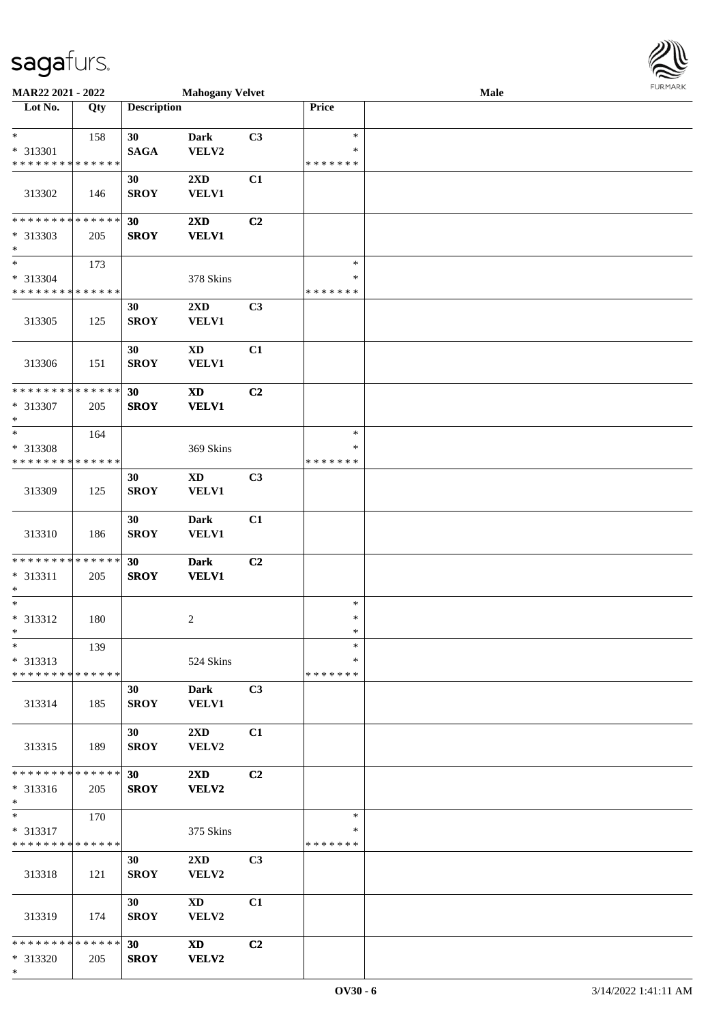\*

| MAR22 2021 - 2022             |     |                    | <b>Mahogany Velvet</b>      |                |               | Male |  |
|-------------------------------|-----|--------------------|-----------------------------|----------------|---------------|------|--|
| Lot No.                       | Qty | <b>Description</b> |                             |                | Price         |      |  |
| $\ast$                        | 158 | 30                 | <b>Dark</b>                 | C3             | $\ast$        |      |  |
| * 313301                      |     | <b>SAGA</b>        | VELV2                       |                | $\ast$        |      |  |
| * * * * * * * * * * * * * *   |     |                    |                             |                | * * * * * * * |      |  |
|                               |     | 30                 | 2XD                         | C1             |               |      |  |
| 313302                        | 146 | <b>SROY</b>        | <b>VELV1</b>                |                |               |      |  |
|                               |     |                    |                             |                |               |      |  |
| **************<br>* 313303    | 205 | 30<br><b>SROY</b>  | 2XD<br><b>VELV1</b>         | C2             |               |      |  |
| $\ast$                        |     |                    |                             |                |               |      |  |
| $*$                           | 173 |                    |                             |                | $\ast$        |      |  |
| * 313304                      |     |                    | 378 Skins                   |                | $\ast$        |      |  |
| * * * * * * * * * * * * * *   |     |                    |                             |                | * * * * * * * |      |  |
|                               |     | 30                 | 2XD                         | C3             |               |      |  |
| 313305                        | 125 | <b>SROY</b>        | <b>VELV1</b>                |                |               |      |  |
|                               |     | 30                 | <b>XD</b>                   | C1             |               |      |  |
| 313306                        | 151 | <b>SROY</b>        | <b>VELV1</b>                |                |               |      |  |
|                               |     |                    |                             |                |               |      |  |
| ******** <mark>******</mark>  |     | 30                 | $\mathbf{X}\mathbf{D}$      | C2             |               |      |  |
| * 313307<br>$\ast$            | 205 | <b>SROY</b>        | <b>VELV1</b>                |                |               |      |  |
| $\ast$                        | 164 |                    |                             |                | $\ast$        |      |  |
| * 313308                      |     |                    | 369 Skins                   |                | $\ast$        |      |  |
| * * * * * * * * * * * * * *   |     |                    |                             |                | * * * * * * * |      |  |
|                               |     | 30                 | $\boldsymbol{\mathrm{XD}}$  | C3             |               |      |  |
| 313309                        | 125 | <b>SROY</b>        | <b>VELV1</b>                |                |               |      |  |
|                               |     | 30                 | <b>Dark</b>                 | C1             |               |      |  |
| 313310                        | 186 | <b>SROY</b>        | <b>VELV1</b>                |                |               |      |  |
|                               |     |                    |                             |                |               |      |  |
| **************                |     | 30                 | <b>Dark</b>                 | C <sub>2</sub> |               |      |  |
| * 313311                      | 205 | <b>SROY</b>        | <b>VELV1</b>                |                |               |      |  |
| $\ast$<br>$\ast$              |     |                    |                             |                | $\ast$        |      |  |
| * 313312                      | 180 |                    | $\overline{c}$              |                | $\ast$        |      |  |
| $\ast$                        |     |                    |                             |                | $\ast$        |      |  |
| $*$                           | 139 |                    |                             |                | $\ast$        |      |  |
| $* 313313$                    |     |                    | 524 Skins                   |                | ∗             |      |  |
| * * * * * * * * * * * * * *   |     |                    |                             |                | * * * * * * * |      |  |
| 313314                        | 185 | 30<br><b>SROY</b>  | <b>Dark</b><br><b>VELV1</b> | C3             |               |      |  |
|                               |     |                    |                             |                |               |      |  |
|                               |     | 30                 | $2\mathbf{X}\mathbf{D}$     | C1             |               |      |  |
| 313315                        | 189 | <b>SROY</b>        | VELV2                       |                |               |      |  |
| **************                |     |                    |                             |                |               |      |  |
| * 313316                      | 205 | 30 <sub>1</sub>    | $2\mathbf{X}\mathbf{D}$     | C2             |               |      |  |
| $\ast$                        |     | <b>SROY</b>        | <b>VELV2</b>                |                |               |      |  |
| $\ast$                        | 170 |                    |                             |                | $\ast$        |      |  |
| * 313317                      |     |                    | 375 Skins                   |                | ∗             |      |  |
| ******** <mark>******</mark>  |     |                    |                             |                | *******       |      |  |
|                               |     | 30                 | $2\mathbf{X}\mathbf{D}$     | C <sub>3</sub> |               |      |  |
| 313318                        | 121 | <b>SROY</b>        | VELV2                       |                |               |      |  |
|                               |     | 30                 | $\mathbf{X}\mathbf{D}$      | C1             |               |      |  |
| 313319                        | 174 | <b>SROY</b>        | VELV2                       |                |               |      |  |
|                               |     |                    |                             |                |               |      |  |
| * * * * * * * * * * * * * * * |     | 30                 | <b>XD</b>                   | C2             |               |      |  |
| * 313320                      | 205 | <b>SROY</b>        | <b>VELV2</b>                |                |               |      |  |

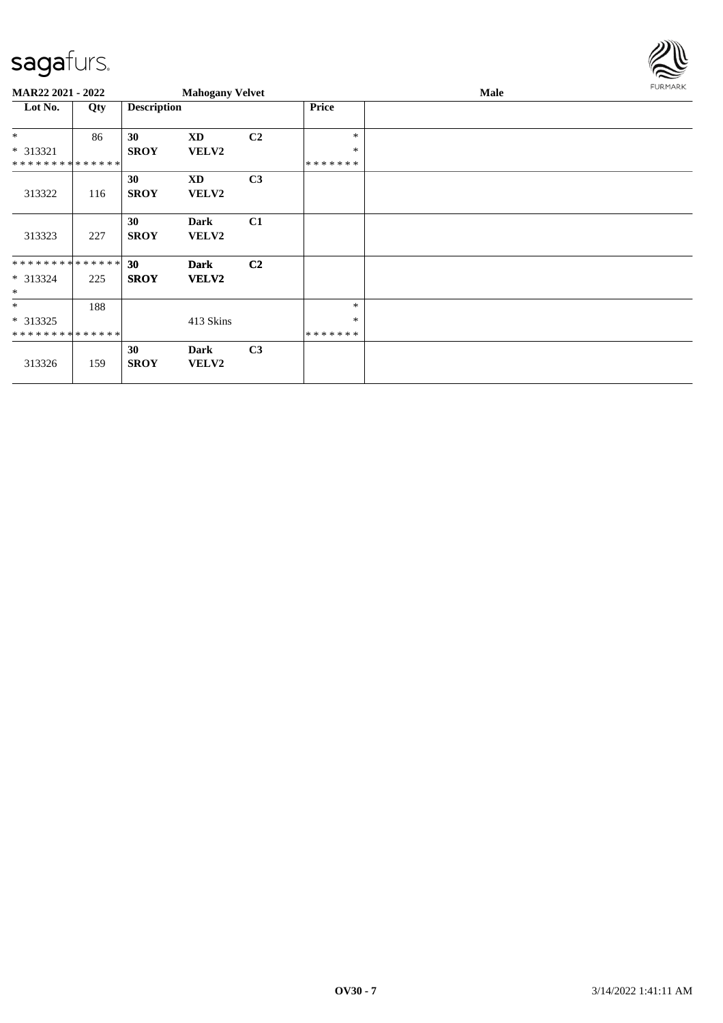

| MAR22 2021 - 2022            |     |                    | <b>Mahogany Velvet</b>      |                |                   | Male | <b>FURMARK</b> |
|------------------------------|-----|--------------------|-----------------------------|----------------|-------------------|------|----------------|
| Lot No.                      | Qty | <b>Description</b> |                             |                | <b>Price</b>      |      |                |
| $\ast$                       | 86  | 30                 | <b>XD</b>                   | C <sub>2</sub> | $\ast$            |      |                |
| $* 313321$<br>************** |     | <b>SROY</b>        | <b>VELV2</b>                |                | $\ast$<br>******* |      |                |
| 313322                       | 116 | 30<br><b>SROY</b>  | XD<br>VELV2                 | C <sub>3</sub> |                   |      |                |
| 313323                       | 227 | 30<br><b>SROY</b>  | Dark<br><b>VELV2</b>        | C1             |                   |      |                |
| **************               |     | 30                 | <b>Dark</b>                 | C <sub>2</sub> |                   |      |                |
| $* 313324$<br>$\ast$         | 225 | <b>SROY</b>        | <b>VELV2</b>                |                |                   |      |                |
| $*$                          | 188 |                    |                             |                | $\ast$            |      |                |
| $* 313325$                   |     |                    | 413 Skins                   |                | $\ast$            |      |                |
| **************               |     |                    |                             |                | *******           |      |                |
| 313326                       | 159 | 30<br><b>SROY</b>  | <b>Dark</b><br><b>VELV2</b> | C <sub>3</sub> |                   |      |                |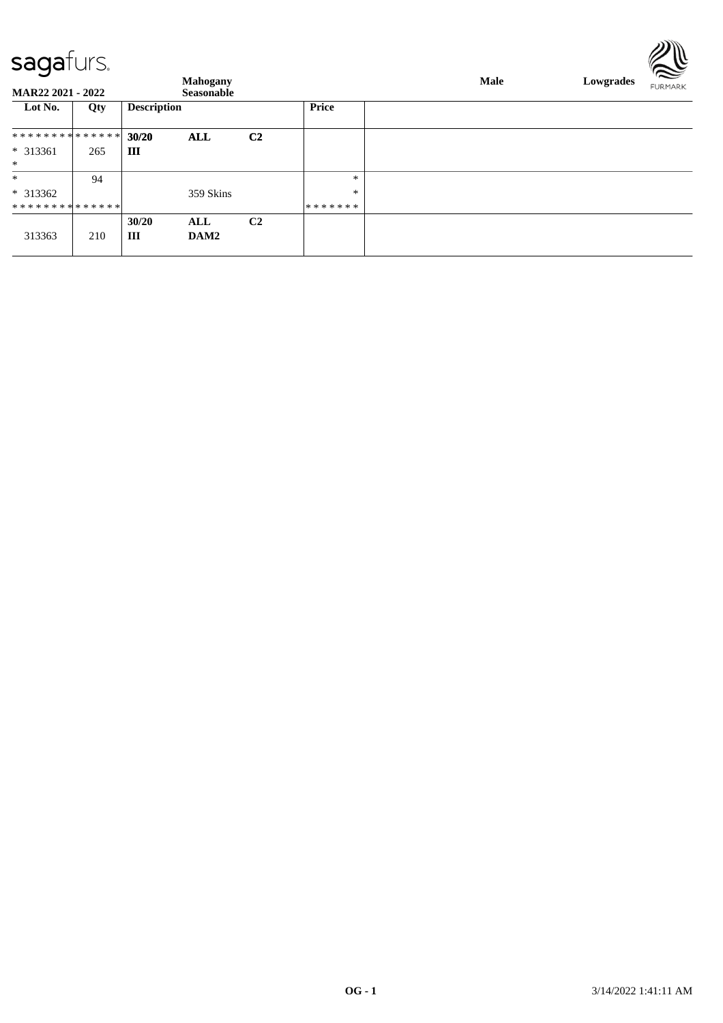| <u>Juyululu</u>   |     |                    |                   |                |              |      |           | $\approx$      |
|-------------------|-----|--------------------|-------------------|----------------|--------------|------|-----------|----------------|
|                   |     |                    | <b>Mahogany</b>   |                |              | Male | Lowgrades | <b>FURMARK</b> |
| MAR22 2021 - 2022 |     |                    | <b>Seasonable</b> |                |              |      |           |                |
| Lot No.           | Qty | <b>Description</b> |                   |                | <b>Price</b> |      |           |                |
| **************    |     | 30/20              | <b>ALL</b>        | C <sub>2</sub> |              |      |           |                |
| $* 313361$        | 265 | Ш                  |                   |                |              |      |           |                |
| $\ast$            |     |                    |                   |                |              |      |           |                |
| $\ast$            | 94  |                    |                   |                | $\ast$       |      |           |                |
| $*313362$         |     |                    | 359 Skins         |                | $\ast$       |      |           |                |
| **************    |     |                    |                   |                | *******      |      |           |                |
|                   |     | 30/20              | ALL               | C <sub>2</sub> |              |      |           |                |
| 313363            | 210 | Ш                  | DAM2              |                |              |      |           |                |
|                   |     |                    |                   |                |              |      |           |                |

 $\mathbb{Z} \mathbb{R}$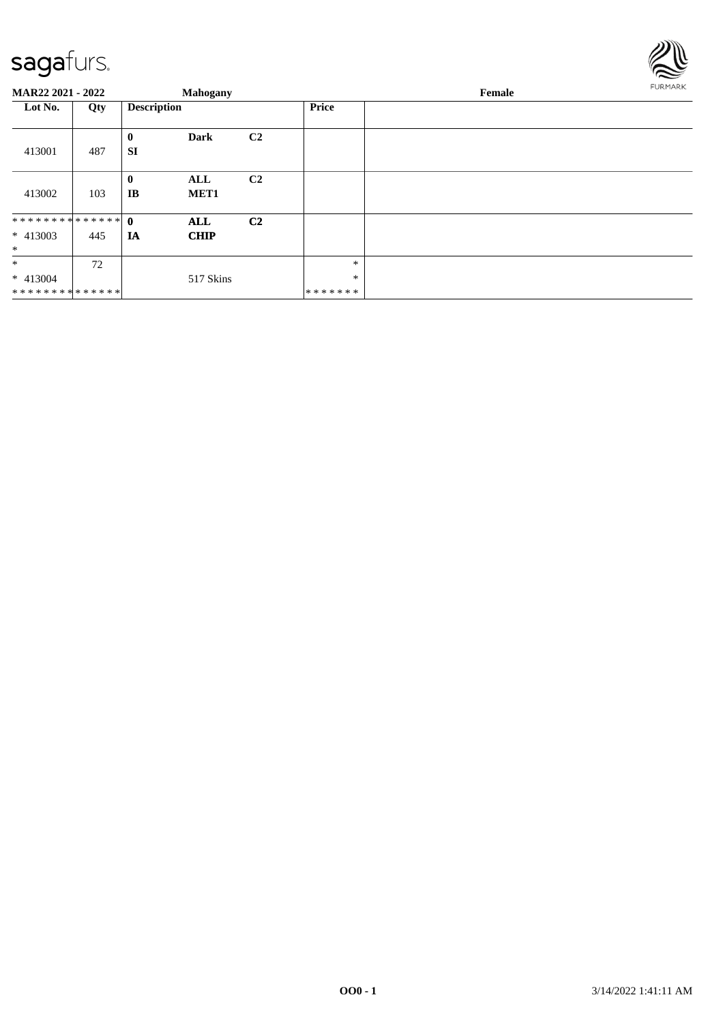

| MAR22 2021 - 2022 |     |                    | <b>Mahogany</b>  |                |              | Female |  |  |  |  |
|-------------------|-----|--------------------|------------------|----------------|--------------|--------|--|--|--|--|
| Lot No.<br>Qty    |     | <b>Description</b> |                  |                | <b>Price</b> |        |  |  |  |  |
|                   |     |                    |                  |                |              |        |  |  |  |  |
|                   |     | $\bf{0}$           | Dark             | C <sub>2</sub> |              |        |  |  |  |  |
| 413001            | 487 | <b>SI</b>          |                  |                |              |        |  |  |  |  |
|                   |     |                    |                  |                |              |        |  |  |  |  |
|                   |     | $\bf{0}$           | ALL              | C <sub>2</sub> |              |        |  |  |  |  |
| 413002            | 103 | IB                 | MET <sub>1</sub> |                |              |        |  |  |  |  |
|                   |     |                    |                  |                |              |        |  |  |  |  |
|                   |     |                    | ALL              | C <sub>2</sub> |              |        |  |  |  |  |
| $* 413003$        | 445 | <b>IA</b>          | <b>CHIP</b>      |                |              |        |  |  |  |  |
| $\ast$            |     |                    |                  |                |              |        |  |  |  |  |
| $\ast$            | 72  |                    |                  |                | $\ast$       |        |  |  |  |  |
| $* 413004$        |     |                    | 517 Skins        |                | $\ast$       |        |  |  |  |  |
| **************    |     |                    |                  |                | *******      |        |  |  |  |  |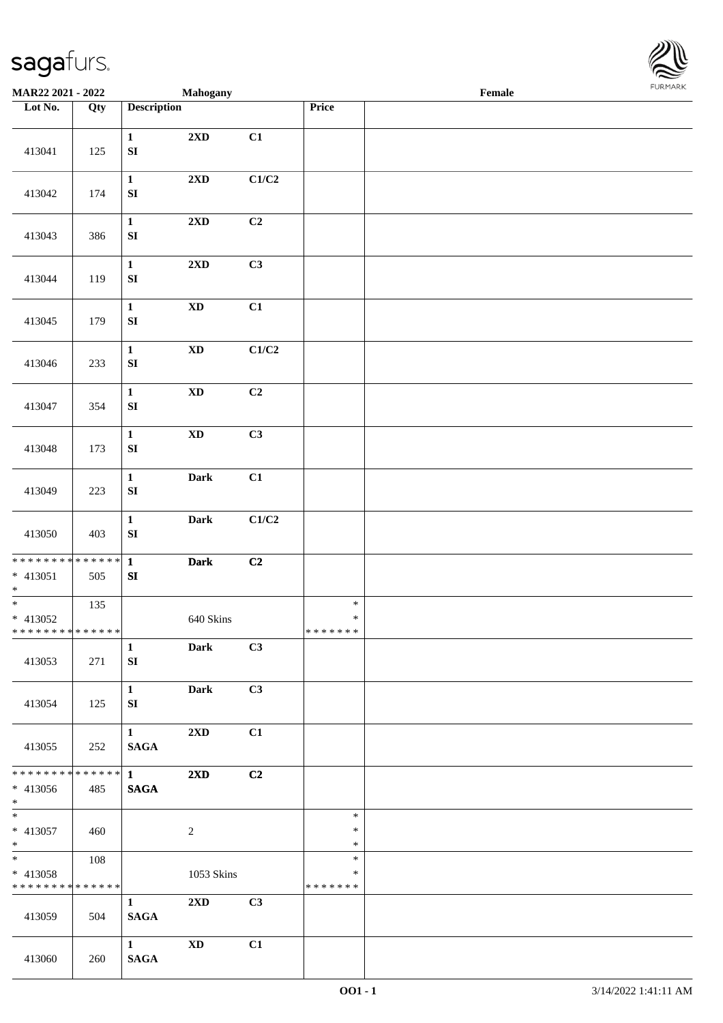

| MAR22 2021 - 2022                                                    |     |                                       | Mahogany                   |       |                                   | Female |  |
|----------------------------------------------------------------------|-----|---------------------------------------|----------------------------|-------|-----------------------------------|--------|--|
| Lot No.                                                              | Qty | <b>Description</b>                    |                            |       | Price                             |        |  |
| 413041                                                               | 125 | $\mathbf{1}$<br>${\bf SI}$            | $2{\bf X}{\bf D}$          | C1    |                                   |        |  |
| 413042                                                               | 174 | $\mathbf{1}$<br>SI                    | 2XD                        | C1/C2 |                                   |        |  |
| 413043                                                               | 386 | $\mathbf 1$<br>${\bf SI}$             | $2{\bf X}{\bf D}$          | C2    |                                   |        |  |
| 413044                                                               | 119 | $\mathbf{1}$<br>${\bf SI}$            | 2XD                        | C3    |                                   |        |  |
| 413045                                                               | 179 | $\mathbf{1}$<br>${\bf S}{\bf I}$      | $\boldsymbol{\mathrm{XD}}$ | C1    |                                   |        |  |
| 413046                                                               | 233 | $\mathbf{1}$<br>${\bf SI}$            | $\mathbf{X}\mathbf{D}$     | C1/C2 |                                   |        |  |
| 413047                                                               | 354 | $\mathbf{1}$<br>${\bf SI}$            | $\boldsymbol{\mathrm{XD}}$ | C2    |                                   |        |  |
| 413048                                                               | 173 | $\mathbf{1}$<br>${\bf SI}$            | $\boldsymbol{\mathrm{XD}}$ | C3    |                                   |        |  |
| 413049                                                               | 223 | $\mathbf 1$<br>${\bf S}{\bf I}$       | Dark                       | C1    |                                   |        |  |
| 413050                                                               | 403 | $\mathbf 1$<br>${\bf SI}$             | Dark                       | C1/C2 |                                   |        |  |
| * * * * * * * * * * * * * * *<br>$* 413051$<br>$\ast$                | 505 | $\mathbf{1}$<br>${\bf SI}$            | Dark                       | C2    |                                   |        |  |
| $\overline{\phantom{0}}$<br>* 413052<br>******** <mark>******</mark> | 135 |                                       | 640 Skins                  |       | $\ast$<br>$\ast$<br>*******       |        |  |
| 413053                                                               | 271 | $\mathbf{1}$<br>SI                    | <b>Dark</b>                | C3    |                                   |        |  |
| 413054                                                               | 125 | $\mathbf{1}$<br>SI                    | <b>Dark</b>                | C3    |                                   |        |  |
| 413055                                                               | 252 | $\mathbf{1}$<br><b>SAGA</b>           | $2\mathbf{X}\mathbf{D}$    | C1    |                                   |        |  |
| ******** <mark>******</mark><br>* 413056<br>$*$ $*$                  | 485 | $1 \quad \blacksquare$<br><b>SAGA</b> | 2XD                        | C2    |                                   |        |  |
| $*$<br>* 413057<br>$*$                                               | 460 |                                       | $\overline{c}$             |       | $\ast$<br>$\ast$<br>$\ast$        |        |  |
| * 413058<br>* * * * * * * * * * * * * *                              | 108 |                                       | 1053 Skins                 |       | $\ast$<br>$\ast$<br>* * * * * * * |        |  |
| 413059                                                               | 504 | $\mathbf{1}$<br><b>SAGA</b>           | 2XD                        | C3    |                                   |        |  |
| 413060                                                               | 260 | $\mathbf{1}$<br><b>SAGA</b>           | <b>XD</b>                  | C1    |                                   |        |  |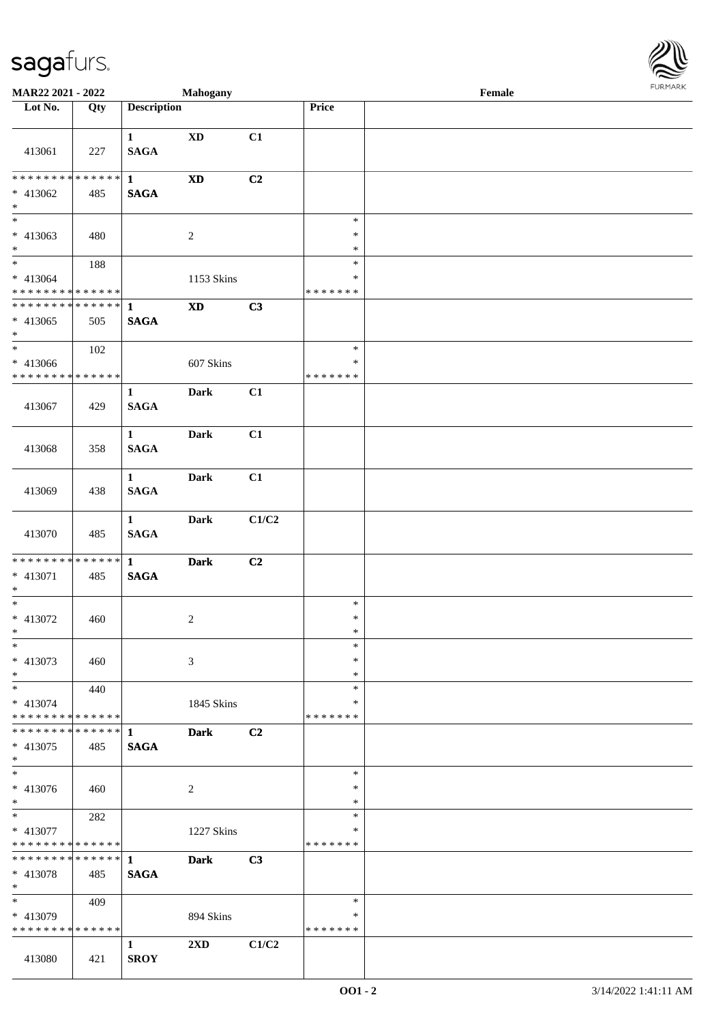

| MAR22 2021 - 2022                                   |     |                             | <b>Mahogany</b>            |       |                                   | Female |  |
|-----------------------------------------------------|-----|-----------------------------|----------------------------|-------|-----------------------------------|--------|--|
| Lot No.                                             | Qty | <b>Description</b>          |                            |       | Price                             |        |  |
| 413061                                              | 227 | $\mathbf{1}$<br><b>SAGA</b> | <b>XD</b>                  | C1    |                                   |        |  |
| * * * * * * * * * * * * * * *<br>* 413062<br>$\ast$ | 485 | $\mathbf{1}$<br><b>SAGA</b> | $\boldsymbol{\mathrm{XD}}$ | C2    |                                   |        |  |
| $\overline{\phantom{0}}$<br>$* 413063$<br>$*$       | 480 |                             | $\overline{c}$             |       | $\ast$<br>$\ast$<br>$\ast$        |        |  |
| $*$<br>$* 413064$<br>* * * * * * * * * * * * * *    | 188 |                             | 1153 Skins                 |       | $\ast$<br>$\ast$<br>* * * * * * * |        |  |
| ******** <mark>******</mark><br>$* 413065$<br>$*$   | 505 | $\mathbf{1}$<br><b>SAGA</b> | $\boldsymbol{\mathrm{XD}}$ | C3    |                                   |        |  |
| $\ast$<br>$* 413066$<br>* * * * * * * * * * * * * * | 102 |                             | 607 Skins                  |       | $\ast$<br>$\ast$<br>* * * * * * * |        |  |
| 413067                                              | 429 | $\mathbf{1}$<br><b>SAGA</b> | <b>Dark</b>                | C1    |                                   |        |  |
| 413068                                              | 358 | $\mathbf{1}$<br><b>SAGA</b> | <b>Dark</b>                | C1    |                                   |        |  |
| 413069                                              | 438 | $\mathbf{1}$<br><b>SAGA</b> | <b>Dark</b>                | C1    |                                   |        |  |
| 413070                                              | 485 | $\mathbf{1}$<br><b>SAGA</b> | <b>Dark</b>                | C1/C2 |                                   |        |  |
| ******** <mark>******</mark><br>* 413071<br>$*$     | 485 | $\mathbf{1}$<br><b>SAGA</b> | <b>Dark</b>                | C2    |                                   |        |  |
| $*$<br>$* 413072$<br>$*$                            | 460 |                             | $\overline{c}$             |       | $\ast$<br>$\ast$<br>$\ast$        |        |  |
| $\ast$<br>* 413073<br>$*$                           | 460 |                             | 3                          |       | $\ast$<br>∗<br>$\ast$             |        |  |
| $*$<br>* 413074<br>* * * * * * * * * * * * * * *    | 440 |                             | 1845 Skins                 |       | $\ast$<br>*<br>* * * * * * *      |        |  |
| ************** 1<br>* 413075<br>$*$                 | 485 | <b>SAGA</b>                 | <b>Dark</b>                | C2    |                                   |        |  |
| $*$<br>$* 413076$<br>$*$                            | 460 |                             | 2                          |       | $\ast$<br>∗<br>$\ast$             |        |  |
| $*$<br>* 413077<br>* * * * * * * * * * * * * *      | 282 |                             | 1227 Skins                 |       | $\ast$<br>*<br>* * * * * * *      |        |  |
| * * * * * * * * * * * * * * *<br>* 413078<br>$*$    | 485 | $\mathbf{1}$<br><b>SAGA</b> | Dark                       | C3    |                                   |        |  |
| $*$<br>* 413079<br>* * * * * * * * * * * * * *      | 409 |                             | 894 Skins                  |       | $\ast$<br>∗<br>* * * * * * *      |        |  |
| 413080                                              | 421 | $\mathbf{1}$<br><b>SROY</b> | 2XD                        | C1/C2 |                                   |        |  |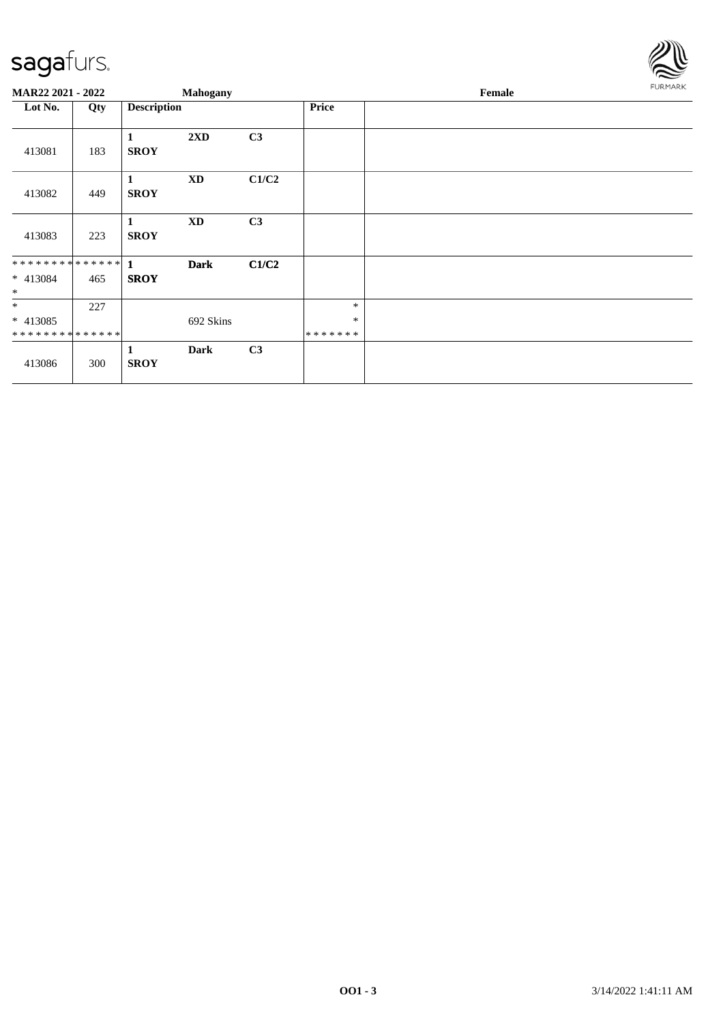

| MAR22 2021 - 2022                                    |     |                    | Mahogany    |       |                             | Female | FURMARK |
|------------------------------------------------------|-----|--------------------|-------------|-------|-----------------------------|--------|---------|
| Lot No.                                              | Qty | <b>Description</b> |             |       | Price                       |        |         |
| 413081                                               | 183 | 1<br><b>SROY</b>   | 2XD         | C3    |                             |        |         |
| 413082                                               | 449 | 1<br><b>SROY</b>   | <b>XD</b>   | C1/C2 |                             |        |         |
| 413083                                               | 223 | 1<br><b>SROY</b>   | <b>XD</b>   | C3    |                             |        |         |
| * 413084<br>$\ast$                                   | 465 | <b>SROY</b>        | <b>Dark</b> | C1/C2 |                             |        |         |
| $\ast$<br>$* 413085$<br>******** <mark>******</mark> | 227 |                    | 692 Skins   |       | $\ast$<br>$\ast$<br>******* |        |         |
| 413086                                               | 300 | 1<br><b>SROY</b>   | Dark        | C3    |                             |        |         |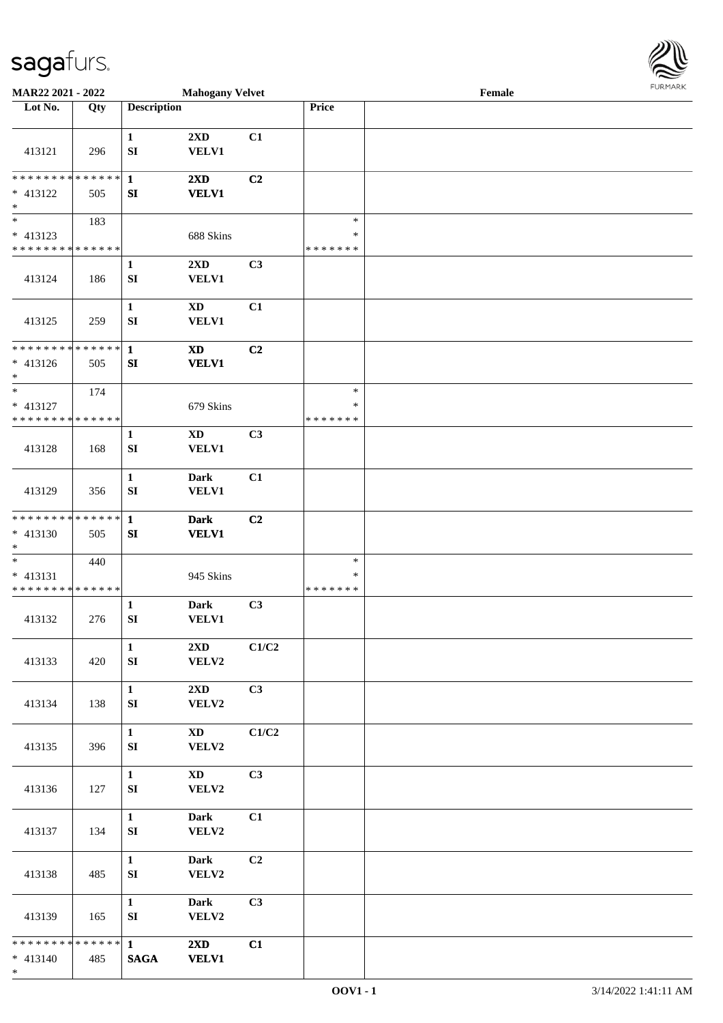\*

| MAR22 2021 - 2022                                                   |                    |                                  | <b>Mahogany Velvet</b>                     |                |                                   | Female |  |
|---------------------------------------------------------------------|--------------------|----------------------------------|--------------------------------------------|----------------|-----------------------------------|--------|--|
| Lot No.                                                             | Qty                | <b>Description</b>               |                                            |                | Price                             |        |  |
| 413121                                                              | 296                | $\mathbf{1}$<br>SI               | 2XD<br><b>VELV1</b>                        | C1             |                                   |        |  |
| * * * * * * * * * * * * * *<br>* 413122<br>$\ast$                   | 505                | $\mathbf{1}$<br>SI               | 2XD<br><b>VELV1</b>                        | C2             |                                   |        |  |
| $\overline{\phantom{0}}$<br>* 413123<br>* * * * * * * * * * * * * * | 183                |                                  | 688 Skins                                  |                | $\ast$<br>$\ast$<br>* * * * * * * |        |  |
| 413124                                                              | 186                | $\mathbf{1}$<br>SI               | 2XD<br><b>VELV1</b>                        | C3             |                                   |        |  |
| 413125                                                              | 259                | $\mathbf{1}$<br>SI               | $\boldsymbol{\mathrm{XD}}$<br><b>VELV1</b> | C1             |                                   |        |  |
| * * * * * * * * * * * * * *<br>$* 413126$<br>$\ast$                 | 505                | $\mathbf{1}$<br>SI               | $\boldsymbol{\mathrm{XD}}$<br><b>VELV1</b> | C <sub>2</sub> |                                   |        |  |
| $\ast$<br>* 413127<br>* * * * * * * * * * * * * *                   | 174                |                                  | 679 Skins                                  |                | $\ast$<br>$\ast$<br>* * * * * * * |        |  |
| 413128                                                              | 168                | 1<br>SI                          | $\mathbf{X}\mathbf{D}$<br><b>VELV1</b>     | C3             |                                   |        |  |
| 413129                                                              | 356                | $\mathbf{1}$<br>SI               | <b>Dark</b><br>VELV1                       | C1             |                                   |        |  |
| * * * * * * * *<br>$* 413130$<br>$\ast$                             | * * * * * *<br>505 | $\mathbf{1}$<br>SI               | <b>Dark</b><br><b>VELV1</b>                | C2             |                                   |        |  |
| $\ast$<br>$* 413131$<br>* * * * * * * * * * * * * *                 | 440                |                                  | 945 Skins                                  |                | $\ast$<br>$\ast$<br>* * * * * * * |        |  |
| 413132                                                              | 276                | 1<br>${\bf SI}$                  | <b>Dark</b><br><b>VELV1</b>                | C3             |                                   |        |  |
| 413133                                                              | 420                | $\mathbf{1}$<br>${\bf S}{\bf I}$ | $2\mathbf{X}\mathbf{D}$<br>VELV2           | C1/C2          |                                   |        |  |
| 413134                                                              | 138                | $\mathbf{1}$<br>SI               | 2XD<br>VELV2                               | C3             |                                   |        |  |
| 413135                                                              | 396                | $\mathbf{1}$<br>SI               | $\mathbf{X}\mathbf{D}$<br>VELV2            | C1/C2          |                                   |        |  |
| 413136                                                              | 127                | $\mathbf{1}$<br>SI               | $\mathbf{X}\mathbf{D}$<br>VELV2            | C3             |                                   |        |  |
| 413137                                                              | 134                | $\mathbf{1}$<br>SI               | Dark<br>VELV2                              | C1             |                                   |        |  |
| 413138                                                              | 485                | $\mathbf{1}$<br>${\bf S}{\bf I}$ | <b>Dark</b><br>VELV2                       | C2             |                                   |        |  |
| 413139                                                              | 165                | $\mathbf{1}$<br>${\bf S}{\bf I}$ | <b>Dark</b><br>VELV2                       | C3             |                                   |        |  |
| ******** <mark>******</mark><br>$* 413140$                          | 485                | $\mathbf{1}$<br><b>SAGA</b>      | $2\mathbf{X}\mathbf{D}$<br><b>VELV1</b>    | C1             |                                   |        |  |

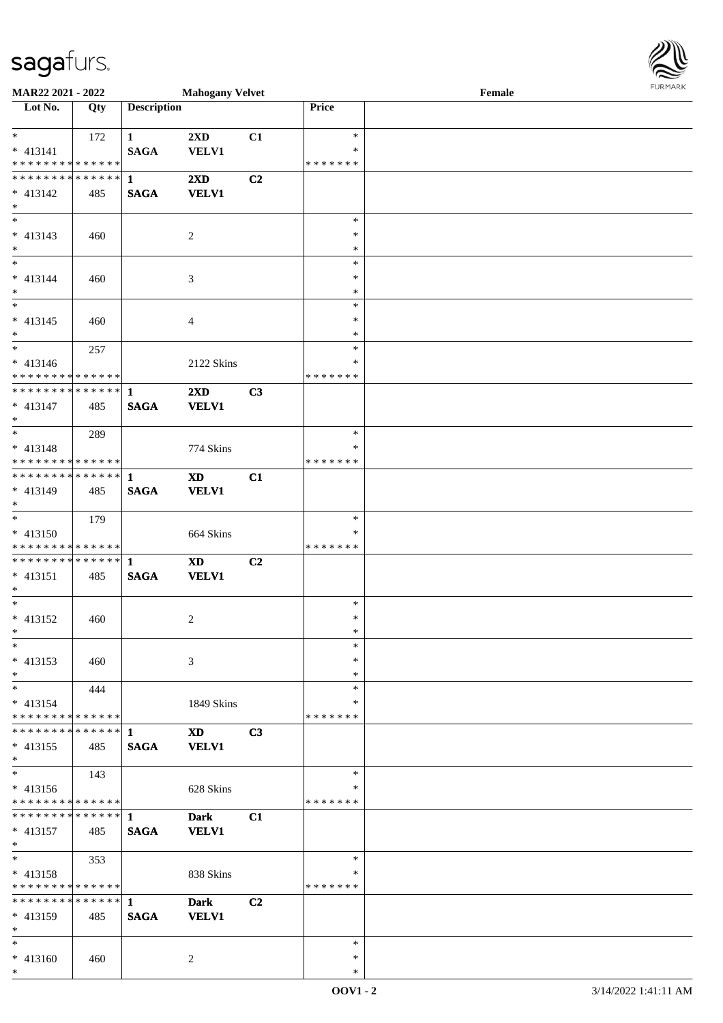\*



| MAR22 2021 - 2022                          |     |                        | <b>Mahogany Velvet</b>  |                |                  | Female | <b>FURPIARA</b> |
|--------------------------------------------|-----|------------------------|-------------------------|----------------|------------------|--------|-----------------|
| Lot No.                                    | Qty | <b>Description</b>     |                         |                | Price            |        |                 |
|                                            |     |                        |                         |                |                  |        |                 |
| $*$                                        | 172 | $1 \quad \blacksquare$ | 2XD                     | C1             | $\ast$<br>$\ast$ |        |                 |
| $* 413141$<br>* * * * * * * * * * * * * *  |     | <b>SAGA</b>            | <b>VELV1</b>            |                | *******          |        |                 |
| * * * * * * * * <mark>* * * * * * *</mark> |     | $\mathbf{1}$           | $2\mathbf{X}\mathbf{D}$ | C2             |                  |        |                 |
| $* 413142$                                 | 485 | <b>SAGA</b>            | <b>VELV1</b>            |                |                  |        |                 |
| $*$                                        |     |                        |                         |                |                  |        |                 |
| $*$                                        |     |                        |                         |                | $\ast$           |        |                 |
| $* 413143$                                 | 460 |                        | 2                       |                | $\ast$           |        |                 |
| $*$                                        |     |                        |                         |                | $\ast$           |        |                 |
| $\overline{\phantom{0}}$                   |     |                        |                         |                | $\ast$           |        |                 |
| $* 413144$                                 | 460 |                        | 3                       |                | $\ast$           |        |                 |
| $*$                                        |     |                        |                         |                | $\ast$           |        |                 |
|                                            |     |                        |                         |                | $\ast$<br>$\ast$ |        |                 |
| * 413145<br>$*$                            | 460 |                        | $\overline{4}$          |                | $\ast$           |        |                 |
| $\frac{1}{2}$                              | 257 |                        |                         |                | $\ast$           |        |                 |
| $* 413146$                                 |     |                        | 2122 Skins              |                | $\ast$           |        |                 |
| * * * * * * * * * * * * * *                |     |                        |                         |                | * * * * * * *    |        |                 |
| * * * * * * * * * * * * * * *              |     | $\mathbf{1}$           | $2\mathbf{X}\mathbf{D}$ | C3             |                  |        |                 |
| * 413147                                   | 485 | <b>SAGA</b>            | <b>VELV1</b>            |                |                  |        |                 |
| $*$                                        |     |                        |                         |                |                  |        |                 |
|                                            | 289 |                        |                         |                | $\ast$           |        |                 |
| $* 413148$                                 |     |                        | 774 Skins               |                | $\ast$           |        |                 |
| * * * * * * * * <mark>* * * * * * *</mark> |     |                        |                         |                | *******          |        |                 |
| ******** <mark>******</mark>               |     | $\mathbf{1}$           | <b>XD</b>               | C1             |                  |        |                 |
| $* 413149$<br>$*$                          | 485 | <b>SAGA</b>            | <b>VELV1</b>            |                |                  |        |                 |
| $*$                                        | 179 |                        |                         |                | $\ast$           |        |                 |
| $* 413150$                                 |     |                        | 664 Skins               |                | *                |        |                 |
| * * * * * * * * <mark>* * * * * * *</mark> |     |                        |                         |                | *******          |        |                 |
| * * * * * * * * * * * * * * <mark>*</mark> |     | -1                     | <b>XD</b>               | C <sub>2</sub> |                  |        |                 |
| * 413151                                   | 485 | <b>SAGA</b>            | <b>VELV1</b>            |                |                  |        |                 |
| $*$                                        |     |                        |                         |                |                  |        |                 |
| $*$                                        |     |                        |                         |                | $\ast$           |        |                 |
| * 413152                                   | 460 |                        | 2                       |                | $\ast$           |        |                 |
| $*$ $-$<br>$*$                             |     |                        |                         |                | $\ast$           |        |                 |
|                                            |     |                        |                         |                | $\ast$<br>$\ast$ |        |                 |
| $* 413153$<br>$\ast$                       | 460 |                        | 3                       |                | $\ast$           |        |                 |
| $*$                                        | 444 |                        |                         |                | $\ast$           |        |                 |
| $* 413154$                                 |     |                        | 1849 Skins              |                | $\ast$           |        |                 |
| * * * * * * * * * * * * * * *              |     |                        |                         |                | *******          |        |                 |
| ******** <mark>******</mark>               |     | 1                      | <b>XD</b>               | C3             |                  |        |                 |
| $* 413155$                                 | 485 | <b>SAGA</b>            | <b>VELV1</b>            |                |                  |        |                 |
| $\ast$                                     |     |                        |                         |                |                  |        |                 |
| $*$                                        | 143 |                        |                         |                | $\ast$           |        |                 |
| $* 413156$                                 |     |                        | 628 Skins               |                | ∗                |        |                 |
| * * * * * * * * * * * * * * *              |     |                        |                         |                | *******          |        |                 |
| * * * * * * * * * * * * * * *              |     | 1                      | <b>Dark</b>             | C1             |                  |        |                 |
| $* 413157$<br>$*$                          | 485 | <b>SAGA</b>            | <b>VELV1</b>            |                |                  |        |                 |
| $*$                                        | 353 |                        |                         |                | $\ast$           |        |                 |
| * 413158                                   |     |                        | 838 Skins               |                | ∗                |        |                 |
| * * * * * * * * <mark>* * * * * *</mark>   |     |                        |                         |                | *******          |        |                 |
| * * * * * * * * * * * * * * *              |     | $\mathbf{1}$           | <b>Dark</b>             | C2             |                  |        |                 |
| * 413159                                   | 485 | <b>SAGA</b>            | <b>VELV1</b>            |                |                  |        |                 |
| $\ast$                                     |     |                        |                         |                |                  |        |                 |
| $*$                                        |     |                        |                         |                | $\ast$           |        |                 |
| * 413160                                   | 460 |                        | 2                       |                | $\ast$           |        |                 |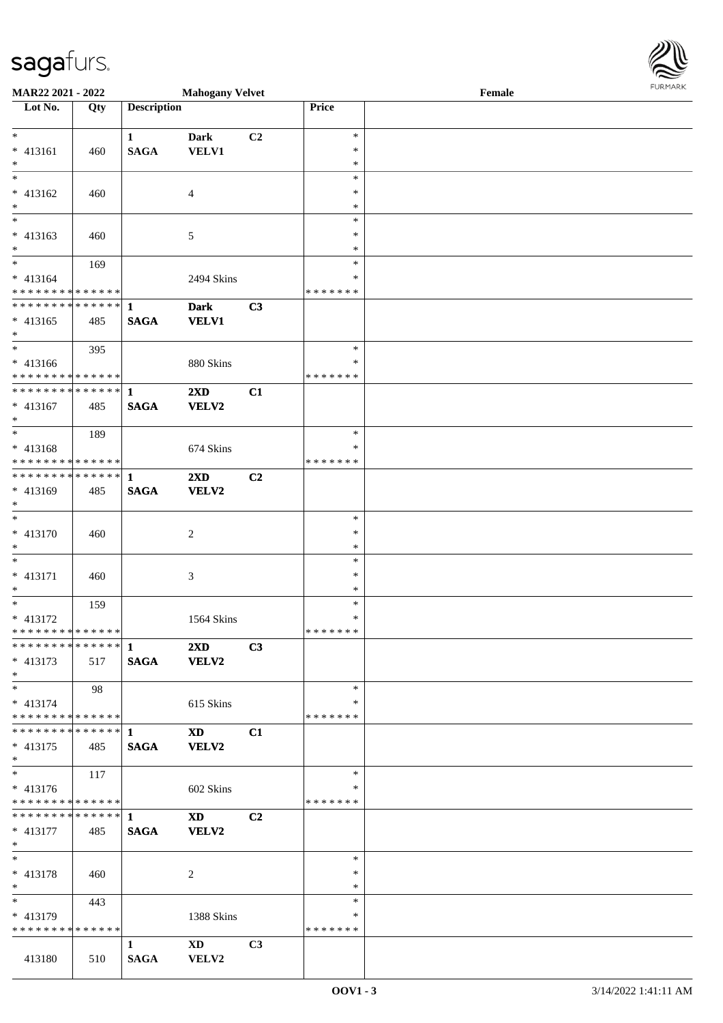| <b>MAR22 2021 - 2022</b>                   |     |                    | <b>Mahogany Velvet</b>  |                |               | Female |  |
|--------------------------------------------|-----|--------------------|-------------------------|----------------|---------------|--------|--|
| Lot No.                                    | Qty | <b>Description</b> |                         |                | Price         |        |  |
|                                            |     |                    |                         |                |               |        |  |
| $\ast$                                     |     | $\mathbf{1}$       | <b>Dark</b>             | C2             | $\ast$        |        |  |
| * 413161                                   | 460 | <b>SAGA</b>        | <b>VELV1</b>            |                | ∗             |        |  |
| $\ast$                                     |     |                    |                         |                | $\ast$        |        |  |
| $\overline{\ast}$                          |     |                    |                         |                | $\ast$        |        |  |
| $* 413162$                                 | 460 |                    | $\overline{4}$          |                | ∗             |        |  |
| $*$                                        |     |                    |                         |                | $\ast$        |        |  |
| $\overline{\phantom{0}}$                   |     |                    |                         |                | $\ast$        |        |  |
| $* 413163$                                 | 460 |                    | 5                       |                | $\ast$        |        |  |
| $\ast$                                     |     |                    |                         |                | $\ast$        |        |  |
| $*$                                        | 169 |                    |                         |                | $\ast$        |        |  |
| * 413164                                   |     |                    | 2494 Skins              |                | *             |        |  |
| * * * * * * * * <mark>* * * * * * *</mark> |     |                    |                         |                | * * * * * * * |        |  |
|                                            |     |                    | <b>Dark</b>             | C3             |               |        |  |
| $* 413165$                                 | 485 | <b>SAGA</b>        | <b>VELV1</b>            |                |               |        |  |
| $*$                                        |     |                    |                         |                |               |        |  |
| $*$                                        | 395 |                    |                         |                | $\ast$        |        |  |
| * 413166                                   |     |                    |                         |                | $\ast$        |        |  |
| * * * * * * * * <mark>* * * * * *</mark> * |     |                    | 880 Skins               |                | * * * * * * * |        |  |
| **************                             |     |                    |                         |                |               |        |  |
|                                            |     | $\mathbf{1}$       | $2\mathbf{X}\mathbf{D}$ | C1             |               |        |  |
| * 413167                                   | 485 | <b>SAGA</b>        | <b>VELV2</b>            |                |               |        |  |
| $*$                                        |     |                    |                         |                |               |        |  |
|                                            | 189 |                    |                         |                | $\ast$        |        |  |
| * 413168                                   |     |                    | 674 Skins               |                | ∗             |        |  |
| * * * * * * * * <mark>* * * * * * *</mark> |     |                    |                         |                | *******       |        |  |
|                                            |     |                    | 2XD                     | C2             |               |        |  |
| * 413169                                   | 485 | <b>SAGA</b>        | <b>VELV2</b>            |                |               |        |  |
| $\ast$                                     |     |                    |                         |                |               |        |  |
| $\ddot{x}$                                 |     |                    |                         |                | $\ast$        |        |  |
| * 413170                                   | 460 |                    | 2                       |                | $\ast$        |        |  |
| $*$                                        |     |                    |                         |                | $\ast$        |        |  |
| $\ast$                                     |     |                    |                         |                | $\ast$        |        |  |
| $* 413171$                                 | 460 |                    | 3                       |                | $\ast$        |        |  |
| $*$                                        |     |                    |                         |                | $\ast$        |        |  |
| $\overline{\mathbf{r}}$                    | 159 |                    |                         |                | $\ast$        |        |  |
| * 413172                                   |     |                    | 1564 Skins              |                | $\ast$        |        |  |
| * * * * * * * * * * * * * * *              |     |                    |                         |                | *******       |        |  |
|                                            |     |                    | $2\mathbf{X}\mathbf{D}$ | C3             |               |        |  |
| * 413173                                   | 517 | <b>SAGA</b>        | <b>VELV2</b>            |                |               |        |  |
| $*$                                        |     |                    |                         |                |               |        |  |
| $\ast$                                     | 98  |                    |                         |                | $\ast$        |        |  |
| $* 413174$                                 |     |                    | 615 Skins               |                | ∗             |        |  |
| * * * * * * * * * * * * * * <mark>*</mark> |     |                    |                         |                | * * * * * * * |        |  |
|                                            |     |                    | <b>XD</b>               | C1             |               |        |  |
| $* 413175$                                 | 485 | <b>SAGA</b>        | <b>VELV2</b>            |                |               |        |  |
| $*$                                        |     |                    |                         |                |               |        |  |
| $*$                                        |     |                    |                         |                | $\ast$        |        |  |
|                                            | 117 |                    |                         |                | *             |        |  |
| $* 413176$                                 |     |                    | 602 Skins               |                |               |        |  |
| * * * * * * * * <mark>* * * * * *</mark>   |     |                    |                         |                | *******       |        |  |
|                                            |     |                    | <b>XD</b>               | C <sub>2</sub> |               |        |  |
| * 413177                                   | 485 | <b>SAGA</b>        | <b>VELV2</b>            |                |               |        |  |
| $*$ $-$<br>$*$                             |     |                    |                         |                |               |        |  |
|                                            |     |                    |                         |                | $\ast$        |        |  |
| * 413178                                   | 460 |                    | 2                       |                | $\ast$        |        |  |
| $*$                                        |     |                    |                         |                | $\ast$        |        |  |
|                                            | 443 |                    |                         |                | $\ast$        |        |  |
| * 413179                                   |     |                    | 1388 Skins              |                | *             |        |  |
| * * * * * * * * <mark>* * * * * * *</mark> |     |                    |                         |                | *******       |        |  |
|                                            |     | $\mathbf{1}$       | $\mathbf{X}\mathbf{D}$  | C <sub>3</sub> |               |        |  |
| 413180                                     | 510 | SAGA               | <b>VELV2</b>            |                |               |        |  |

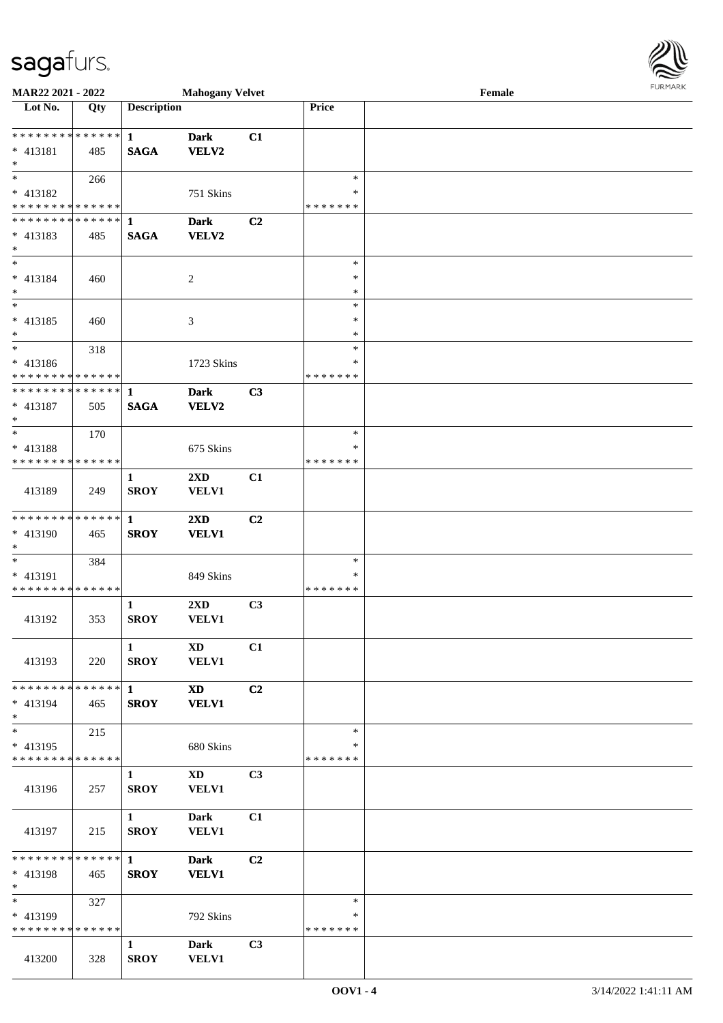327

792 Skins

**1 Dark C3**

**SROY VELV1**

\* 413199

\* \* \* \* \* \* \* \* \* \* \* \* \* \*

413200 328

| MAR22 2021 - 2022                |     |                             | <b>Mahogany Velvet</b> |    |               | Female | FURMARK |
|----------------------------------|-----|-----------------------------|------------------------|----|---------------|--------|---------|
| $\overline{\phantom{1}}$ Lot No. | Qty | <b>Description</b>          |                        |    | Price         |        |         |
| * * * * * * * * * * * * * * *    |     | $\mathbf{1}$                | <b>Dark</b>            | C1 |               |        |         |
| * 413181                         | 485 | <b>SAGA</b>                 | <b>VELV2</b>           |    |               |        |         |
| $\ast$                           |     |                             |                        |    |               |        |         |
| $\ast$                           | 266 |                             |                        |    | $\ast$        |        |         |
| * 413182                         |     |                             | 751 Skins              |    | $\ast$        |        |         |
| * * * * * * * * * * * * * * *    |     |                             |                        |    | * * * * * * * |        |         |
| * * * * * * * * * * * * * * *    |     | $\mathbf{1}$                | <b>Dark</b>            | C2 |               |        |         |
| $* 413183$                       | 485 | <b>SAGA</b>                 | <b>VELV2</b>           |    |               |        |         |
| $*$                              |     |                             |                        |    |               |        |         |
| $\ast$                           |     |                             |                        |    | $\ast$        |        |         |
| $* 413184$                       | 460 |                             | $\overline{c}$         |    | $\ast$        |        |         |
| $\ast$                           |     |                             |                        |    | $\ast$        |        |         |
| $\ast$                           |     |                             |                        |    | $\ast$        |        |         |
| $* 413185$                       | 460 |                             | 3                      |    | $\ast$        |        |         |
| $\ast$                           |     |                             |                        |    | $\ast$        |        |         |
| $\ast$                           | 318 |                             |                        |    | $\ast$        |        |         |
| * 413186                         |     |                             | 1723 Skins             |    | *             |        |         |
| * * * * * * * * * * * * * *      |     |                             |                        |    | * * * * * * * |        |         |
| * * * * * * * * * * * * * * *    |     | 1                           | <b>Dark</b>            | C3 |               |        |         |
| $* 413187$                       | 505 | <b>SAGA</b>                 | <b>VELV2</b>           |    |               |        |         |
| $\ast$                           |     |                             |                        |    |               |        |         |
| $\ast$                           | 170 |                             |                        |    | $\ast$        |        |         |
| * 413188                         |     |                             | 675 Skins              |    | ∗             |        |         |
| * * * * * * * * * * * * * *      |     |                             |                        |    | * * * * * * * |        |         |
| 413189                           | 249 | $\mathbf{1}$<br><b>SROY</b> | 2XD<br><b>VELV1</b>    | C1 |               |        |         |
| **************                   |     | $\mathbf{1}$                | 2XD                    | C2 |               |        |         |
| * 413190                         | 465 | <b>SROY</b>                 | <b>VELV1</b>           |    |               |        |         |
| $\ast$                           |     |                             |                        |    |               |        |         |
| $\ast$                           | 384 |                             |                        |    | $\ast$        |        |         |
| * 413191                         |     |                             | 849 Skins              |    | ∗             |        |         |
| * * * * * * * * * * * * * *      |     |                             |                        |    | * * * * * * * |        |         |
|                                  |     | 1                           | 2XD                    | C3 |               |        |         |
| 413192                           | 353 | <b>SROY</b>                 | <b>VELV1</b>           |    |               |        |         |
|                                  |     |                             |                        |    |               |        |         |
|                                  |     | 1                           | $\mathbf{X}\mathbf{D}$ | C1 |               |        |         |
| 413193                           | 220 | <b>SROY</b>                 | <b>VELV1</b>           |    |               |        |         |
|                                  |     |                             |                        |    |               |        |         |
| * * * * * * * * * * * * * * *    |     | $\mathbf{1}$                | <b>XD</b>              | C2 |               |        |         |
| $* 413194$                       | 465 | <b>SROY</b>                 | <b>VELV1</b>           |    |               |        |         |
| $*$                              |     |                             |                        |    |               |        |         |
| $\ast$                           | 215 |                             |                        |    | $\ast$        |        |         |
| * 413195                         |     |                             | 680 Skins              |    | $\ast$        |        |         |
| * * * * * * * * * * * * * *      |     |                             |                        |    | *******       |        |         |
|                                  |     | $\mathbf{1}$                | $\mathbf{X}\mathbf{D}$ | C3 |               |        |         |
| 413196                           | 257 | <b>SROY</b>                 | VELV1                  |    |               |        |         |
|                                  |     |                             |                        |    |               |        |         |
|                                  |     | $\mathbf{1}$                | <b>Dark</b>            | C1 |               |        |         |
| 413197                           | 215 | <b>SROY</b>                 | <b>VELV1</b>           |    |               |        |         |
|                                  |     |                             |                        |    |               |        |         |
| * * * * * * * * * * * * * * *    |     | $\mathbf{1}$                | <b>Dark</b>            | C2 |               |        |         |
| $* 413198$                       | 465 | <b>SROY</b>                 | <b>VELV1</b>           |    |               |        |         |
| $\ast$                           |     |                             |                        |    |               |        |         |
| $\overline{\ast}$                | 327 |                             |                        |    | $*$           |        |         |

\*

\* \* \* \* \* \* \*

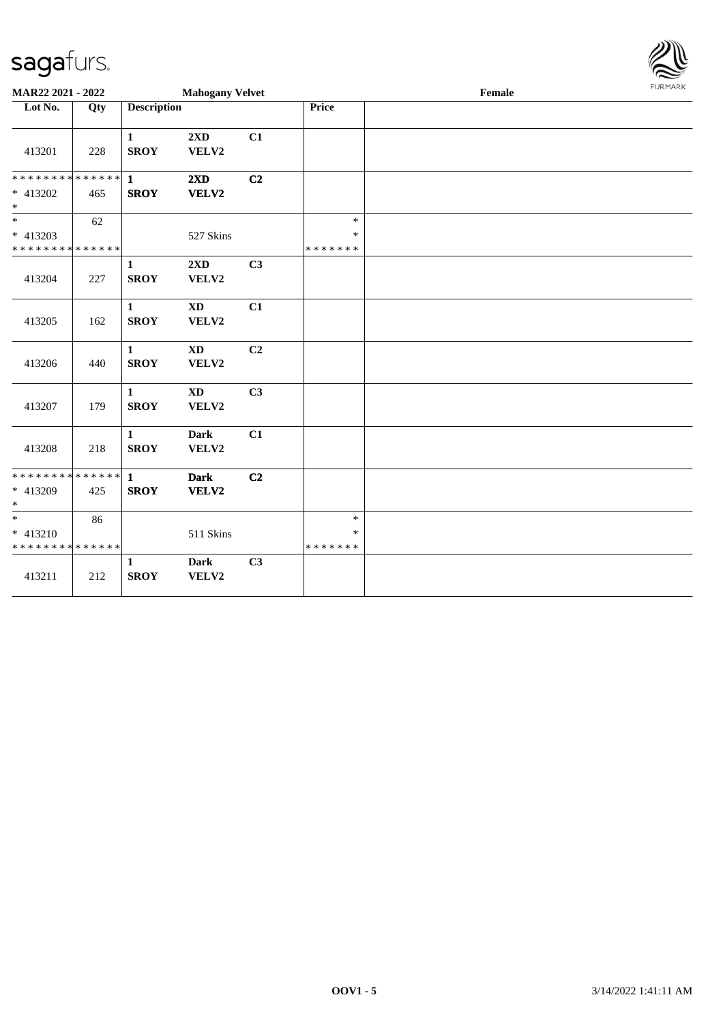**MAR22 2021 - 2022** 

\* \* \* \* \* \* \* \* \* \* \* \* \* \* \* 413202 465

\* \* \* \* \* \* \* \* \* \* \* \* \* \*

413208 218

\* \* \* \* \* \* \* \* \* \* \* \* \* \* \* 413209 425

\* \* \* \* \* \* \* \* \* \* \* \* \* \*

413211 212

86

\* \*

\* 413210

**SROY VELV2**

**SROY VELV2**

**SROY VELV2**

**1 Dark C2**

**1 Dark C3**

511 Skins

\* \*

\* 413203

| iagafurs.                             |     |                             |                                         |    |                  |        |                |
|---------------------------------------|-----|-----------------------------|-----------------------------------------|----|------------------|--------|----------------|
| IAR22 2021 - 2022                     |     |                             | <b>Mahogany Velvet</b>                  |    |                  | Female | <b>FURMARK</b> |
| Lot No.                               | Qty | <b>Description</b>          |                                         |    | <b>Price</b>     |        |                |
| 413201                                | 228 | $\mathbf{1}$<br><b>SROY</b> | 2XD<br>VELV2                            | C1 |                  |        |                |
| * * * * * * * * * * * * * *<br>413202 | 465 | $\mathbf{1}$<br><b>SROY</b> | $2\mathbf{X}\mathbf{D}$<br><b>VELV2</b> | C2 |                  |        |                |
| 413203                                | 62  |                             | 527 Skins                               |    | $\ast$<br>$\ast$ |        |                |
| * * * * * * * * * * * * *<br>413204   | 227 | $\mathbf{1}$<br><b>SROY</b> | 2XD<br>VELV2                            | C3 | * * * * * * *    |        |                |
| 413205                                | 162 | $\mathbf{1}$<br><b>SROY</b> | $\mathbf{X}\mathbf{D}$<br>VELV2         | C1 |                  |        |                |
| 413206                                | 440 | $\mathbf{1}$<br><b>SROY</b> | $\mathbf{X}\mathbf{D}$<br>VELV2         | C2 |                  |        |                |
| 413207                                | 179 | $\mathbf{1}$<br><b>SROY</b> | $\mathbf{X}\mathbf{D}$<br>VELV2         | C3 |                  |        |                |
|                                       |     | $\mathbf{1}$                | <b>Dark</b>                             | C1 |                  |        |                |

\* \*

\* \* \* \* \* \* \*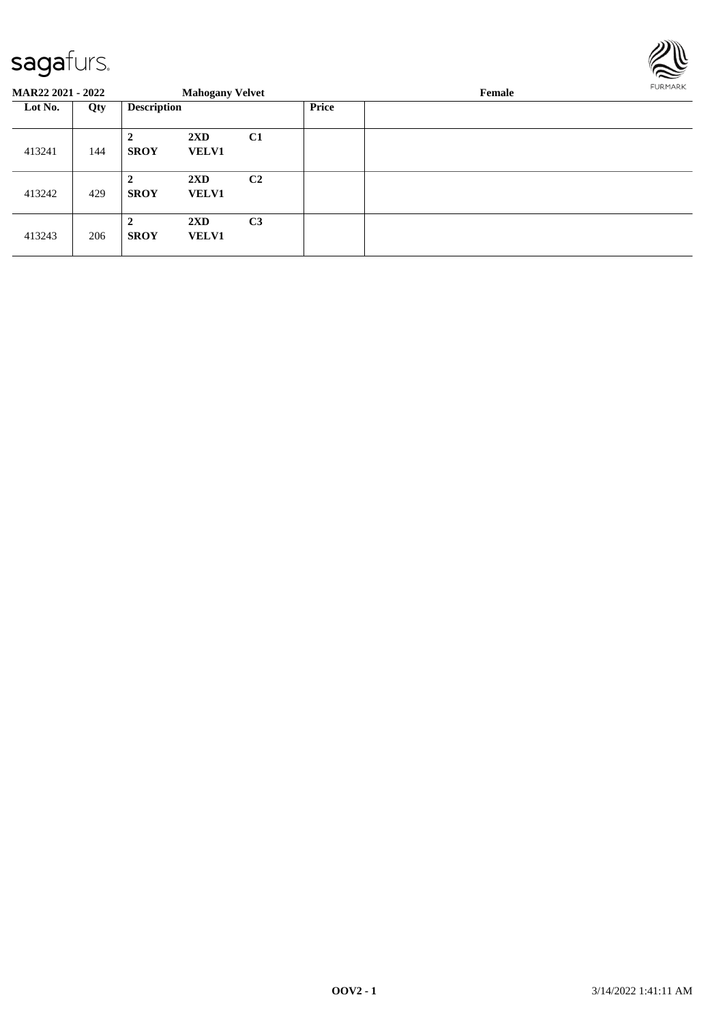

| <b>MAR22 2021 - 2022</b> |     |                             | <b>Mahogany Velvet</b>                  |                |              | FURMARK |  |
|--------------------------|-----|-----------------------------|-----------------------------------------|----------------|--------------|---------|--|
| Lot No.                  | Qty | <b>Description</b>          |                                         |                | <b>Price</b> |         |  |
| 413241                   | 144 | $\mathbf{2}$<br><b>SROY</b> | $2\mathbf{X}\mathbf{D}$<br><b>VELV1</b> | C1             |              |         |  |
| 413242                   | 429 | $\mathbf{2}$<br><b>SROY</b> | $2\mathbf{X}\mathbf{D}$<br><b>VELV1</b> | C <sub>2</sub> |              |         |  |
| 413243                   | 206 | $\mathbf{2}$<br><b>SROY</b> | $2\mathbf{X}\mathbf{D}$<br><b>VELV1</b> | C <sub>3</sub> |              |         |  |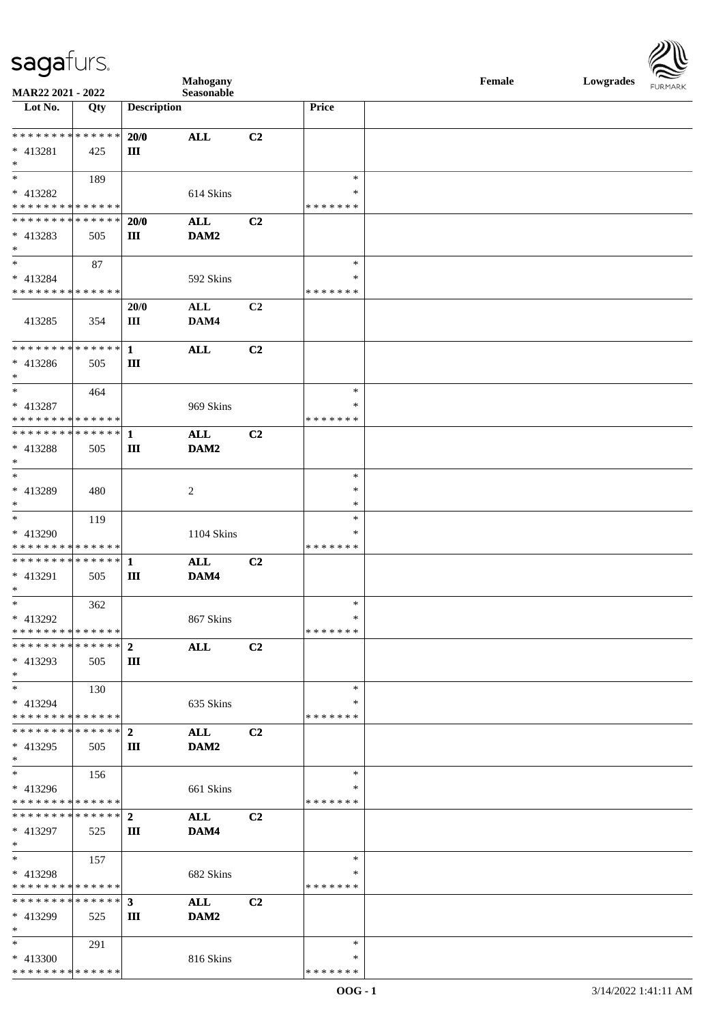| <b>saga</b> furs. |  |
|-------------------|--|
|                   |  |

\* \* \* \* \* \* \* \* \* \* \* \* \* \* \*



| MAR22 2021 - 2022                                                                      |             |                    | <b>Mahogany</b><br>Seasonable |                |                         | Female | Lowgrades | <b>FURMARK</b> |
|----------------------------------------------------------------------------------------|-------------|--------------------|-------------------------------|----------------|-------------------------|--------|-----------|----------------|
| Lot No.                                                                                | Qty         | <b>Description</b> |                               |                | Price                   |        |           |                |
|                                                                                        |             |                    |                               |                |                         |        |           |                |
| * * * * * * * * <mark>* * * * * * *</mark>                                             |             | 20/0               | <b>ALL</b>                    | C2             |                         |        |           |                |
| * 413281<br>$*$                                                                        | 425         | Ш                  |                               |                |                         |        |           |                |
| $*$                                                                                    | 189         |                    |                               |                | $\ast$                  |        |           |                |
| * 413282                                                                               |             |                    | 614 Skins                     |                | $\ast$                  |        |           |                |
| * * * * * * * * * * * * * *                                                            |             |                    |                               |                | * * * * * * *           |        |           |                |
| * * * * * * * * <mark>* * * * * * *</mark>                                             |             | 20/0               | <b>ALL</b>                    | C2             |                         |        |           |                |
| * 413283<br>$\ast$                                                                     | 505         | Ш                  | DAM2                          |                |                         |        |           |                |
| $*$                                                                                    | 87          |                    |                               |                | $\ast$                  |        |           |                |
| * 413284<br>* * * * * * * * <mark>* * * * * *</mark>                                   |             |                    | 592 Skins                     |                | $\ast$<br>* * * * * * * |        |           |                |
|                                                                                        |             | 20/0               | ALL                           | C2             |                         |        |           |                |
| 413285                                                                                 | 354         | Ш                  | DAM4                          |                |                         |        |           |                |
|                                                                                        |             |                    | <b>ALL</b>                    | C2             |                         |        |           |                |
| * 413286<br>$*$                                                                        | 505         | $\rm III$          |                               |                |                         |        |           |                |
|                                                                                        | 464         |                    |                               |                | $\ast$                  |        |           |                |
| * 413287                                                                               |             |                    | 969 Skins                     |                | ∗                       |        |           |                |
| * * * * * * * * * * * * * *<br>************** 1                                        |             |                    |                               |                | * * * * * * *           |        |           |                |
| * 413288                                                                               | 505         | Ш                  | $\mathbf{ALL}$<br>DAM2        | C <sub>2</sub> |                         |        |           |                |
| $*$                                                                                    |             |                    |                               |                |                         |        |           |                |
| $*$                                                                                    |             |                    |                               |                | $\ast$                  |        |           |                |
| * 413289                                                                               | 480         |                    | $\overline{c}$                |                | $\ast$                  |        |           |                |
| $*$                                                                                    |             |                    |                               |                | $\ast$                  |        |           |                |
| $*$<br>* 413290                                                                        | 119         |                    | 1104 Skins                    |                | $\ast$<br>$\ast$        |        |           |                |
| * * * * * * * * <mark>* * * * * *</mark>                                               |             |                    |                               |                | * * * * * * *           |        |           |                |
|                                                                                        |             |                    | <b>ALL</b>                    | C2             |                         |        |           |                |
| * 413291<br>$*$                                                                        | 505         | Ш                  | DAM4                          |                |                         |        |           |                |
| $*$                                                                                    | 362         |                    |                               |                | $\ast$                  |        |           |                |
| * 413292                                                                               |             |                    | 867 Skins                     |                | $\ast$                  |        |           |                |
| * * * * * * * * * * * * * *<br>* * * * * * * *                                         | * * * * * * |                    |                               |                | * * * * * * *           |        |           |                |
| * 413293                                                                               | 505         | $\mathbf{2}$<br>Ш  | <b>ALL</b>                    | C <sub>2</sub> |                         |        |           |                |
| $*$                                                                                    |             |                    |                               |                |                         |        |           |                |
| $\ast$                                                                                 | 130         |                    |                               |                | $\ast$                  |        |           |                |
| * 413294                                                                               |             |                    | 635 Skins                     |                | ∗                       |        |           |                |
| * * * * * * * * * * * * * * *                                                          |             |                    |                               |                | *******                 |        |           |                |
| * 413295                                                                               | 505         | Ш                  | <b>ALL</b><br>DAM2            | C2             |                         |        |           |                |
| $*$                                                                                    |             |                    |                               |                |                         |        |           |                |
| $*$ $-$                                                                                | 156         |                    |                               |                | $\ast$                  |        |           |                |
| * 413296                                                                               |             |                    | 661 Skins                     |                | ∗                       |        |           |                |
| * * * * * * * * <mark>* * * * * *</mark><br>* * * * * * * * * * * * * * <mark>*</mark> |             | $\overline{2}$     |                               |                | * * * * * * *           |        |           |                |
| * 413297                                                                               | 525         | Ш                  | ALL<br>DAM4                   | C2             |                         |        |           |                |
| $*$                                                                                    |             |                    |                               |                |                         |        |           |                |
| $*$                                                                                    | 157         |                    |                               |                | $\ast$                  |        |           |                |
| * 413298                                                                               |             |                    | 682 Skins                     |                | *                       |        |           |                |
| * * * * * * * * * * * * * *<br>* * * * * * * * * * * * * * <mark>*</mark>              |             |                    |                               |                | *******                 |        |           |                |
| * 413299                                                                               | 525         | $3^{\circ}$<br>Ш   | ALL<br>DAM2                   | C <sub>2</sub> |                         |        |           |                |
| $\ast$                                                                                 |             |                    |                               |                |                         |        |           |                |
| $*$                                                                                    | 291         |                    |                               |                | $\ast$                  |        |           |                |
| * 413300                                                                               |             |                    | 816 Skins                     |                | $\ast$                  |        |           |                |

\* \* \* \* \* \* \*